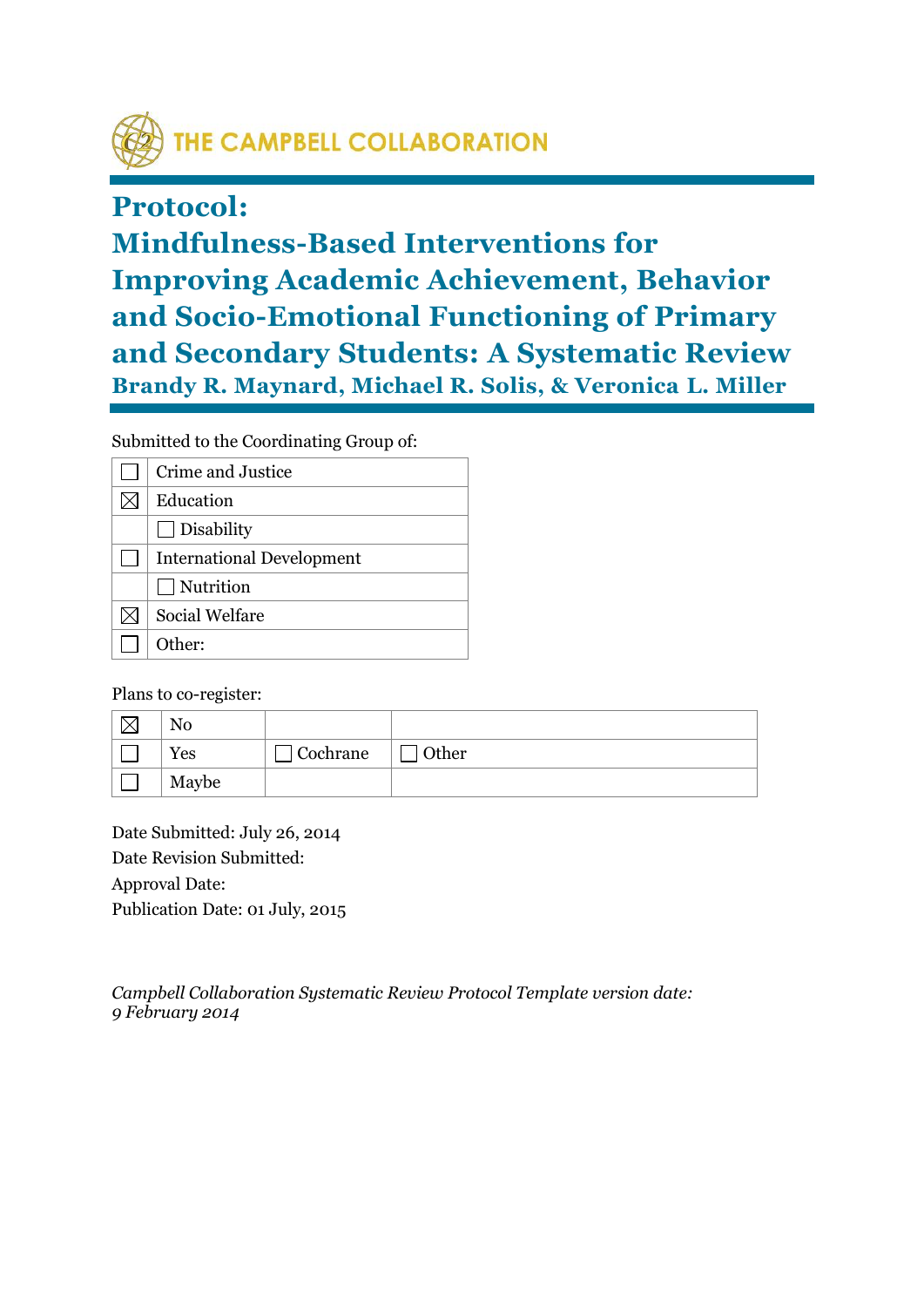

# **Protocol:**

**Mindfulness-Based Interventions for Improving Academic Achievement, Behavior and Socio-Emotional Functioning of Primary and Secondary Students: A Systematic Review Brandy R. Maynard, Michael R. Solis, & Veronica L. Miller**

Submitted to the Coordinating Group of:

| Crime and Justice                |
|----------------------------------|
| Education                        |
| $\Box$ Disability                |
| <b>International Development</b> |
| $\Box$ Nutrition                 |
| <b>Social Welfare</b>            |
| Other:                           |

Plans to co-register:

| Yes   | Cochrane | Other |
|-------|----------|-------|
| Maybe |          |       |

Date Submitted: July 26, 2014 Date Revision Submitted: Approval Date: Publication Date: 01 July, 2015

*Campbell Collaboration Systematic Review Protocol Template version date: 9 February 2014*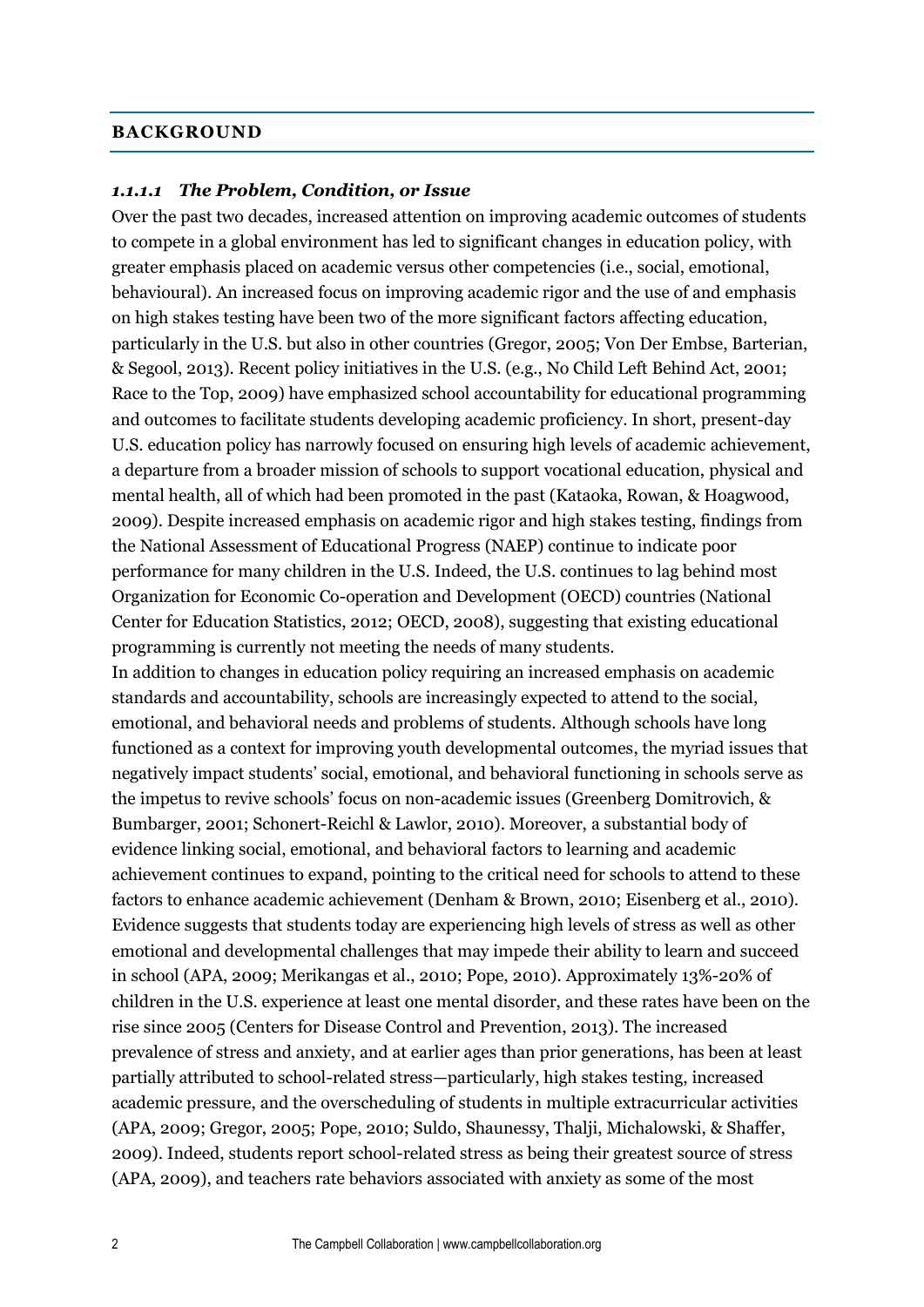#### **BACKGROUND**

#### *1.1.1.1 The Problem, Condition, or Issue*

Over the past two decades, increased attention on improving academic outcomes of students to compete in a global environment has led to significant changes in education policy, with greater emphasis placed on academic versus other competencies (i.e., social, emotional, behavioural). An increased focus on improving academic rigor and the use of and emphasis on high stakes testing have been two of the more significant factors affecting education, particularly in the U.S. but also in other countries (Gregor, 2005; Von Der Embse, Barterian, & Segool, 2013). Recent policy initiatives in the U.S. (e.g., No Child Left Behind Act, 2001; Race to the Top, 2009) have emphasized school accountability for educational programming and outcomes to facilitate students developing academic proficiency. In short, present-day U.S. education policy has narrowly focused on ensuring high levels of academic achievement, a departure from a broader mission of schools to support vocational education, physical and mental health, all of which had been promoted in the past (Kataoka, Rowan, & Hoagwood, 2009). Despite increased emphasis on academic rigor and high stakes testing, findings from the National Assessment of Educational Progress (NAEP) continue to indicate poor performance for many children in the U.S. Indeed, the U.S. continues to lag behind most Organization for Economic Co-operation and Development (OECD) countries (National Center for Education Statistics, 2012; OECD, 2008), suggesting that existing educational programming is currently not meeting the needs of many students.

In addition to changes in education policy requiring an increased emphasis on academic standards and accountability, schools are increasingly expected to attend to the social, emotional, and behavioral needs and problems of students. Although schools have long functioned as a context for improving youth developmental outcomes, the myriad issues that negatively impact students' social, emotional, and behavioral functioning in schools serve as the impetus to revive schools' focus on non-academic issues (Greenberg Domitrovich, & Bumbarger, 2001; Schonert-Reichl & Lawlor, 2010). Moreover, a substantial body of evidence linking social, emotional, and behavioral factors to learning and academic achievement continues to expand, pointing to the critical need for schools to attend to these factors to enhance academic achievement (Denham & Brown, 2010; Eisenberg et al., 2010). Evidence suggests that students today are experiencing high levels of stress as well as other emotional and developmental challenges that may impede their ability to learn and succeed in school (APA, 2009; Merikangas et al., 2010; Pope, 2010). Approximately 13%-20% of children in the U.S. experience at least one mental disorder, and these rates have been on the rise since 2005 (Centers for Disease Control and Prevention, 2013). The increased prevalence of stress and anxiety, and at earlier ages than prior generations, has been at least partially attributed to school-related stress—particularly, high stakes testing, increased academic pressure, and the overscheduling of students in multiple extracurricular activities (APA, 2009; Gregor, 2005; Pope, 2010; Suldo, Shaunessy, Thalji, Michalowski, & Shaffer, 2009). Indeed, students report school-related stress as being their greatest source of stress (APA, 2009), and teachers rate behaviors associated with anxiety as some of the most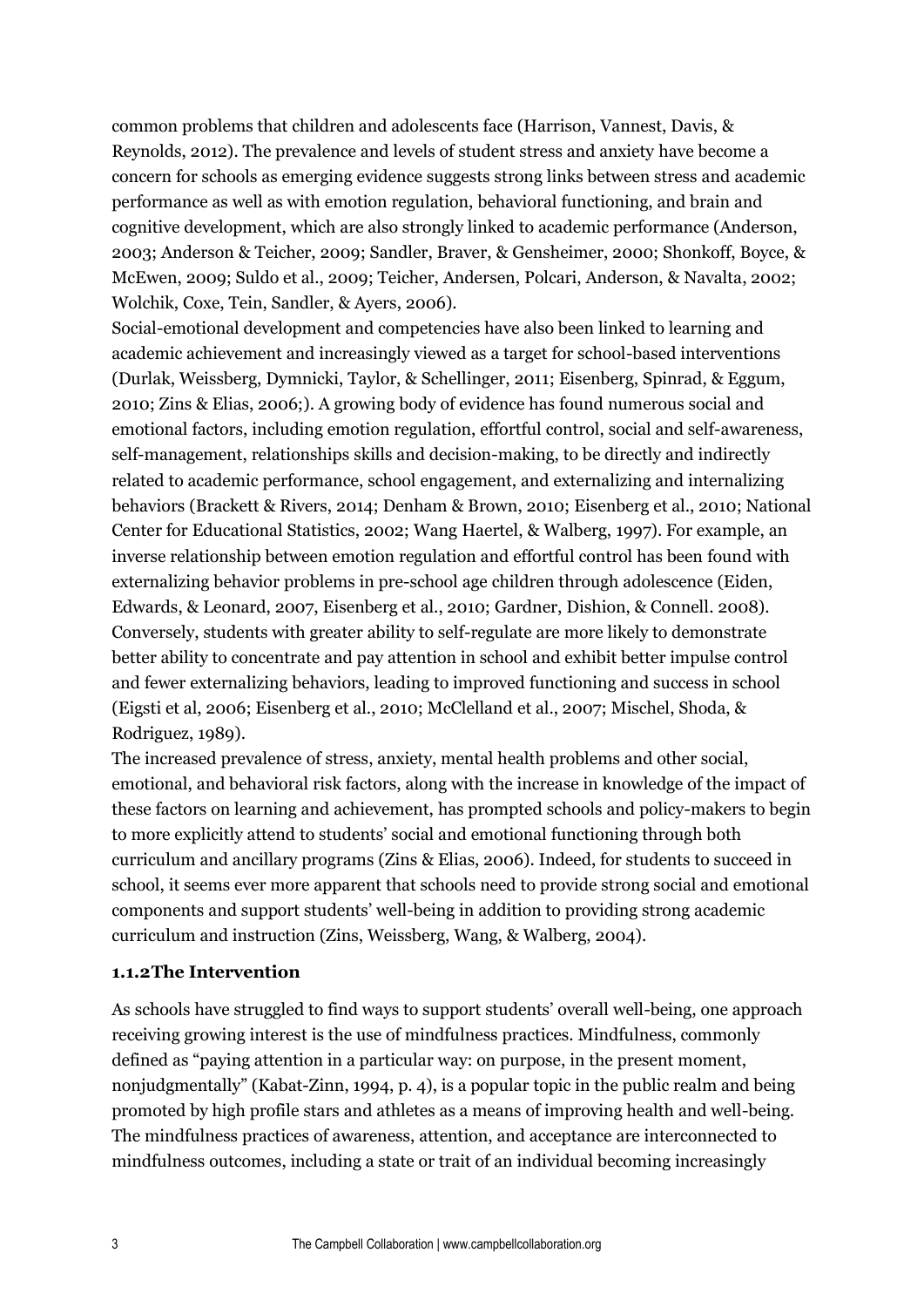common problems that children and adolescents face (Harrison, Vannest, Davis, & Reynolds, 2012). The prevalence and levels of student stress and anxiety have become a concern for schools as emerging evidence suggests strong links between stress and academic performance as well as with emotion regulation, behavioral functioning, and brain and cognitive development, which are also strongly linked to academic performance (Anderson, 2003; Anderson & Teicher, 2009; Sandler, Braver, & Gensheimer, 2000; Shonkoff, Boyce, & McEwen, 2009; Suldo et al., 2009; Teicher, Andersen, Polcari, Anderson, & Navalta, 2002; Wolchik, Coxe, Tein, Sandler, & Ayers, 2006).

Social-emotional development and competencies have also been linked to learning and academic achievement and increasingly viewed as a target for school-based interventions (Durlak, Weissberg, Dymnicki, Taylor, & Schellinger, 2011; Eisenberg, Spinrad, & Eggum, 2010; Zins & Elias, 2006;). A growing body of evidence has found numerous social and emotional factors, including emotion regulation, effortful control, social and self-awareness, self-management, relationships skills and decision-making, to be directly and indirectly related to academic performance, school engagement, and externalizing and internalizing behaviors (Brackett & Rivers, 2014; Denham & Brown, 2010; Eisenberg et al., 2010; National Center for Educational Statistics, 2002; Wang Haertel, & Walberg, 1997). For example, an inverse relationship between emotion regulation and effortful control has been found with externalizing behavior problems in pre-school age children through adolescence (Eiden, Edwards, & Leonard, 2007, Eisenberg et al., 2010; Gardner, Dishion, & Connell. 2008). Conversely, students with greater ability to self-regulate are more likely to demonstrate better ability to concentrate and pay attention in school and exhibit better impulse control and fewer externalizing behaviors, leading to improved functioning and success in school (Eigsti et al, 2006; Eisenberg et al., 2010; McClelland et al., 2007; Mischel, Shoda, & Rodriguez, 1989).

The increased prevalence of stress, anxiety, mental health problems and other social, emotional, and behavioral risk factors, along with the increase in knowledge of the impact of these factors on learning and achievement, has prompted schools and policy-makers to begin to more explicitly attend to students' social and emotional functioning through both curriculum and ancillary programs (Zins & Elias, 2006). Indeed, for students to succeed in school, it seems ever more apparent that schools need to provide strong social and emotional components and support students' well-being in addition to providing strong academic curriculum and instruction (Zins, Weissberg, Wang, & Walberg, 2004).

## **1.1.2The Intervention**

As schools have struggled to find ways to support students' overall well-being, one approach receiving growing interest is the use of mindfulness practices. Mindfulness, commonly defined as "paying attention in a particular way: on purpose, in the present moment, nonjudgmentally" (Kabat-Zinn, 1994, p. 4), is a popular topic in the public realm and being promoted by high profile stars and athletes as a means of improving health and well-being. The mindfulness practices of awareness, attention, and acceptance are interconnected to mindfulness outcomes, including a state or trait of an individual becoming increasingly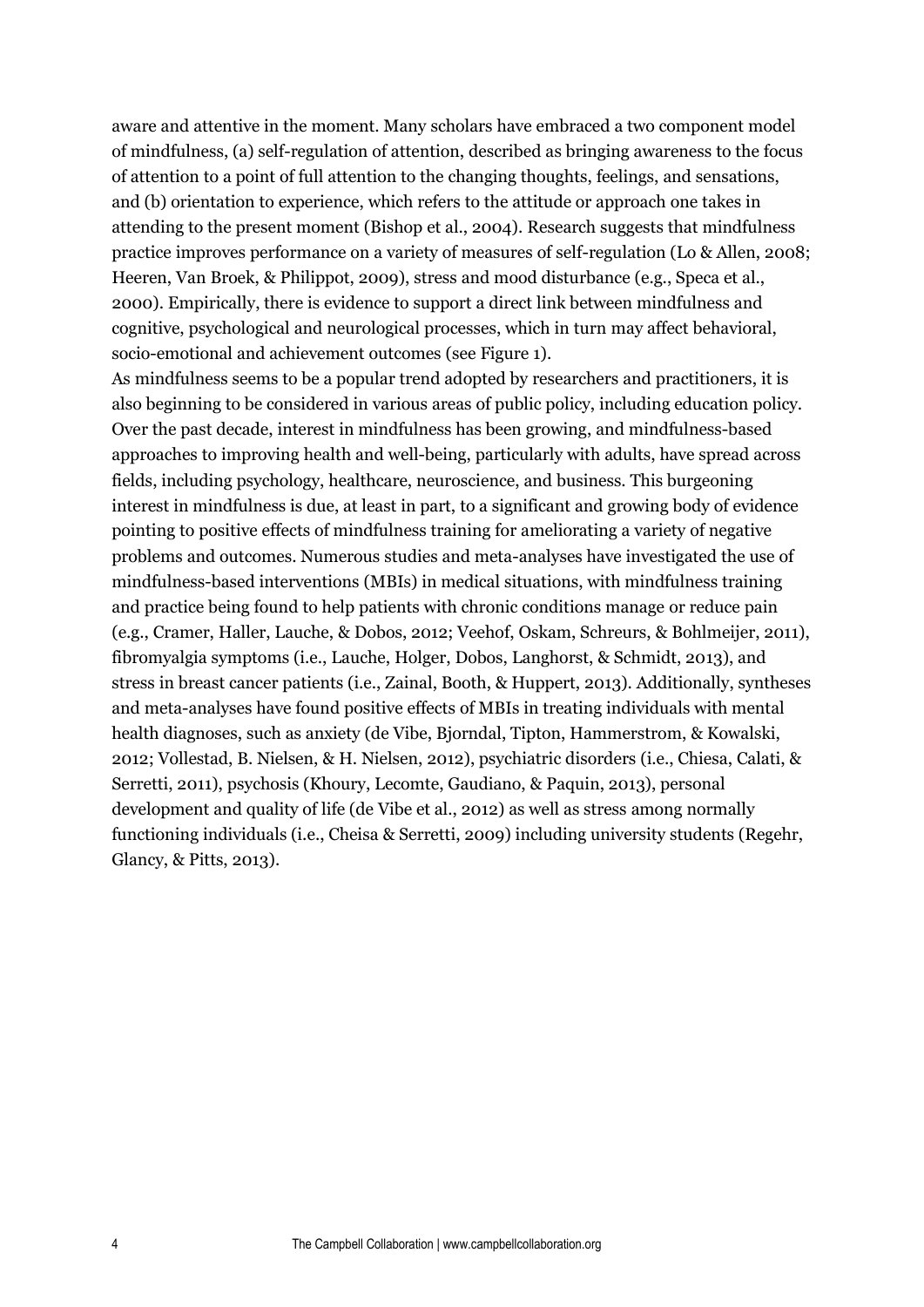aware and attentive in the moment. Many scholars have embraced a two component model of mindfulness, (a) self-regulation of attention, described as bringing awareness to the focus of attention to a point of full attention to the changing thoughts, feelings, and sensations, and (b) orientation to experience, which refers to the attitude or approach one takes in attending to the present moment (Bishop et al., 2004). Research suggests that mindfulness practice improves performance on a variety of measures of self-regulation (Lo & Allen, 2008; Heeren, Van Broek, & Philippot, 2009), stress and mood disturbance (e.g., Speca et al., 2000). Empirically, there is evidence to support a direct link between mindfulness and cognitive, psychological and neurological processes, which in turn may affect behavioral, socio-emotional and achievement outcomes (see Figure 1).

As mindfulness seems to be a popular trend adopted by researchers and practitioners, it is also beginning to be considered in various areas of public policy, including education policy. Over the past decade, interest in mindfulness has been growing, and mindfulness-based approaches to improving health and well-being, particularly with adults, have spread across fields, including psychology, healthcare, neuroscience, and business. This burgeoning interest in mindfulness is due, at least in part, to a significant and growing body of evidence pointing to positive effects of mindfulness training for ameliorating a variety of negative problems and outcomes. Numerous studies and meta-analyses have investigated the use of mindfulness-based interventions (MBIs) in medical situations, with mindfulness training and practice being found to help patients with chronic conditions manage or reduce pain (e.g., Cramer, Haller, Lauche, & Dobos, 2012; Veehof, Oskam, Schreurs, & Bohlmeijer, 2011), fibromyalgia symptoms (i.e., Lauche, Holger, Dobos, Langhorst, & Schmidt, 2013), and stress in breast cancer patients (i.e., Zainal, Booth, & Huppert, 2013). Additionally, syntheses and meta-analyses have found positive effects of MBIs in treating individuals with mental health diagnoses, such as anxiety (de Vibe, Bjorndal, Tipton, Hammerstrom, & Kowalski, 2012; Vollestad, B. Nielsen, & H. Nielsen, 2012), psychiatric disorders (i.e., Chiesa, Calati, & Serretti, 2011), psychosis (Khoury, Lecomte, Gaudiano, & Paquin, 2013), personal development and quality of life (de Vibe et al., 2012) as well as stress among normally functioning individuals (i.e., Cheisa & Serretti, 2009) including university students (Regehr, Glancy, & Pitts, 2013).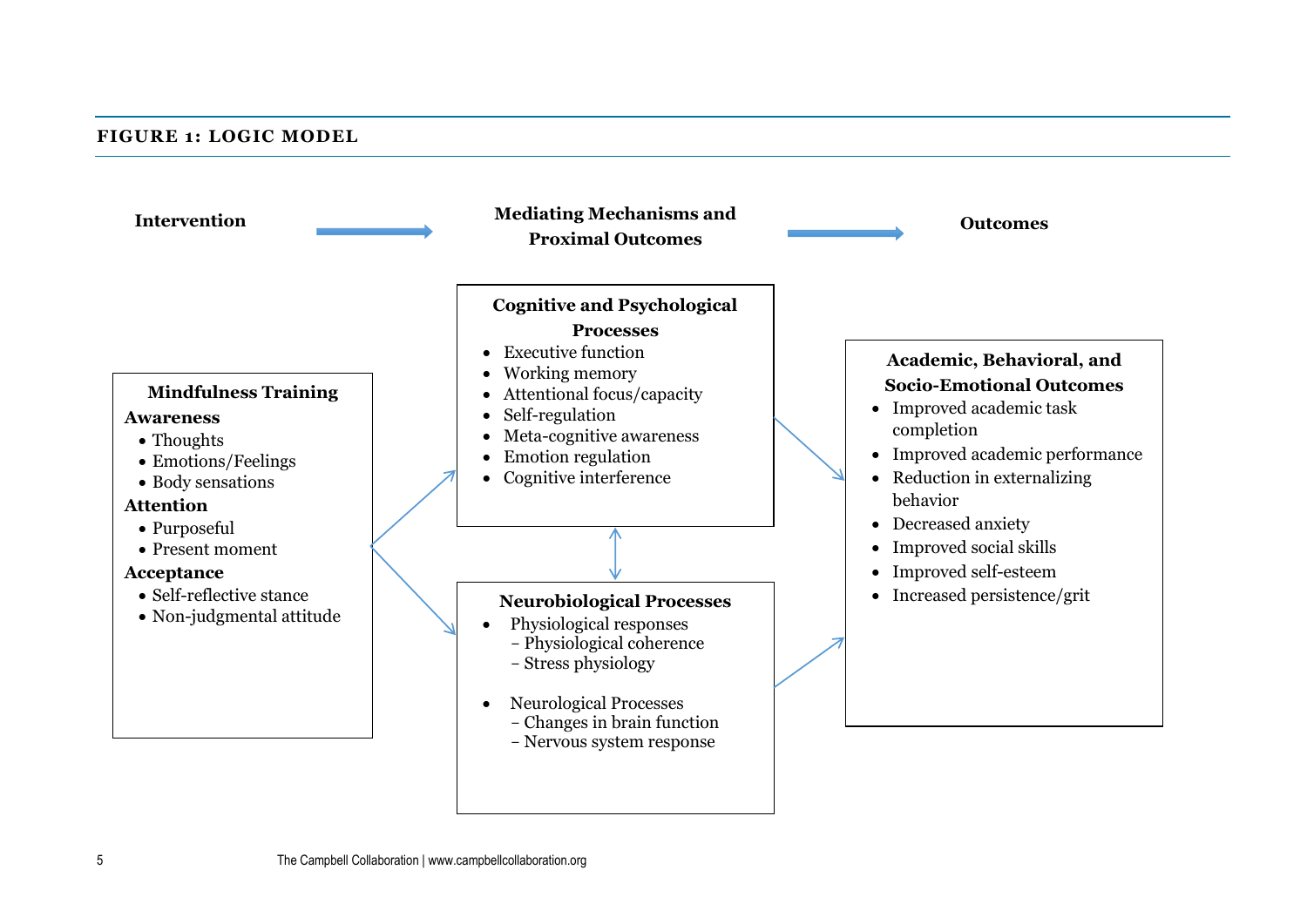#### **FIGURE 1: LOGIC MODEL**

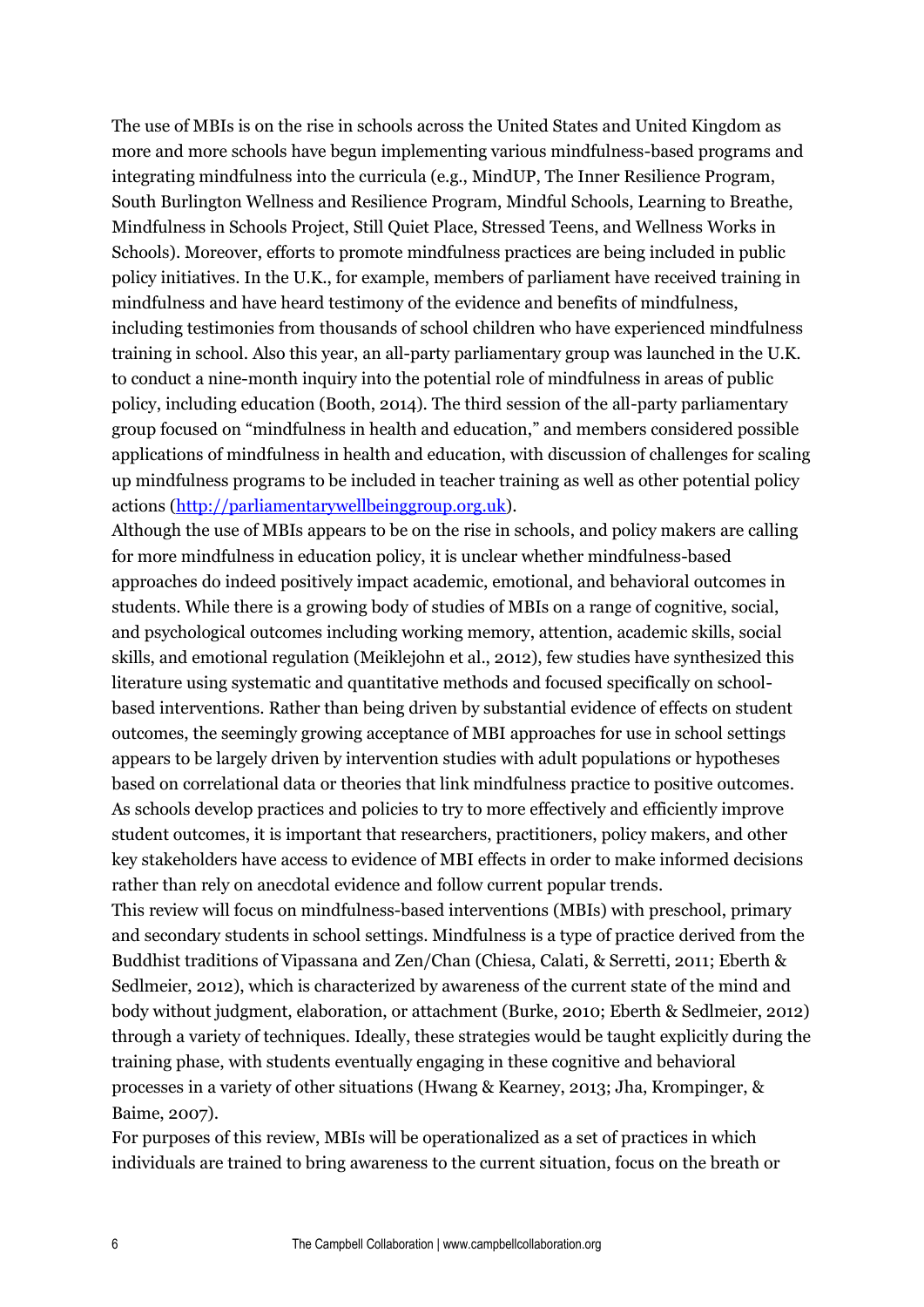The use of MBIs is on the rise in schools across the United States and United Kingdom as more and more schools have begun implementing various mindfulness-based programs and integrating mindfulness into the curricula (e.g., MindUP, The Inner Resilience Program, South Burlington Wellness and Resilience Program, Mindful Schools, Learning to Breathe, Mindfulness in Schools Project, Still Quiet Place, Stressed Teens, and Wellness Works in Schools). Moreover, efforts to promote mindfulness practices are being included in public policy initiatives. In the U.K., for example, members of parliament have received training in mindfulness and have heard testimony of the evidence and benefits of mindfulness, including testimonies from thousands of school children who have experienced mindfulness training in school. Also this year, an all-party parliamentary group was launched in the U.K. to conduct a nine-month inquiry into the potential role of mindfulness in areas of public policy, including education (Booth, 2014). The third session of the all-party parliamentary group focused on "mindfulness in health and education," and members considered possible applications of mindfulness in health and education, with discussion of challenges for scaling up mindfulness programs to be included in teacher training as well as other potential policy actions [\(http://parliamentarywellbeinggroup.org.uk\)](http://parliamentarywellbeinggroup.org.uk/).

Although the use of MBIs appears to be on the rise in schools, and policy makers are calling for more mindfulness in education policy, it is unclear whether mindfulness-based approaches do indeed positively impact academic, emotional, and behavioral outcomes in students. While there is a growing body of studies of MBIs on a range of cognitive, social, and psychological outcomes including working memory, attention, academic skills, social skills, and emotional regulation (Meiklejohn et al., 2012), few studies have synthesized this literature using systematic and quantitative methods and focused specifically on schoolbased interventions. Rather than being driven by substantial evidence of effects on student outcomes, the seemingly growing acceptance of MBI approaches for use in school settings appears to be largely driven by intervention studies with adult populations or hypotheses based on correlational data or theories that link mindfulness practice to positive outcomes. As schools develop practices and policies to try to more effectively and efficiently improve student outcomes, it is important that researchers, practitioners, policy makers, and other key stakeholders have access to evidence of MBI effects in order to make informed decisions rather than rely on anecdotal evidence and follow current popular trends.

This review will focus on mindfulness-based interventions (MBIs) with preschool, primary and secondary students in school settings. Mindfulness is a type of practice derived from the Buddhist traditions of Vipassana and Zen/Chan (Chiesa, Calati, & Serretti, 2011; Eberth & Sedlmeier, 2012), which is characterized by awareness of the current state of the mind and body without judgment, elaboration, or attachment (Burke, 2010; Eberth & Sedlmeier, 2012) through a variety of techniques. Ideally, these strategies would be taught explicitly during the training phase, with students eventually engaging in these cognitive and behavioral processes in a variety of other situations (Hwang & Kearney, 2013; Jha, Krompinger, & Baime, 2007).

For purposes of this review, MBIs will be operationalized as a set of practices in which individuals are trained to bring awareness to the current situation, focus on the breath or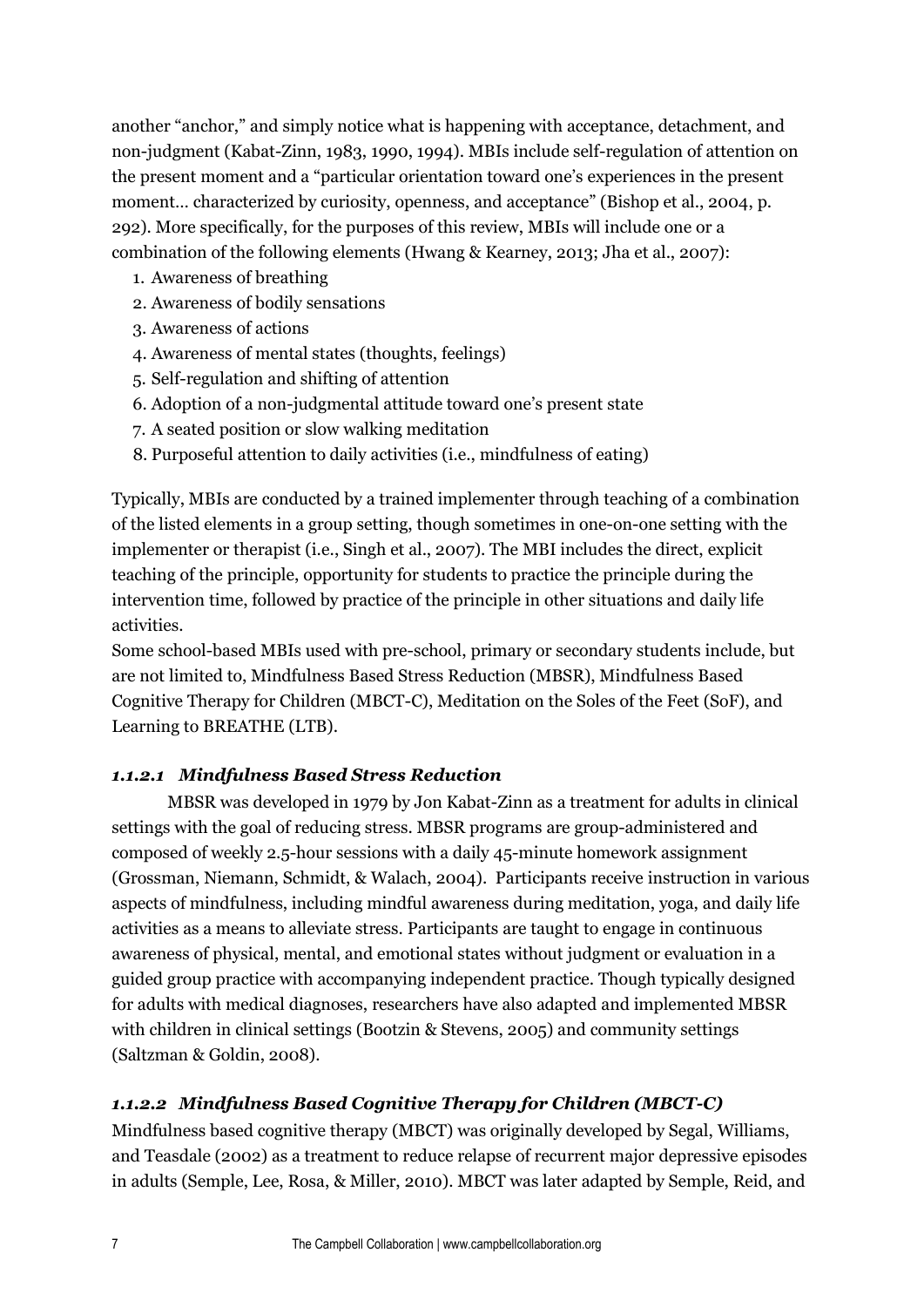another "anchor," and simply notice what is happening with acceptance, detachment, and non-judgment (Kabat-Zinn, 1983, 1990, 1994). MBIs include self-regulation of attention on the present moment and a "particular orientation toward one's experiences in the present moment… characterized by curiosity, openness, and acceptance" (Bishop et al., 2004, p. 292). More specifically, for the purposes of this review, MBIs will include one or a combination of the following elements (Hwang & Kearney, 2013; Jha et al., 2007):

- 1. Awareness of breathing
- 2. Awareness of bodily sensations
- 3. Awareness of actions
- 4. Awareness of mental states (thoughts, feelings)
- 5. Self-regulation and shifting of attention
- 6. Adoption of a non-judgmental attitude toward one's present state
- 7. A seated position or slow walking meditation
- 8. Purposeful attention to daily activities (i.e., mindfulness of eating)

Typically, MBIs are conducted by a trained implementer through teaching of a combination of the listed elements in a group setting, though sometimes in one-on-one setting with the implementer or therapist (i.e., Singh et al., 2007). The MBI includes the direct, explicit teaching of the principle, opportunity for students to practice the principle during the intervention time, followed by practice of the principle in other situations and daily life activities.

Some school-based MBIs used with pre-school, primary or secondary students include, but are not limited to, Mindfulness Based Stress Reduction (MBSR), Mindfulness Based Cognitive Therapy for Children (MBCT-C), Meditation on the Soles of the Feet (SoF), and Learning to BREATHE (LTB).

## *1.1.2.1 Mindfulness Based Stress Reduction*

MBSR was developed in 1979 by Jon Kabat-Zinn as a treatment for adults in clinical settings with the goal of reducing stress. MBSR programs are group-administered and composed of weekly 2.5-hour sessions with a daily 45-minute homework assignment (Grossman, Niemann, Schmidt, & Walach, 2004). Participants receive instruction in various aspects of mindfulness, including mindful awareness during meditation, yoga, and daily life activities as a means to alleviate stress. Participants are taught to engage in continuous awareness of physical, mental, and emotional states without judgment or evaluation in a guided group practice with accompanying independent practice. Though typically designed for adults with medical diagnoses, researchers have also adapted and implemented MBSR with children in clinical settings (Bootzin & Stevens, 2005) and community settings (Saltzman & Goldin, 2008).

## *1.1.2.2 Mindfulness Based Cognitive Therapy for Children (MBCT-C)*

Mindfulness based cognitive therapy (MBCT) was originally developed by Segal, Williams, and Teasdale (2002) as a treatment to reduce relapse of recurrent major depressive episodes in adults (Semple, Lee, Rosa, & Miller, 2010). MBCT was later adapted by Semple, Reid, and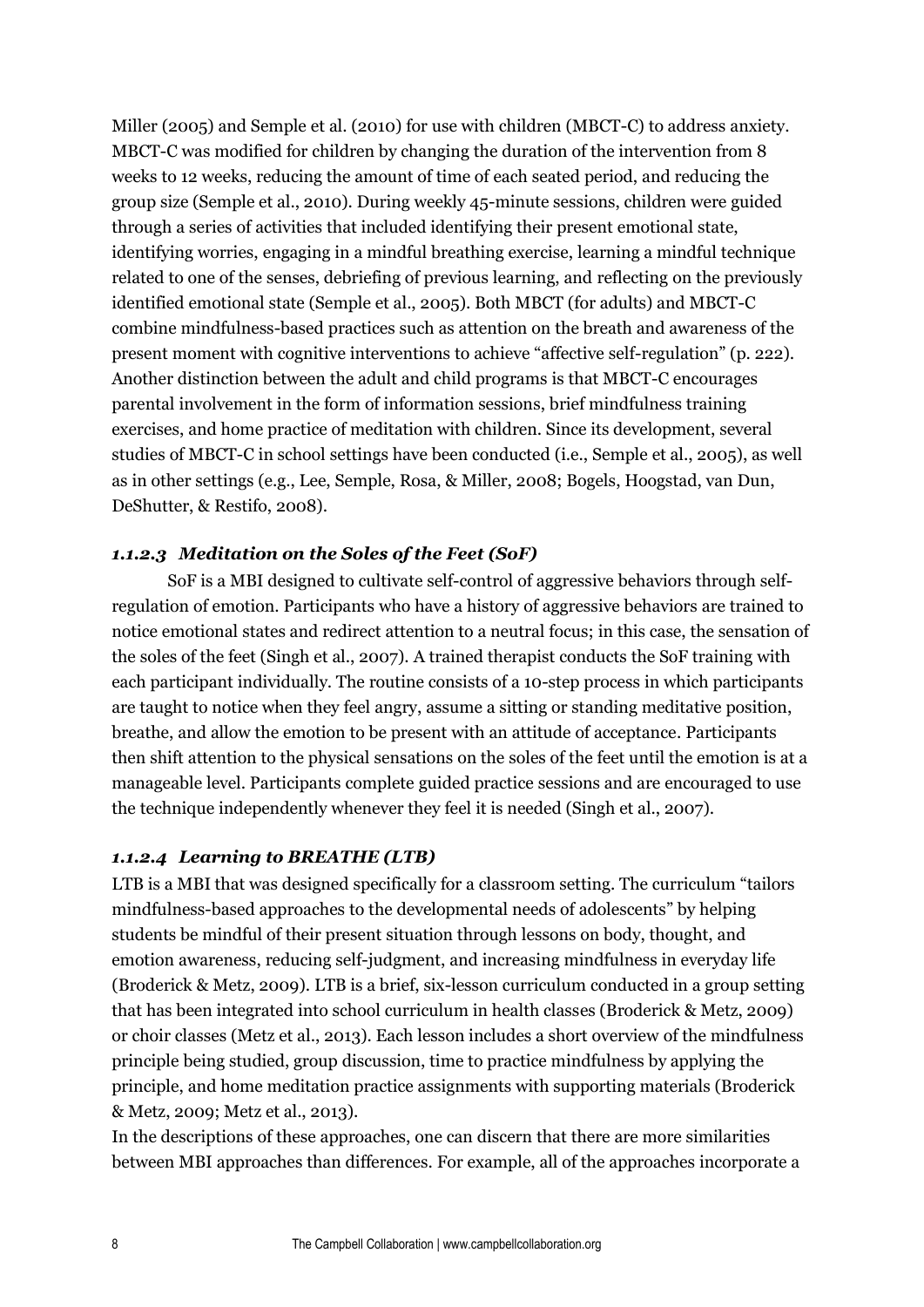Miller (2005) and Semple et al. (2010) for use with children (MBCT-C) to address anxiety. MBCT-C was modified for children by changing the duration of the intervention from 8 weeks to 12 weeks, reducing the amount of time of each seated period, and reducing the group size (Semple et al., 2010). During weekly 45-minute sessions, children were guided through a series of activities that included identifying their present emotional state, identifying worries, engaging in a mindful breathing exercise, learning a mindful technique related to one of the senses, debriefing of previous learning, and reflecting on the previously identified emotional state (Semple et al., 2005). Both MBCT (for adults) and MBCT-C combine mindfulness-based practices such as attention on the breath and awareness of the present moment with cognitive interventions to achieve "affective self-regulation" (p. 222). Another distinction between the adult and child programs is that MBCT-C encourages parental involvement in the form of information sessions, brief mindfulness training exercises, and home practice of meditation with children. Since its development, several studies of MBCT-C in school settings have been conducted (i.e., Semple et al., 2005), as well as in other settings (e.g., Lee, Semple, Rosa, & Miller, 2008; Bogels, Hoogstad, van Dun, DeShutter, & Restifo, 2008).

## *1.1.2.3 Meditation on the Soles of the Feet (SoF)*

SoF is a MBI designed to cultivate self-control of aggressive behaviors through selfregulation of emotion. Participants who have a history of aggressive behaviors are trained to notice emotional states and redirect attention to a neutral focus; in this case, the sensation of the soles of the feet (Singh et al., 2007). A trained therapist conducts the SoF training with each participant individually. The routine consists of a 10-step process in which participants are taught to notice when they feel angry, assume a sitting or standing meditative position, breathe, and allow the emotion to be present with an attitude of acceptance. Participants then shift attention to the physical sensations on the soles of the feet until the emotion is at a manageable level. Participants complete guided practice sessions and are encouraged to use the technique independently whenever they feel it is needed (Singh et al., 2007).

## *1.1.2.4 Learning to BREATHE (LTB)*

LTB is a MBI that was designed specifically for a classroom setting. The curriculum "tailors mindfulness-based approaches to the developmental needs of adolescents" by helping students be mindful of their present situation through lessons on body, thought, and emotion awareness, reducing self-judgment, and increasing mindfulness in everyday life (Broderick & Metz, 2009). LTB is a brief, six-lesson curriculum conducted in a group setting that has been integrated into school curriculum in health classes (Broderick & Metz, 2009) or choir classes (Metz et al., 2013). Each lesson includes a short overview of the mindfulness principle being studied, group discussion, time to practice mindfulness by applying the principle, and home meditation practice assignments with supporting materials (Broderick & Metz, 2009; Metz et al., 2013).

In the descriptions of these approaches, one can discern that there are more similarities between MBI approaches than differences. For example, all of the approaches incorporate a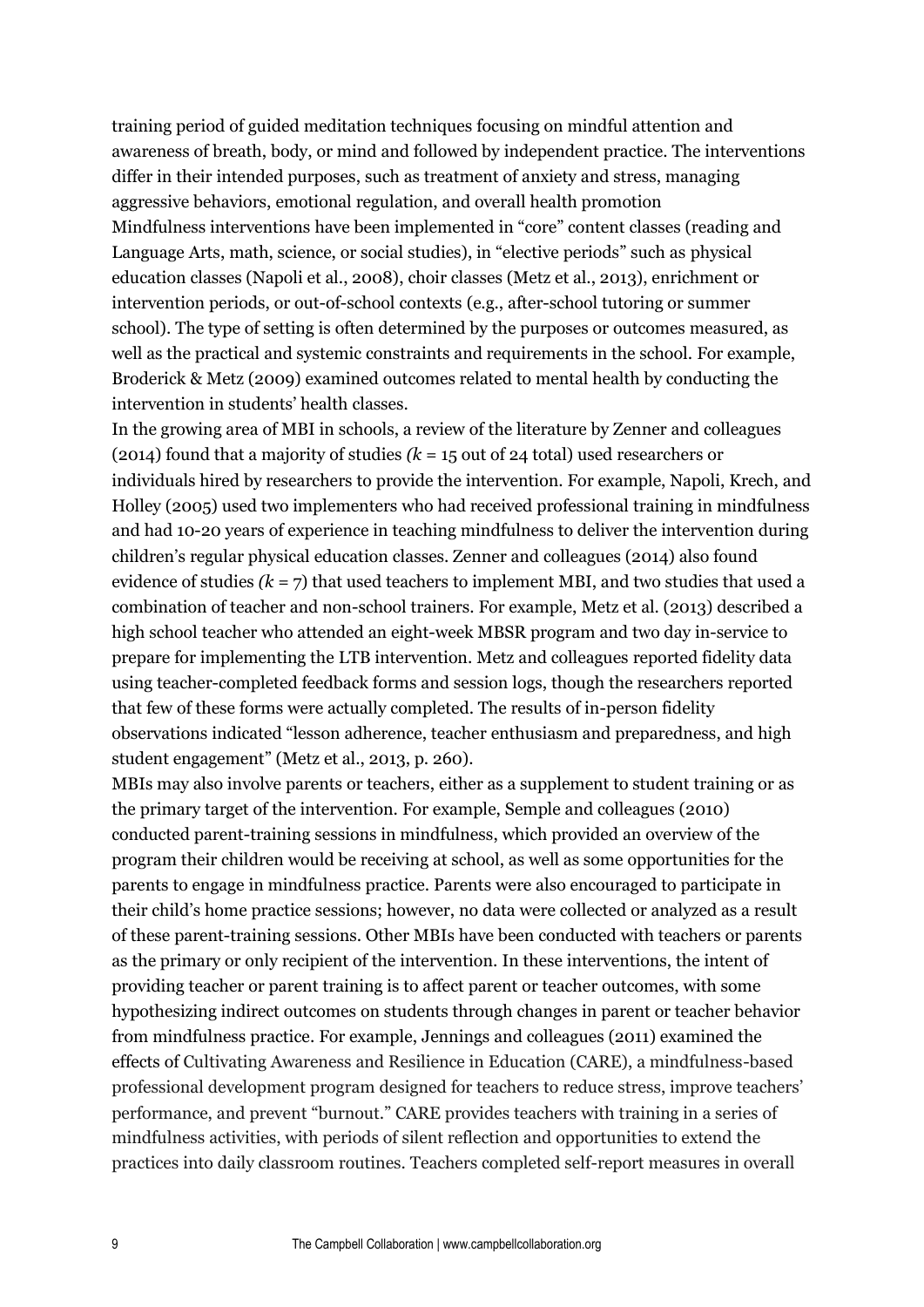training period of guided meditation techniques focusing on mindful attention and awareness of breath, body, or mind and followed by independent practice. The interventions differ in their intended purposes, such as treatment of anxiety and stress, managing aggressive behaviors, emotional regulation, and overall health promotion Mindfulness interventions have been implemented in "core" content classes (reading and Language Arts, math, science, or social studies), in "elective periods" such as physical education classes (Napoli et al., 2008), choir classes (Metz et al., 2013), enrichment or intervention periods, or out-of-school contexts (e.g., after-school tutoring or summer school). The type of setting is often determined by the purposes or outcomes measured, as well as the practical and systemic constraints and requirements in the school. For example, Broderick & Metz (2009) examined outcomes related to mental health by conducting the intervention in students' health classes.

In the growing area of MBI in schools, a review of the literature by Zenner and colleagues (2014) found that a majority of studies *(k =* 15 out of 24 total) used researchers or individuals hired by researchers to provide the intervention. For example, Napoli, Krech, and Holley (2005) used two implementers who had received professional training in mindfulness and had 10-20 years of experience in teaching mindfulness to deliver the intervention during children's regular physical education classes. Zenner and colleagues (2014) also found evidence of studies *(k =* 7) that used teachers to implement MBI, and two studies that used a combination of teacher and non-school trainers. For example, Metz et al. (2013) described a high school teacher who attended an eight-week MBSR program and two day in-service to prepare for implementing the LTB intervention. Metz and colleagues reported fidelity data using teacher-completed feedback forms and session logs, though the researchers reported that few of these forms were actually completed. The results of in-person fidelity observations indicated "lesson adherence, teacher enthusiasm and preparedness, and high student engagement" (Metz et al., 2013, p. 260).

MBIs may also involve parents or teachers, either as a supplement to student training or as the primary target of the intervention. For example, Semple and colleagues (2010) conducted parent-training sessions in mindfulness, which provided an overview of the program their children would be receiving at school, as well as some opportunities for the parents to engage in mindfulness practice. Parents were also encouraged to participate in their child's home practice sessions; however, no data were collected or analyzed as a result of these parent-training sessions. Other MBIs have been conducted with teachers or parents as the primary or only recipient of the intervention. In these interventions, the intent of providing teacher or parent training is to affect parent or teacher outcomes, with some hypothesizing indirect outcomes on students through changes in parent or teacher behavior from mindfulness practice. For example, Jennings and colleagues (2011) examined the effects of Cultivating Awareness and Resilience in Education (CARE), a mindfulness-based professional development program designed for teachers to reduce stress, improve teachers' performance, and prevent "burnout." CARE provides teachers with training in a series of mindfulness activities, with periods of silent reflection and opportunities to extend the practices into daily classroom routines. Teachers completed self-report measures in overall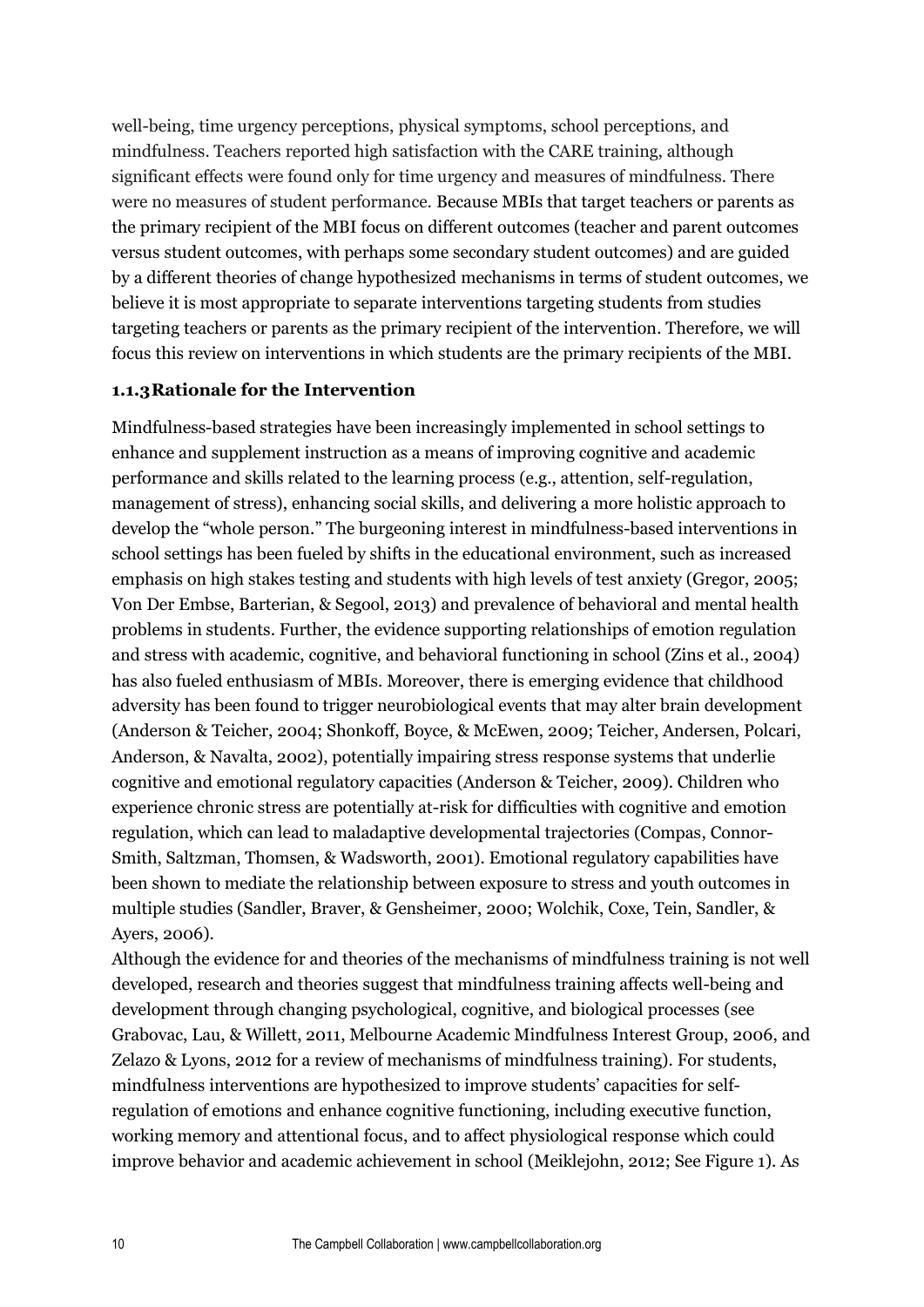well-being, time urgency perceptions, physical symptoms, school perceptions, and mindfulness. Teachers reported high satisfaction with the CARE training, although significant effects were found only for time urgency and measures of mindfulness. There were no measures of student performance. Because MBIs that target teachers or parents as the primary recipient of the MBI focus on different outcomes (teacher and parent outcomes versus student outcomes, with perhaps some secondary student outcomes) and are guided by a different theories of change hypothesized mechanisms in terms of student outcomes, we believe it is most appropriate to separate interventions targeting students from studies targeting teachers or parents as the primary recipient of the intervention. Therefore, we will focus this review on interventions in which students are the primary recipients of the MBI.

## **1.1.3Rationale for the Intervention**

Mindfulness-based strategies have been increasingly implemented in school settings to enhance and supplement instruction as a means of improving cognitive and academic performance and skills related to the learning process (e.g., attention, self-regulation, management of stress), enhancing social skills, and delivering a more holistic approach to develop the "whole person." The burgeoning interest in mindfulness-based interventions in school settings has been fueled by shifts in the educational environment, such as increased emphasis on high stakes testing and students with high levels of test anxiety (Gregor, 2005; Von Der Embse, Barterian, & Segool, 2013) and prevalence of behavioral and mental health problems in students. Further, the evidence supporting relationships of emotion regulation and stress with academic, cognitive, and behavioral functioning in school (Zins et al., 2004) has also fueled enthusiasm of MBIs. Moreover, there is emerging evidence that childhood adversity has been found to trigger neurobiological events that may alter brain development (Anderson & Teicher, 2004; Shonkoff, Boyce, & McEwen, 2009; Teicher, Andersen, Polcari, Anderson, & Navalta, 2002), potentially impairing stress response systems that underlie cognitive and emotional regulatory capacities (Anderson & Teicher, 2009). Children who experience chronic stress are potentially at-risk for difficulties with cognitive and emotion regulation, which can lead to maladaptive developmental trajectories (Compas, Connor-Smith, Saltzman, Thomsen, & Wadsworth, 2001). Emotional regulatory capabilities have been shown to mediate the relationship between exposure to stress and youth outcomes in multiple studies (Sandler, Braver, & Gensheimer, 2000; Wolchik, Coxe, Tein, Sandler, & Ayers, 2006).

Although the evidence for and theories of the mechanisms of mindfulness training is not well developed, research and theories suggest that mindfulness training affects well-being and development through changing psychological, cognitive, and biological processes (see Grabovac, Lau, & Willett, 2011, Melbourne Academic Mindfulness Interest Group, 2006, and Zelazo & Lyons, 2012 for a review of mechanisms of mindfulness training). For students, mindfulness interventions are hypothesized to improve students' capacities for selfregulation of emotions and enhance cognitive functioning, including executive function, working memory and attentional focus, and to affect physiological response which could improve behavior and academic achievement in school (Meiklejohn, 2012; See Figure 1). As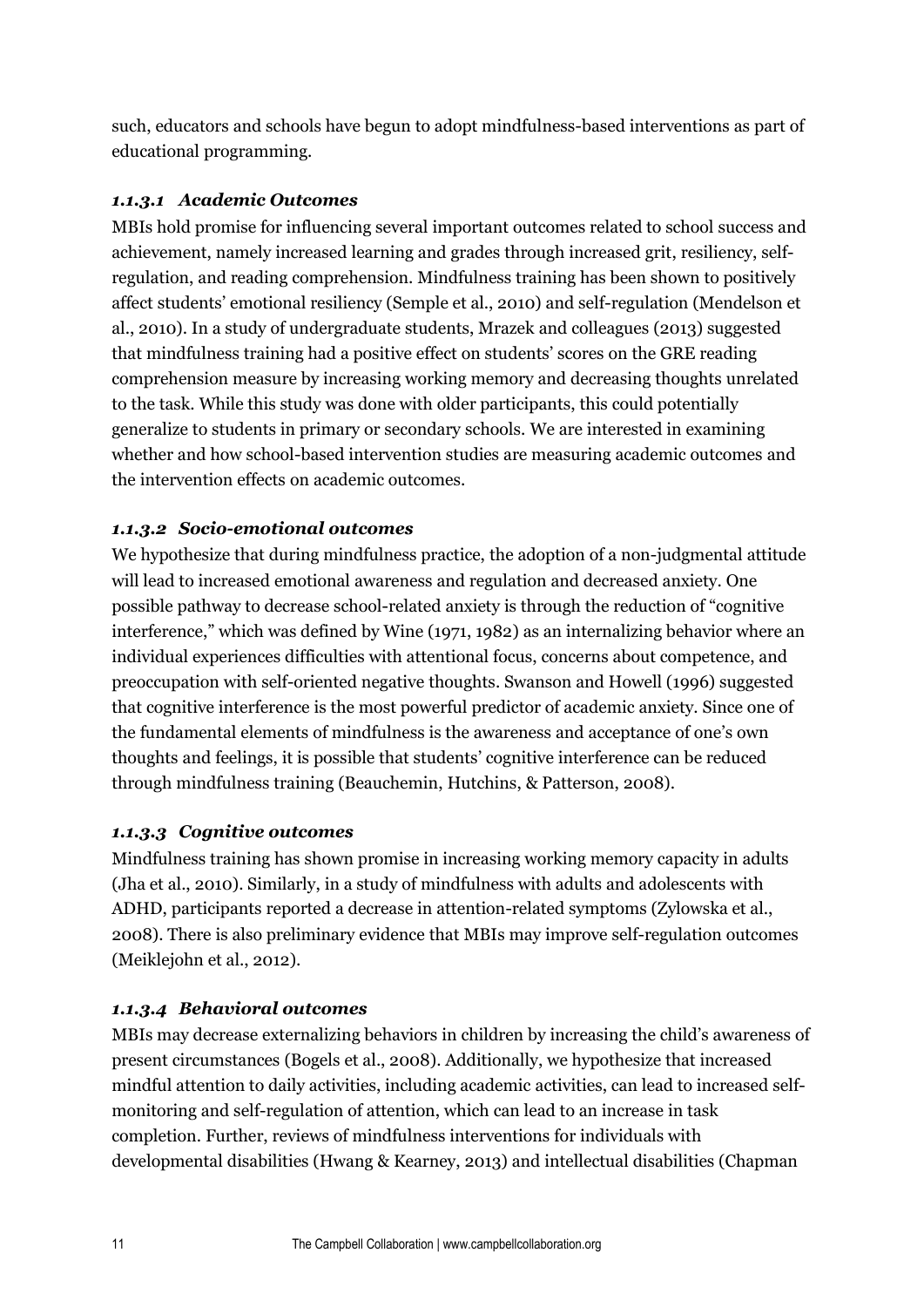such, educators and schools have begun to adopt mindfulness-based interventions as part of educational programming.

## *1.1.3.1 Academic Outcomes*

MBIs hold promise for influencing several important outcomes related to school success and achievement, namely increased learning and grades through increased grit, resiliency, selfregulation, and reading comprehension. Mindfulness training has been shown to positively affect students' emotional resiliency (Semple et al., 2010) and self-regulation (Mendelson et al., 2010). In a study of undergraduate students, Mrazek and colleagues (2013) suggested that mindfulness training had a positive effect on students' scores on the GRE reading comprehension measure by increasing working memory and decreasing thoughts unrelated to the task. While this study was done with older participants, this could potentially generalize to students in primary or secondary schools. We are interested in examining whether and how school-based intervention studies are measuring academic outcomes and the intervention effects on academic outcomes.

## *1.1.3.2 Socio-emotional outcomes*

We hypothesize that during mindfulness practice, the adoption of a non-judgmental attitude will lead to increased emotional awareness and regulation and decreased anxiety. One possible pathway to decrease school-related anxiety is through the reduction of "cognitive interference," which was defined by Wine (1971, 1982) as an internalizing behavior where an individual experiences difficulties with attentional focus, concerns about competence, and preoccupation with self-oriented negative thoughts. Swanson and Howell (1996) suggested that cognitive interference is the most powerful predictor of academic anxiety. Since one of the fundamental elements of mindfulness is the awareness and acceptance of one's own thoughts and feelings, it is possible that students' cognitive interference can be reduced through mindfulness training (Beauchemin, Hutchins, & Patterson, 2008).

## *1.1.3.3 Cognitive outcomes*

Mindfulness training has shown promise in increasing working memory capacity in adults (Jha et al., 2010). Similarly, in a study of mindfulness with adults and adolescents with ADHD, participants reported a decrease in attention-related symptoms (Zylowska et al., 2008). There is also preliminary evidence that MBIs may improve self-regulation outcomes (Meiklejohn et al., 2012).

## *1.1.3.4 Behavioral outcomes*

MBIs may decrease externalizing behaviors in children by increasing the child's awareness of present circumstances (Bogels et al., 2008). Additionally, we hypothesize that increased mindful attention to daily activities, including academic activities, can lead to increased selfmonitoring and self-regulation of attention, which can lead to an increase in task completion. Further, reviews of mindfulness interventions for individuals with developmental disabilities (Hwang & Kearney, 2013) and intellectual disabilities (Chapman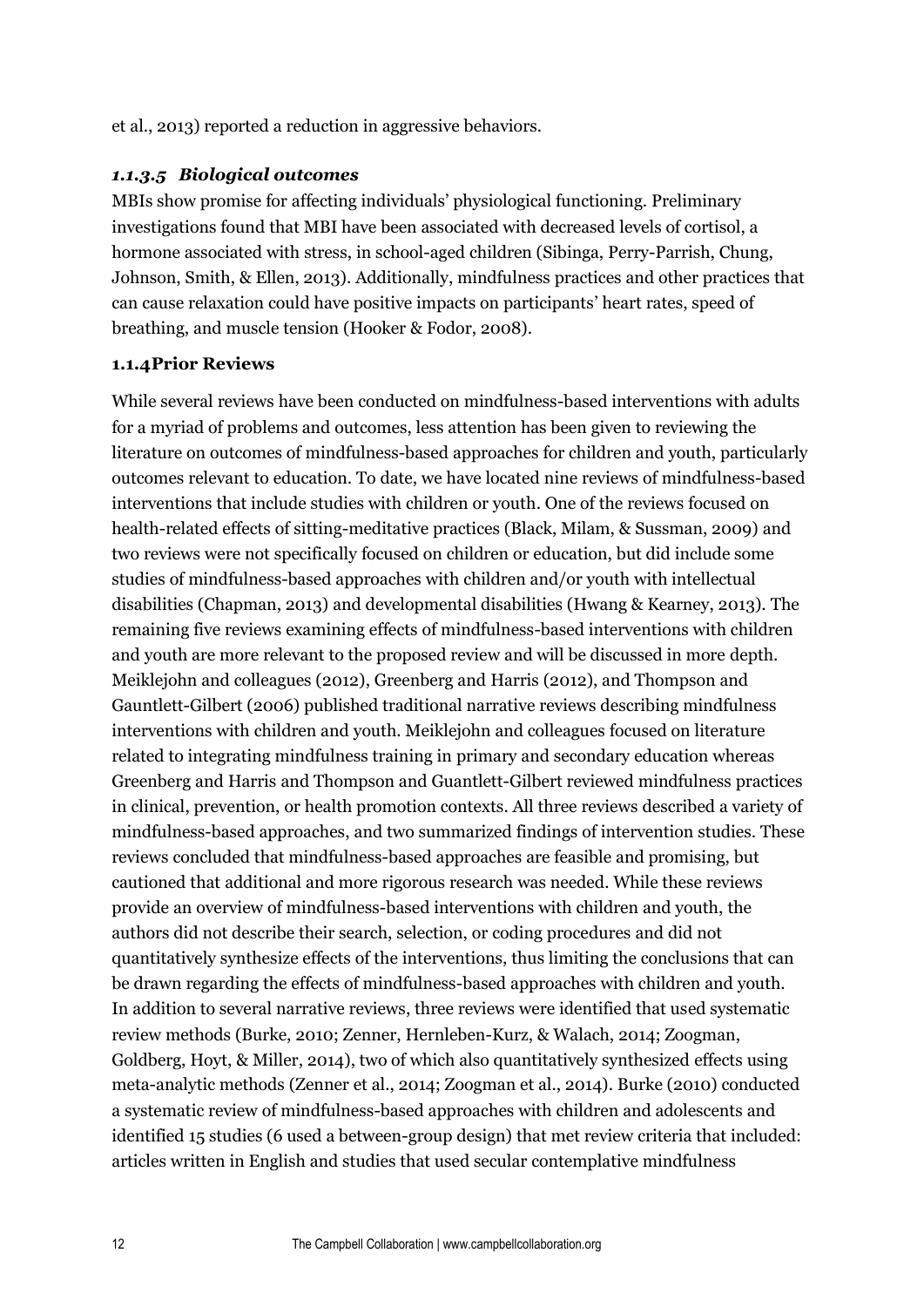et al., 2013) reported a reduction in aggressive behaviors.

## *1.1.3.5 Biological outcomes*

MBIs show promise for affecting individuals' physiological functioning. Preliminary investigations found that MBI have been associated with decreased levels of cortisol, a hormone associated with stress, in school-aged children (Sibinga, Perry-Parrish, Chung, Johnson, Smith, & Ellen, 2013). Additionally, mindfulness practices and other practices that can cause relaxation could have positive impacts on participants' heart rates, speed of breathing, and muscle tension (Hooker & Fodor, 2008).

## **1.1.4Prior Reviews**

While several reviews have been conducted on mindfulness-based interventions with adults for a myriad of problems and outcomes, less attention has been given to reviewing the literature on outcomes of mindfulness-based approaches for children and youth, particularly outcomes relevant to education. To date, we have located nine reviews of mindfulness-based interventions that include studies with children or youth. One of the reviews focused on health-related effects of sitting-meditative practices (Black, Milam, & Sussman, 2009) and two reviews were not specifically focused on children or education, but did include some studies of mindfulness-based approaches with children and/or youth with intellectual disabilities (Chapman, 2013) and developmental disabilities (Hwang & Kearney, 2013). The remaining five reviews examining effects of mindfulness-based interventions with children and youth are more relevant to the proposed review and will be discussed in more depth. Meiklejohn and colleagues (2012), Greenberg and Harris (2012), and Thompson and Gauntlett-Gilbert (2006) published traditional narrative reviews describing mindfulness interventions with children and youth. Meiklejohn and colleagues focused on literature related to integrating mindfulness training in primary and secondary education whereas Greenberg and Harris and Thompson and Guantlett-Gilbert reviewed mindfulness practices in clinical, prevention, or health promotion contexts. All three reviews described a variety of mindfulness-based approaches, and two summarized findings of intervention studies. These reviews concluded that mindfulness-based approaches are feasible and promising, but cautioned that additional and more rigorous research was needed. While these reviews provide an overview of mindfulness-based interventions with children and youth, the authors did not describe their search, selection, or coding procedures and did not quantitatively synthesize effects of the interventions, thus limiting the conclusions that can be drawn regarding the effects of mindfulness-based approaches with children and youth. In addition to several narrative reviews, three reviews were identified that used systematic review methods (Burke, 2010; Zenner, Hernleben-Kurz, & Walach, 2014; Zoogman, Goldberg, Hoyt, & Miller, 2014), two of which also quantitatively synthesized effects using meta-analytic methods (Zenner et al., 2014; Zoogman et al., 2014). Burke (2010) conducted a systematic review of mindfulness-based approaches with children and adolescents and identified 15 studies (6 used a between-group design) that met review criteria that included: articles written in English and studies that used secular contemplative mindfulness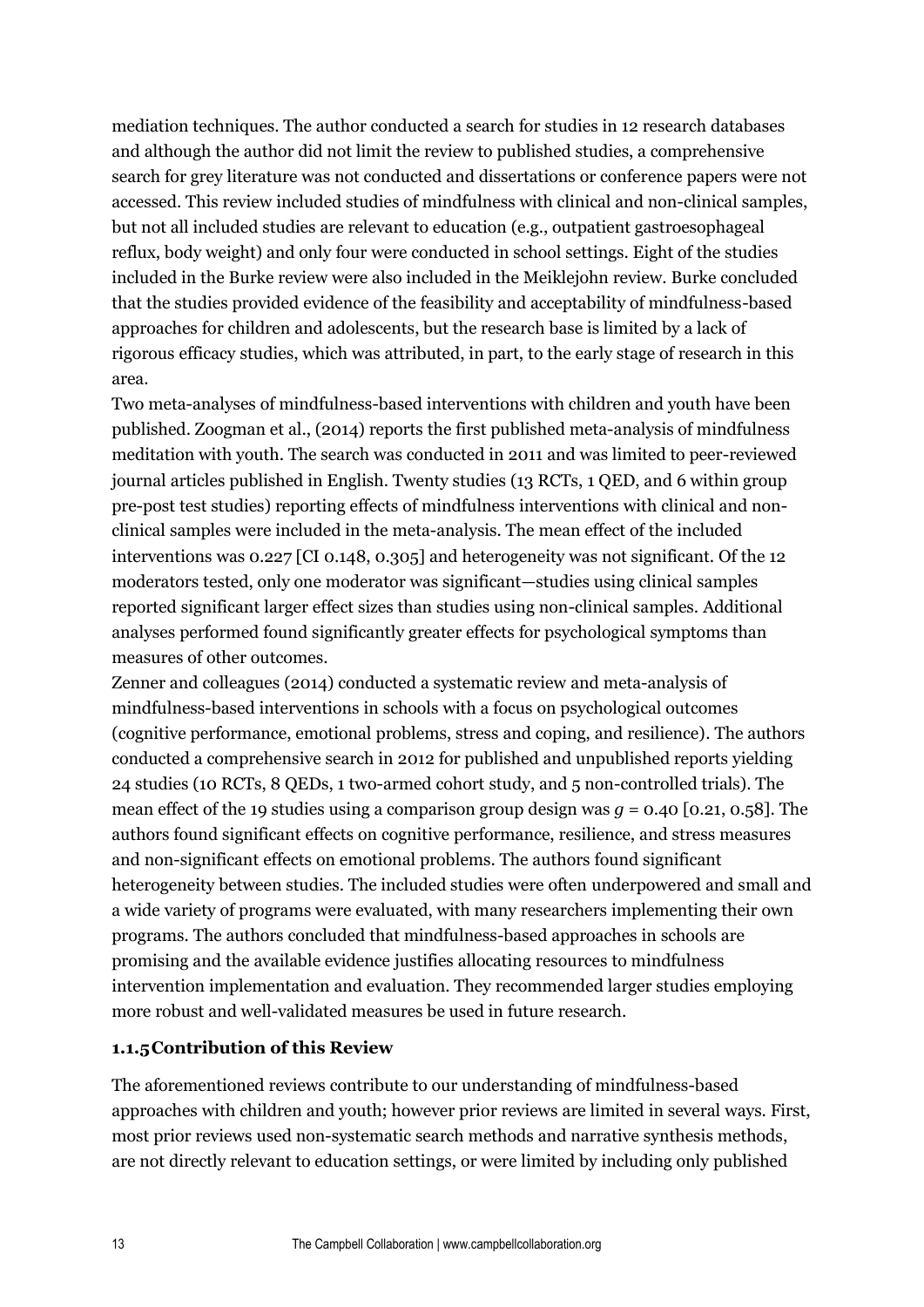mediation techniques. The author conducted a search for studies in 12 research databases and although the author did not limit the review to published studies, a comprehensive search for grey literature was not conducted and dissertations or conference papers were not accessed. This review included studies of mindfulness with clinical and non-clinical samples, but not all included studies are relevant to education (e.g., outpatient gastroesophageal reflux, body weight) and only four were conducted in school settings. Eight of the studies included in the Burke review were also included in the Meiklejohn review. Burke concluded that the studies provided evidence of the feasibility and acceptability of mindfulness-based approaches for children and adolescents, but the research base is limited by a lack of rigorous efficacy studies, which was attributed, in part, to the early stage of research in this area.

Two meta-analyses of mindfulness-based interventions with children and youth have been published. Zoogman et al., (2014) reports the first published meta-analysis of mindfulness meditation with youth. The search was conducted in 2011 and was limited to peer-reviewed journal articles published in English. Twenty studies (13 RCTs, 1 QED, and 6 within group pre-post test studies) reporting effects of mindfulness interventions with clinical and nonclinical samples were included in the meta-analysis. The mean effect of the included interventions was 0.227 [CI 0.148, 0.305] and heterogeneity was not significant. Of the 12 moderators tested, only one moderator was significant—studies using clinical samples reported significant larger effect sizes than studies using non-clinical samples. Additional analyses performed found significantly greater effects for psychological symptoms than measures of other outcomes.

Zenner and colleagues (2014) conducted a systematic review and meta-analysis of mindfulness-based interventions in schools with a focus on psychological outcomes (cognitive performance, emotional problems, stress and coping, and resilience). The authors conducted a comprehensive search in 2012 for published and unpublished reports yielding 24 studies (10 RCTs, 8 QEDs, 1 two-armed cohort study, and 5 non-controlled trials). The mean effect of the 19 studies using a comparison group design was *g* = 0.40 [0.21, 0.58]. The authors found significant effects on cognitive performance, resilience, and stress measures and non-significant effects on emotional problems. The authors found significant heterogeneity between studies. The included studies were often underpowered and small and a wide variety of programs were evaluated, with many researchers implementing their own programs. The authors concluded that mindfulness-based approaches in schools are promising and the available evidence justifies allocating resources to mindfulness intervention implementation and evaluation. They recommended larger studies employing more robust and well-validated measures be used in future research.

## **1.1.5Contribution of this Review**

The aforementioned reviews contribute to our understanding of mindfulness-based approaches with children and youth; however prior reviews are limited in several ways. First, most prior reviews used non-systematic search methods and narrative synthesis methods, are not directly relevant to education settings, or were limited by including only published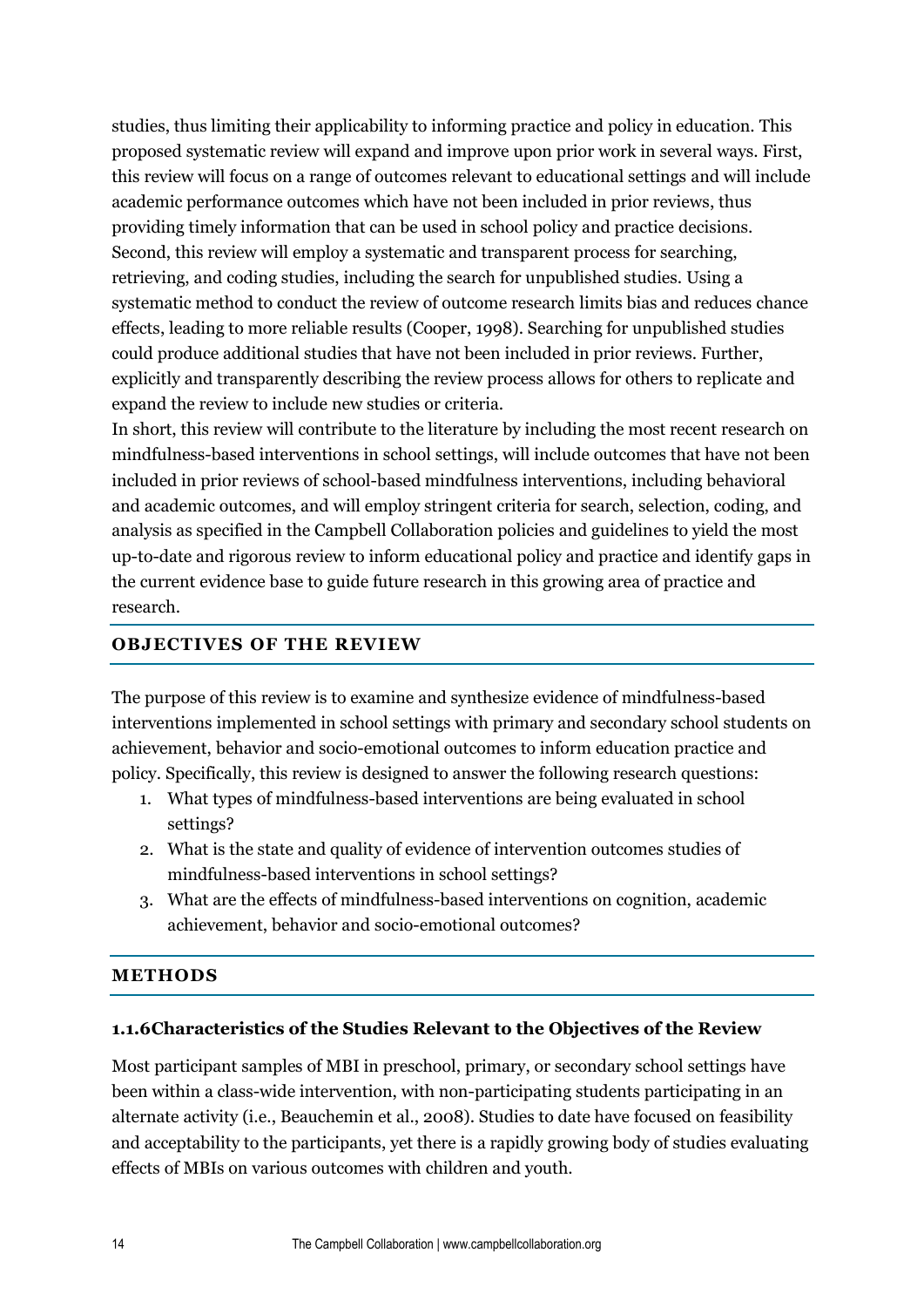studies, thus limiting their applicability to informing practice and policy in education. This proposed systematic review will expand and improve upon prior work in several ways. First, this review will focus on a range of outcomes relevant to educational settings and will include academic performance outcomes which have not been included in prior reviews, thus providing timely information that can be used in school policy and practice decisions. Second, this review will employ a systematic and transparent process for searching, retrieving, and coding studies, including the search for unpublished studies. Using a systematic method to conduct the review of outcome research limits bias and reduces chance effects, leading to more reliable results (Cooper, 1998). Searching for unpublished studies could produce additional studies that have not been included in prior reviews. Further, explicitly and transparently describing the review process allows for others to replicate and expand the review to include new studies or criteria.

In short, this review will contribute to the literature by including the most recent research on mindfulness-based interventions in school settings, will include outcomes that have not been included in prior reviews of school-based mindfulness interventions, including behavioral and academic outcomes, and will employ stringent criteria for search, selection, coding, and analysis as specified in the Campbell Collaboration policies and guidelines to yield the most up-to-date and rigorous review to inform educational policy and practice and identify gaps in the current evidence base to guide future research in this growing area of practice and research.

## **OBJECTIVES OF THE REVIEW**

The purpose of this review is to examine and synthesize evidence of mindfulness-based interventions implemented in school settings with primary and secondary school students on achievement, behavior and socio-emotional outcomes to inform education practice and policy. Specifically, this review is designed to answer the following research questions:

- 1. What types of mindfulness-based interventions are being evaluated in school settings?
- 2. What is the state and quality of evidence of intervention outcomes studies of mindfulness-based interventions in school settings?
- 3. What are the effects of mindfulness-based interventions on cognition, academic achievement, behavior and socio-emotional outcomes?

## **METHODS**

## **1.1.6Characteristics of the Studies Relevant to the Objectives of the Review**

Most participant samples of MBI in preschool, primary, or secondary school settings have been within a class-wide intervention, with non-participating students participating in an alternate activity (i.e., Beauchemin et al., 2008). Studies to date have focused on feasibility and acceptability to the participants, yet there is a rapidly growing body of studies evaluating effects of MBIs on various outcomes with children and youth.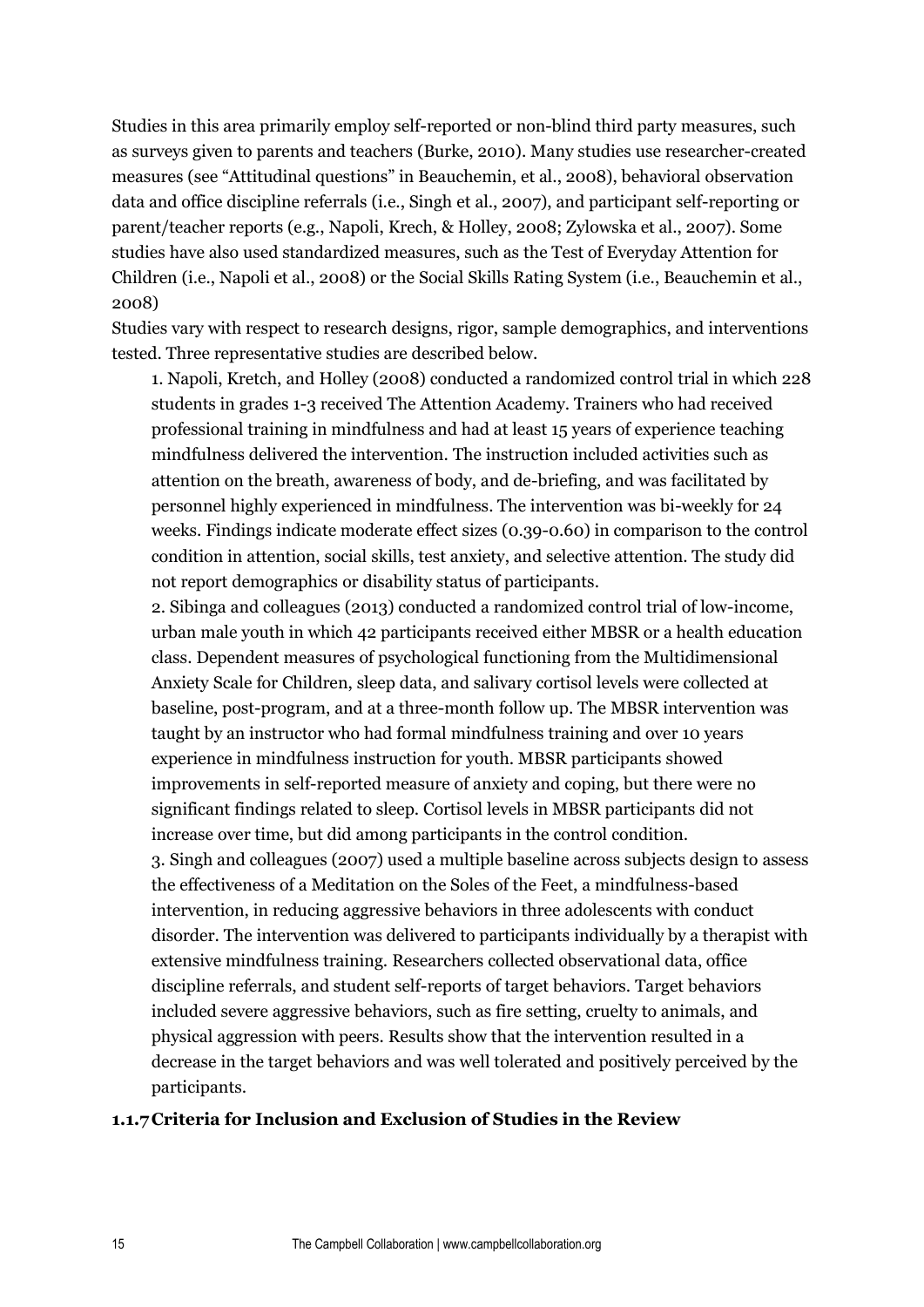Studies in this area primarily employ self-reported or non-blind third party measures, such as surveys given to parents and teachers (Burke, 2010). Many studies use researcher-created measures (see "Attitudinal questions" in Beauchemin, et al., 2008), behavioral observation data and office discipline referrals (i.e., Singh et al., 2007), and participant self-reporting or parent/teacher reports (e.g., Napoli, Krech, & Holley, 2008; Zylowska et al., 2007). Some studies have also used standardized measures, such as the Test of Everyday Attention for Children (i.e., Napoli et al., 2008) or the Social Skills Rating System (i.e., Beauchemin et al., 2008)

Studies vary with respect to research designs, rigor, sample demographics, and interventions tested. Three representative studies are described below.

1. Napoli, Kretch, and Holley (2008) conducted a randomized control trial in which 228 students in grades 1-3 received The Attention Academy. Trainers who had received professional training in mindfulness and had at least 15 years of experience teaching mindfulness delivered the intervention. The instruction included activities such as attention on the breath, awareness of body, and de-briefing, and was facilitated by personnel highly experienced in mindfulness. The intervention was bi-weekly for 24 weeks. Findings indicate moderate effect sizes (0.39-0.60) in comparison to the control condition in attention, social skills, test anxiety, and selective attention. The study did not report demographics or disability status of participants.

2. Sibinga and colleagues (2013) conducted a randomized control trial of low-income, urban male youth in which 42 participants received either MBSR or a health education class. Dependent measures of psychological functioning from the Multidimensional Anxiety Scale for Children, sleep data, and salivary cortisol levels were collected at baseline, post-program, and at a three-month follow up. The MBSR intervention was taught by an instructor who had formal mindfulness training and over 10 years experience in mindfulness instruction for youth. MBSR participants showed improvements in self-reported measure of anxiety and coping, but there were no significant findings related to sleep. Cortisol levels in MBSR participants did not increase over time, but did among participants in the control condition. 3. Singh and colleagues (2007) used a multiple baseline across subjects design to assess the effectiveness of a Meditation on the Soles of the Feet, a mindfulness-based intervention, in reducing aggressive behaviors in three adolescents with conduct disorder. The intervention was delivered to participants individually by a therapist with extensive mindfulness training. Researchers collected observational data, office discipline referrals, and student self-reports of target behaviors. Target behaviors included severe aggressive behaviors, such as fire setting, cruelty to animals, and physical aggression with peers. Results show that the intervention resulted in a decrease in the target behaviors and was well tolerated and positively perceived by the participants.

#### **1.1.7Criteria for Inclusion and Exclusion of Studies in the Review**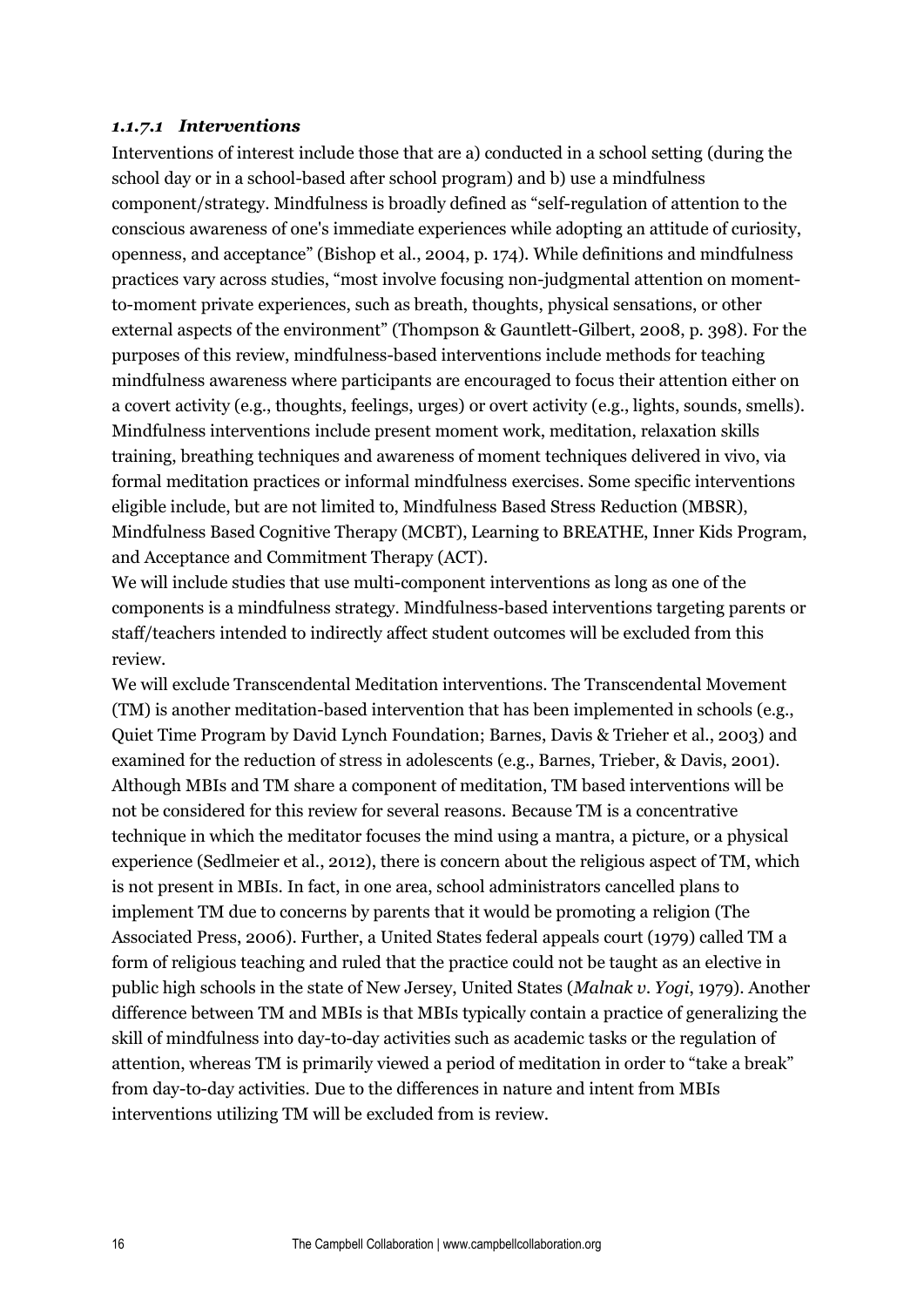#### *1.1.7.1 Interventions*

Interventions of interest include those that are a) conducted in a school setting (during the school day or in a school-based after school program) and b) use a mindfulness component/strategy. Mindfulness is broadly defined as "self-regulation of attention to the conscious awareness of one's immediate experiences while adopting an attitude of curiosity, openness, and acceptance" (Bishop et al., 2004, p. 174). While definitions and mindfulness practices vary across studies, "most involve focusing non-judgmental attention on momentto-moment private experiences, such as breath, thoughts, physical sensations, or other external aspects of the environment" (Thompson & Gauntlett-Gilbert, 2008, p. 398). For the purposes of this review, mindfulness-based interventions include methods for teaching mindfulness awareness where participants are encouraged to focus their attention either on a covert activity (e.g., thoughts, feelings, urges) or overt activity (e.g., lights, sounds, smells). Mindfulness interventions include present moment work, meditation, relaxation skills training, breathing techniques and awareness of moment techniques delivered in vivo, via formal meditation practices or informal mindfulness exercises. Some specific interventions eligible include, but are not limited to, Mindfulness Based Stress Reduction (MBSR), Mindfulness Based Cognitive Therapy (MCBT), Learning to BREATHE, Inner Kids Program, and Acceptance and Commitment Therapy (ACT).

We will include studies that use multi-component interventions as long as one of the components is a mindfulness strategy. Mindfulness-based interventions targeting parents or staff/teachers intended to indirectly affect student outcomes will be excluded from this review.

We will exclude Transcendental Meditation interventions. The Transcendental Movement (TM) is another meditation-based intervention that has been implemented in schools (e.g., Quiet Time Program by David Lynch Foundation; Barnes, Davis & Trieher et al., 2003) and examined for the reduction of stress in adolescents (e.g., Barnes, Trieber, & Davis, 2001). Although MBIs and TM share a component of meditation, TM based interventions will be not be considered for this review for several reasons. Because TM is a concentrative technique in which the meditator focuses the mind using a mantra, a picture, or a physical experience (Sedlmeier et al., 2012), there is concern about the religious aspect of TM, which is not present in MBIs. In fact, in one area, school administrators cancelled plans to implement TM due to concerns by parents that it would be promoting a religion (The Associated Press, 2006). Further, a United States federal appeals court (1979) called TM a form of religious teaching and ruled that the practice could not be taught as an elective in public high schools in the state of New Jersey, United States (*Malnak v. Yogi*, 1979). Another difference between TM and MBIs is that MBIs typically contain a practice of generalizing the skill of mindfulness into day-to-day activities such as academic tasks or the regulation of attention, whereas TM is primarily viewed a period of meditation in order to "take a break" from day-to-day activities. Due to the differences in nature and intent from MBIs interventions utilizing TM will be excluded from is review.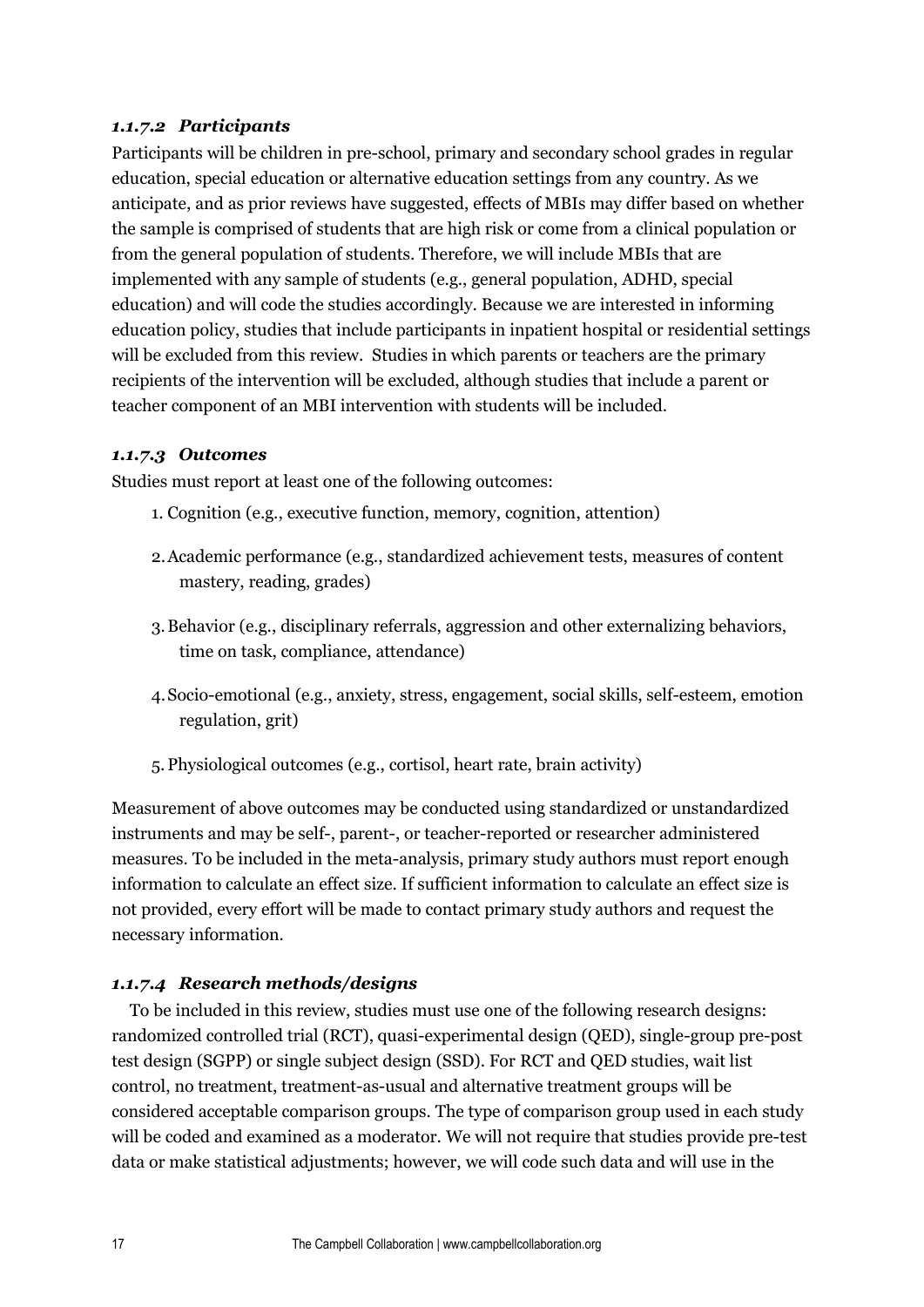## *1.1.7.2 Participants*

Participants will be children in pre-school, primary and secondary school grades in regular education, special education or alternative education settings from any country. As we anticipate, and as prior reviews have suggested, effects of MBIs may differ based on whether the sample is comprised of students that are high risk or come from a clinical population or from the general population of students. Therefore, we will include MBIs that are implemented with any sample of students (e.g., general population, ADHD, special education) and will code the studies accordingly. Because we are interested in informing education policy, studies that include participants in inpatient hospital or residential settings will be excluded from this review. Studies in which parents or teachers are the primary recipients of the intervention will be excluded, although studies that include a parent or teacher component of an MBI intervention with students will be included.

## *1.1.7.3 Outcomes*

Studies must report at least one of the following outcomes:

- 1. Cognition (e.g., executive function, memory, cognition, attention)
- 2.Academic performance (e.g., standardized achievement tests, measures of content mastery, reading, grades)
- 3.Behavior (e.g., disciplinary referrals, aggression and other externalizing behaviors, time on task, compliance, attendance)
- 4.Socio-emotional (e.g., anxiety, stress, engagement, social skills, self-esteem, emotion regulation, grit)
- 5. Physiological outcomes (e.g., cortisol, heart rate, brain activity)

Measurement of above outcomes may be conducted using standardized or unstandardized instruments and may be self-, parent-, or teacher-reported or researcher administered measures. To be included in the meta-analysis, primary study authors must report enough information to calculate an effect size. If sufficient information to calculate an effect size is not provided, every effort will be made to contact primary study authors and request the necessary information.

## *1.1.7.4 Research methods/designs*

To be included in this review, studies must use one of the following research designs: randomized controlled trial (RCT), quasi-experimental design (QED), single-group pre-post test design (SGPP) or single subject design (SSD). For RCT and QED studies, wait list control, no treatment, treatment-as-usual and alternative treatment groups will be considered acceptable comparison groups. The type of comparison group used in each study will be coded and examined as a moderator. We will not require that studies provide pre-test data or make statistical adjustments; however, we will code such data and will use in the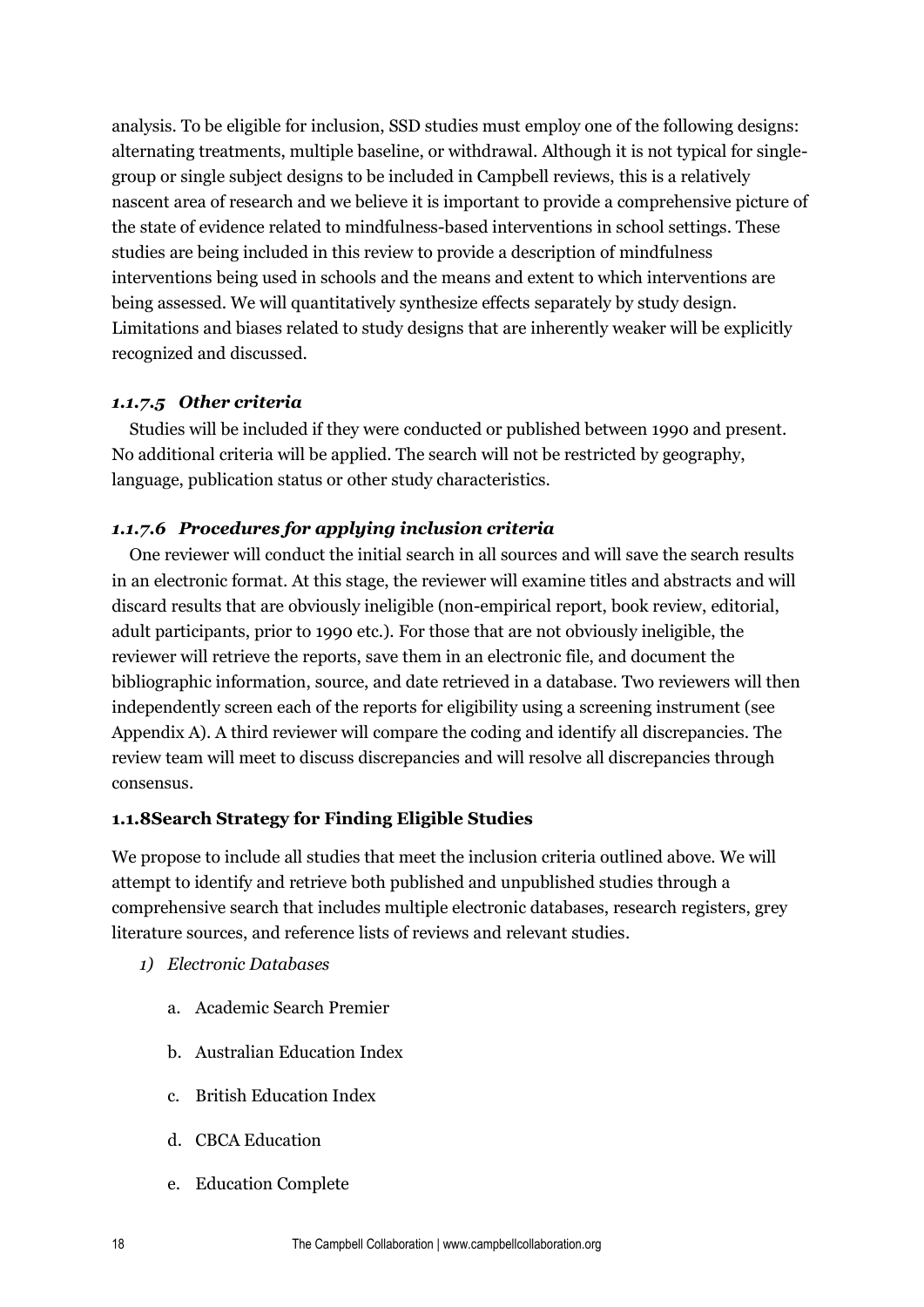analysis. To be eligible for inclusion, SSD studies must employ one of the following designs: alternating treatments, multiple baseline, or withdrawal. Although it is not typical for singlegroup or single subject designs to be included in Campbell reviews, this is a relatively nascent area of research and we believe it is important to provide a comprehensive picture of the state of evidence related to mindfulness-based interventions in school settings. These studies are being included in this review to provide a description of mindfulness interventions being used in schools and the means and extent to which interventions are being assessed. We will quantitatively synthesize effects separately by study design. Limitations and biases related to study designs that are inherently weaker will be explicitly recognized and discussed.

## *1.1.7.5 Other criteria*

Studies will be included if they were conducted or published between 1990 and present. No additional criteria will be applied. The search will not be restricted by geography, language, publication status or other study characteristics.

## *1.1.7.6 Procedures for applying inclusion criteria*

One reviewer will conduct the initial search in all sources and will save the search results in an electronic format. At this stage, the reviewer will examine titles and abstracts and will discard results that are obviously ineligible (non-empirical report, book review, editorial, adult participants, prior to 1990 etc.). For those that are not obviously ineligible, the reviewer will retrieve the reports, save them in an electronic file, and document the bibliographic information, source, and date retrieved in a database. Two reviewers will then independently screen each of the reports for eligibility using a screening instrument (see Appendix A). A third reviewer will compare the coding and identify all discrepancies. The review team will meet to discuss discrepancies and will resolve all discrepancies through consensus.

## **1.1.8Search Strategy for Finding Eligible Studies**

We propose to include all studies that meet the inclusion criteria outlined above. We will attempt to identify and retrieve both published and unpublished studies through a comprehensive search that includes multiple electronic databases, research registers, grey literature sources, and reference lists of reviews and relevant studies.

- *1) Electronic Databases*
	- a. Academic Search Premier
	- b. Australian Education Index
	- c. British Education Index
	- d. CBCA Education
	- e. Education Complete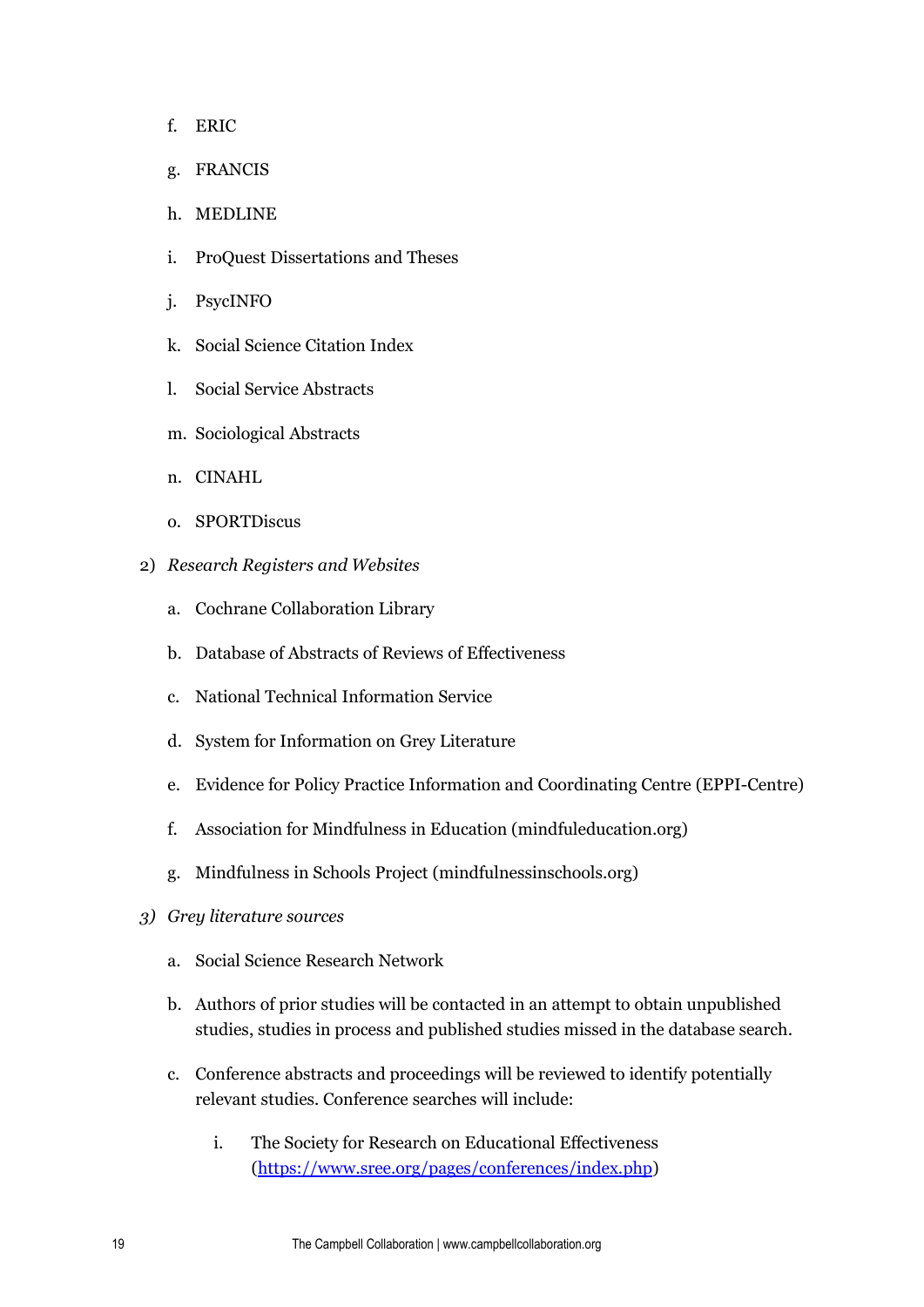- f. ERIC
- g. FRANCIS
- h. MEDLINE
- i. ProQuest Dissertations and Theses
- j. PsycINFO
- k. Social Science Citation Index
- l. Social Service Abstracts
- m. Sociological Abstracts
- n. CINAHL
- o. SPORTDiscus
- 2) *Research Registers and Websites*
	- a. Cochrane Collaboration Library
	- b. Database of Abstracts of Reviews of Effectiveness
	- c. National Technical Information Service
	- d. System for Information on Grey Literature
	- e. Evidence for Policy Practice Information and Coordinating Centre (EPPI-Centre)
	- f. Association for Mindfulness in Education (mindfuleducation.org)
	- g. Mindfulness in Schools Project (mindfulnessinschools.org)
- *3) Grey literature sources* 
	- a. Social Science Research Network
	- b. Authors of prior studies will be contacted in an attempt to obtain unpublished studies, studies in process and published studies missed in the database search.
	- c. Conference abstracts and proceedings will be reviewed to identify potentially relevant studies. Conference searches will include:
		- i. The Society for Research on Educational Effectiveness [\(https://www.sree.org/pages/conferences/index.php\)](https://www.sree.org/pages/conferences/index.php)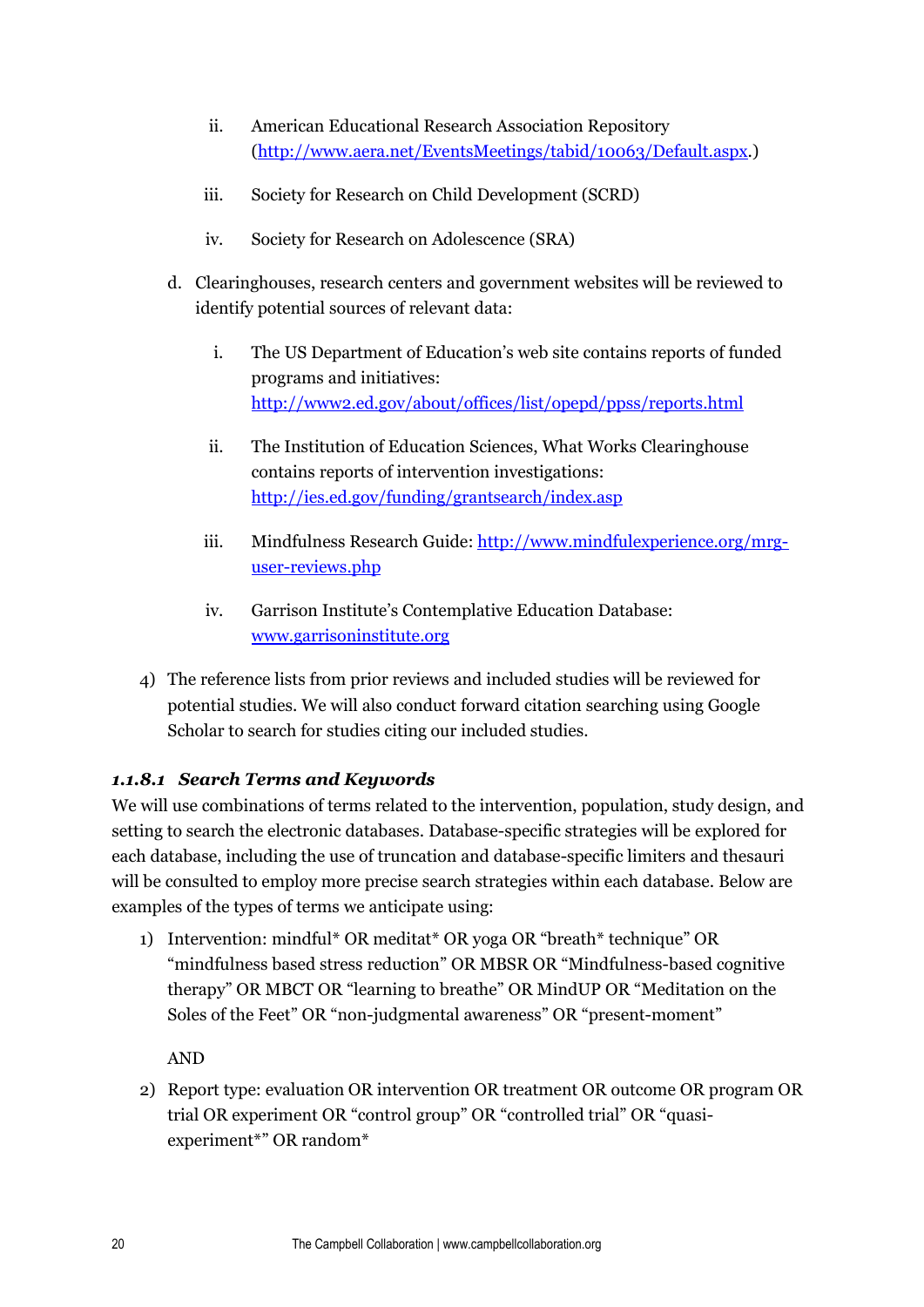- ii. American Educational Research Association Repository [\(http://www.aera.net/EventsMeetings/tabid/10063/Default.aspx.](http://www.aera.net/EventsMeetings/tabid/10063/Default.aspx))
- iii. Society for Research on Child Development (SCRD)
- iv. Society for Research on Adolescence (SRA)
- d. Clearinghouses, research centers and government websites will be reviewed to identify potential sources of relevant data:
	- i. The US Department of Education's web site contains reports of funded programs and initiatives: <http://www2.ed.gov/about/offices/list/opepd/ppss/reports.html>
	- ii. The Institution of Education Sciences, What Works Clearinghouse contains reports of intervention investigations: <http://ies.ed.gov/funding/grantsearch/index.asp>
	- iii. Mindfulness Research Guide: [http://www.mindfulexperience.org/mrg](http://www.mindfulexperience.org/mrg-user-reviews.php)[user-reviews.php](http://www.mindfulexperience.org/mrg-user-reviews.php)
	- iv. Garrison Institute's Contemplative Education Database: [www.garrisoninstitute.](http://www.garrisoninstitute/)org
- 4) The reference lists from prior reviews and included studies will be reviewed for potential studies. We will also conduct forward citation searching using Google Scholar to search for studies citing our included studies.

## *1.1.8.1 Search Terms and Keywords*

We will use combinations of terms related to the intervention, population, study design, and setting to search the electronic databases. Database-specific strategies will be explored for each database, including the use of truncation and database-specific limiters and thesauri will be consulted to employ more precise search strategies within each database. Below are examples of the types of terms we anticipate using:

1) Intervention: mindful\* OR meditat\* OR yoga OR "breath\* technique" OR "mindfulness based stress reduction" OR MBSR OR "Mindfulness-based cognitive therapy" OR MBCT OR "learning to breathe" OR MindUP OR "Meditation on the Soles of the Feet" OR "non-judgmental awareness" OR "present-moment"

AND

2) Report type: evaluation OR intervention OR treatment OR outcome OR program OR trial OR experiment OR "control group" OR "controlled trial" OR "quasiexperiment\*" OR random\*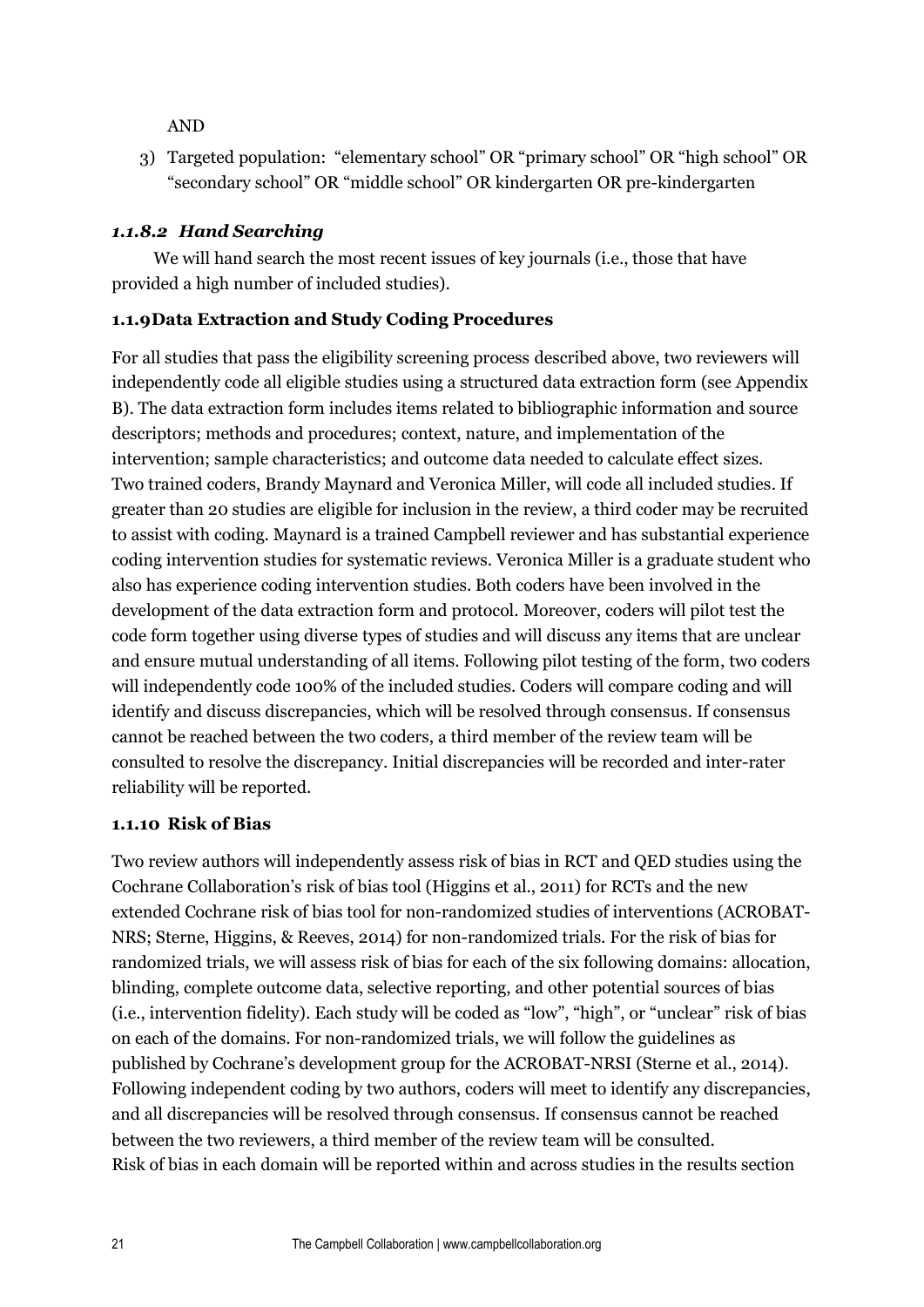AND

3) Targeted population: "elementary school" OR "primary school" OR "high school" OR "secondary school" OR "middle school" OR kindergarten OR pre-kindergarten

## *1.1.8.2 Hand Searching*

We will hand search the most recent issues of key journals (i.e., those that have provided a high number of included studies).

## **1.1.9Data Extraction and Study Coding Procedures**

For all studies that pass the eligibility screening process described above, two reviewers will independently code all eligible studies using a structured data extraction form (see Appendix B). The data extraction form includes items related to bibliographic information and source descriptors; methods and procedures; context, nature, and implementation of the intervention; sample characteristics; and outcome data needed to calculate effect sizes. Two trained coders, Brandy Maynard and Veronica Miller, will code all included studies. If greater than 20 studies are eligible for inclusion in the review, a third coder may be recruited to assist with coding. Maynard is a trained Campbell reviewer and has substantial experience coding intervention studies for systematic reviews. Veronica Miller is a graduate student who also has experience coding intervention studies. Both coders have been involved in the development of the data extraction form and protocol. Moreover, coders will pilot test the code form together using diverse types of studies and will discuss any items that are unclear and ensure mutual understanding of all items. Following pilot testing of the form, two coders will independently code 100% of the included studies. Coders will compare coding and will identify and discuss discrepancies, which will be resolved through consensus. If consensus cannot be reached between the two coders, a third member of the review team will be consulted to resolve the discrepancy. Initial discrepancies will be recorded and inter-rater reliability will be reported.

## **1.1.10 Risk of Bias**

Two review authors will independently assess risk of bias in RCT and QED studies using the Cochrane Collaboration's risk of bias tool (Higgins et al., 2011) for RCTs and the new extended Cochrane risk of bias tool for non-randomized studies of interventions (ACROBAT-NRS; Sterne, Higgins, & Reeves, 2014) for non-randomized trials. For the risk of bias for randomized trials, we will assess risk of bias for each of the six following domains: allocation, blinding, complete outcome data, selective reporting, and other potential sources of bias (i.e., intervention fidelity). Each study will be coded as "low", "high", or "unclear" risk of bias on each of the domains. For non-randomized trials, we will follow the guidelines as published by Cochrane's development group for the ACROBAT-NRSI (Sterne et al., 2014). Following independent coding by two authors, coders will meet to identify any discrepancies, and all discrepancies will be resolved through consensus. If consensus cannot be reached between the two reviewers, a third member of the review team will be consulted. Risk of bias in each domain will be reported within and across studies in the results section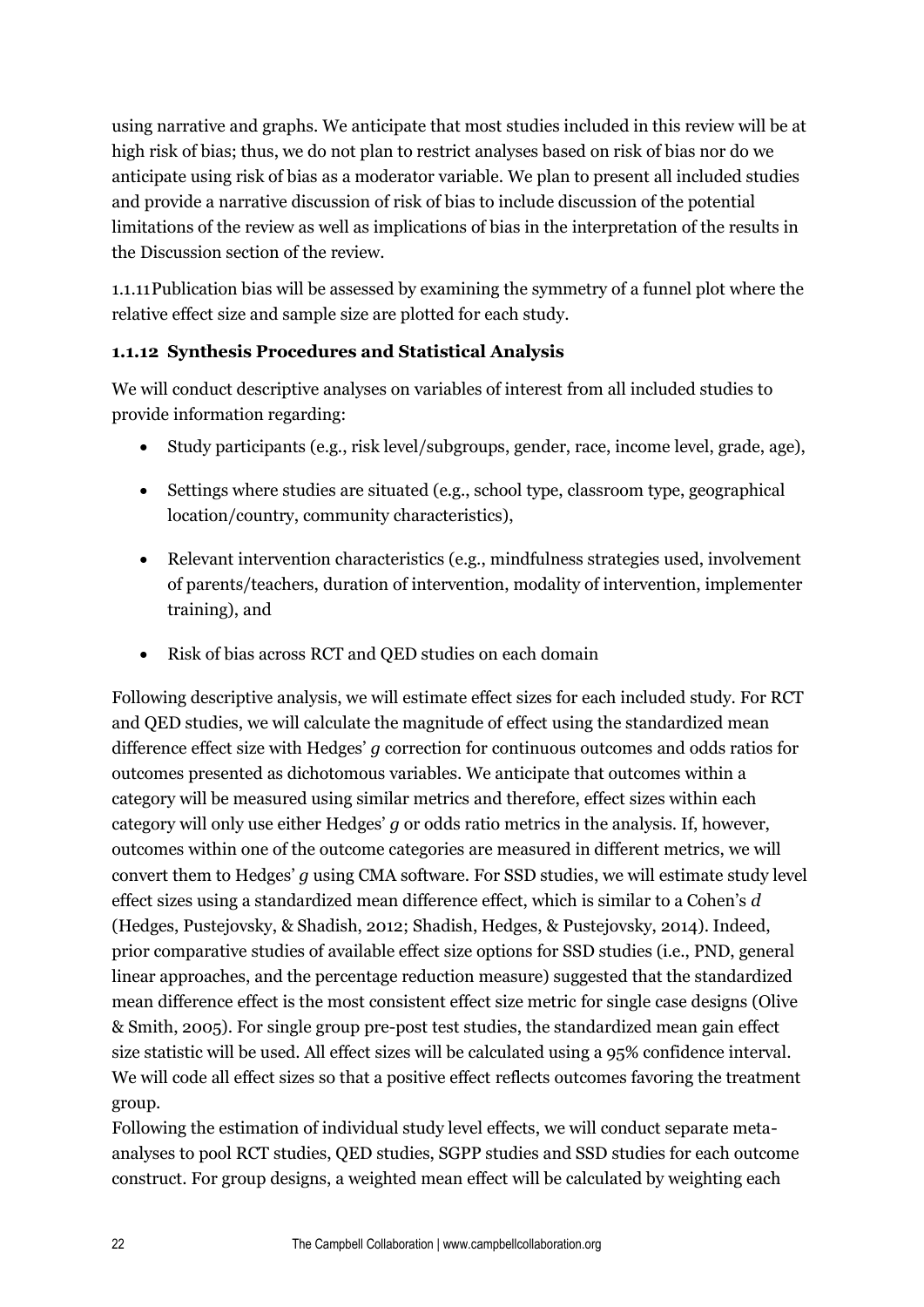using narrative and graphs. We anticipate that most studies included in this review will be at high risk of bias; thus, we do not plan to restrict analyses based on risk of bias nor do we anticipate using risk of bias as a moderator variable. We plan to present all included studies and provide a narrative discussion of risk of bias to include discussion of the potential limitations of the review as well as implications of bias in the interpretation of the results in the Discussion section of the review.

1.1.11Publication bias will be assessed by examining the symmetry of a funnel plot where the relative effect size and sample size are plotted for each study.

## **1.1.12 Synthesis Procedures and Statistical Analysis**

We will conduct descriptive analyses on variables of interest from all included studies to provide information regarding:

- Study participants (e.g., risk level/subgroups, gender, race, income level, grade, age),
- Settings where studies are situated (e.g., school type, classroom type, geographical location/country, community characteristics),
- Relevant intervention characteristics (e.g., mindfulness strategies used, involvement of parents/teachers, duration of intervention, modality of intervention, implementer training), and
- Risk of bias across RCT and QED studies on each domain

Following descriptive analysis, we will estimate effect sizes for each included study. For RCT and QED studies, we will calculate the magnitude of effect using the standardized mean difference effect size with Hedges' *g* correction for continuous outcomes and odds ratios for outcomes presented as dichotomous variables. We anticipate that outcomes within a category will be measured using similar metrics and therefore, effect sizes within each category will only use either Hedges' *g* or odds ratio metrics in the analysis. If, however, outcomes within one of the outcome categories are measured in different metrics, we will convert them to Hedges' *g* using CMA software. For SSD studies, we will estimate study level effect sizes using a standardized mean difference effect, which is similar to a Cohen's *d* (Hedges, Pustejovsky, & Shadish, 2012; Shadish, Hedges, & Pustejovsky, 2014). Indeed, prior comparative studies of available effect size options for SSD studies (i.e., PND, general linear approaches, and the percentage reduction measure) suggested that the standardized mean difference effect is the most consistent effect size metric for single case designs (Olive & Smith, 2005). For single group pre-post test studies, the standardized mean gain effect size statistic will be used. All effect sizes will be calculated using a 95% confidence interval. We will code all effect sizes so that a positive effect reflects outcomes favoring the treatment group.

Following the estimation of individual study level effects, we will conduct separate metaanalyses to pool RCT studies, QED studies, SGPP studies and SSD studies for each outcome construct. For group designs, a weighted mean effect will be calculated by weighting each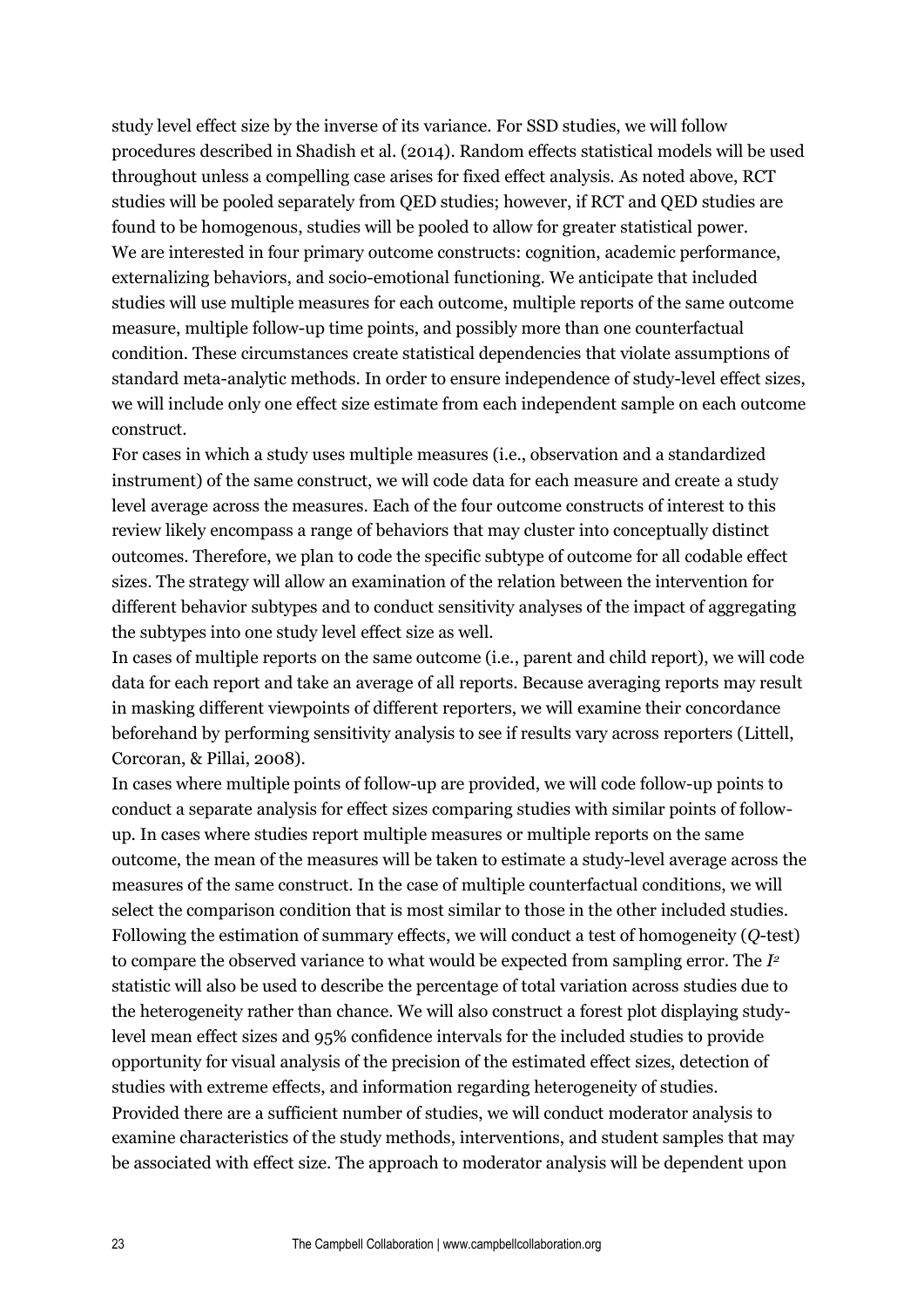study level effect size by the inverse of its variance. For SSD studies, we will follow procedures described in Shadish et al. (2014). Random effects statistical models will be used throughout unless a compelling case arises for fixed effect analysis. As noted above, RCT studies will be pooled separately from QED studies; however, if RCT and QED studies are found to be homogenous, studies will be pooled to allow for greater statistical power. We are interested in four primary outcome constructs: cognition, academic performance, externalizing behaviors, and socio-emotional functioning. We anticipate that included studies will use multiple measures for each outcome, multiple reports of the same outcome measure, multiple follow-up time points, and possibly more than one counterfactual condition. These circumstances create statistical dependencies that violate assumptions of standard meta-analytic methods. In order to ensure independence of study-level effect sizes, we will include only one effect size estimate from each independent sample on each outcome construct.

For cases in which a study uses multiple measures (i.e., observation and a standardized instrument) of the same construct, we will code data for each measure and create a study level average across the measures. Each of the four outcome constructs of interest to this review likely encompass a range of behaviors that may cluster into conceptually distinct outcomes. Therefore, we plan to code the specific subtype of outcome for all codable effect sizes. The strategy will allow an examination of the relation between the intervention for different behavior subtypes and to conduct sensitivity analyses of the impact of aggregating the subtypes into one study level effect size as well.

In cases of multiple reports on the same outcome (i.e., parent and child report), we will code data for each report and take an average of all reports. Because averaging reports may result in masking different viewpoints of different reporters, we will examine their concordance beforehand by performing sensitivity analysis to see if results vary across reporters (Littell, Corcoran, & Pillai, 2008).

In cases where multiple points of follow-up are provided, we will code follow-up points to conduct a separate analysis for effect sizes comparing studies with similar points of followup. In cases where studies report multiple measures or multiple reports on the same outcome, the mean of the measures will be taken to estimate a study-level average across the measures of the same construct. In the case of multiple counterfactual conditions, we will select the comparison condition that is most similar to those in the other included studies. Following the estimation of summary effects, we will conduct a test of homogeneity (*Q*-test) to compare the observed variance to what would be expected from sampling error. The *I 2* statistic will also be used to describe the percentage of total variation across studies due to the heterogeneity rather than chance. We will also construct a forest plot displaying studylevel mean effect sizes and 95% confidence intervals for the included studies to provide opportunity for visual analysis of the precision of the estimated effect sizes, detection of studies with extreme effects, and information regarding heterogeneity of studies. Provided there are a sufficient number of studies, we will conduct moderator analysis to examine characteristics of the study methods, interventions, and student samples that may be associated with effect size. The approach to moderator analysis will be dependent upon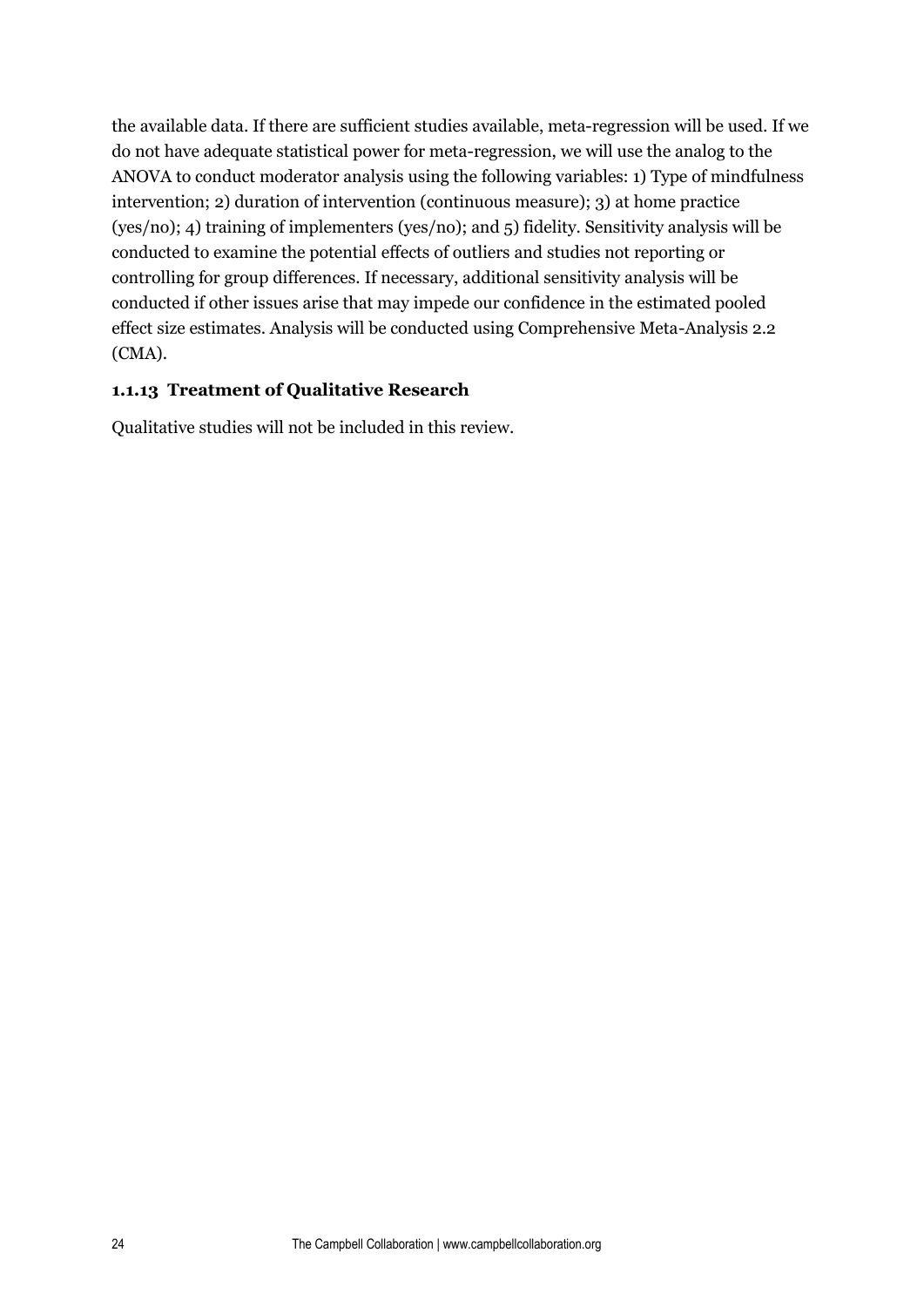the available data. If there are sufficient studies available, meta-regression will be used. If we do not have adequate statistical power for meta-regression, we will use the analog to the ANOVA to conduct moderator analysis using the following variables: 1) Type of mindfulness intervention; 2) duration of intervention (continuous measure); 3) at home practice (yes/no); 4) training of implementers (yes/no); and 5) fidelity. Sensitivity analysis will be conducted to examine the potential effects of outliers and studies not reporting or controlling for group differences. If necessary, additional sensitivity analysis will be conducted if other issues arise that may impede our confidence in the estimated pooled effect size estimates. Analysis will be conducted using Comprehensive Meta-Analysis 2.2 (CMA).

## **1.1.13 Treatment of Qualitative Research**

Qualitative studies will not be included in this review.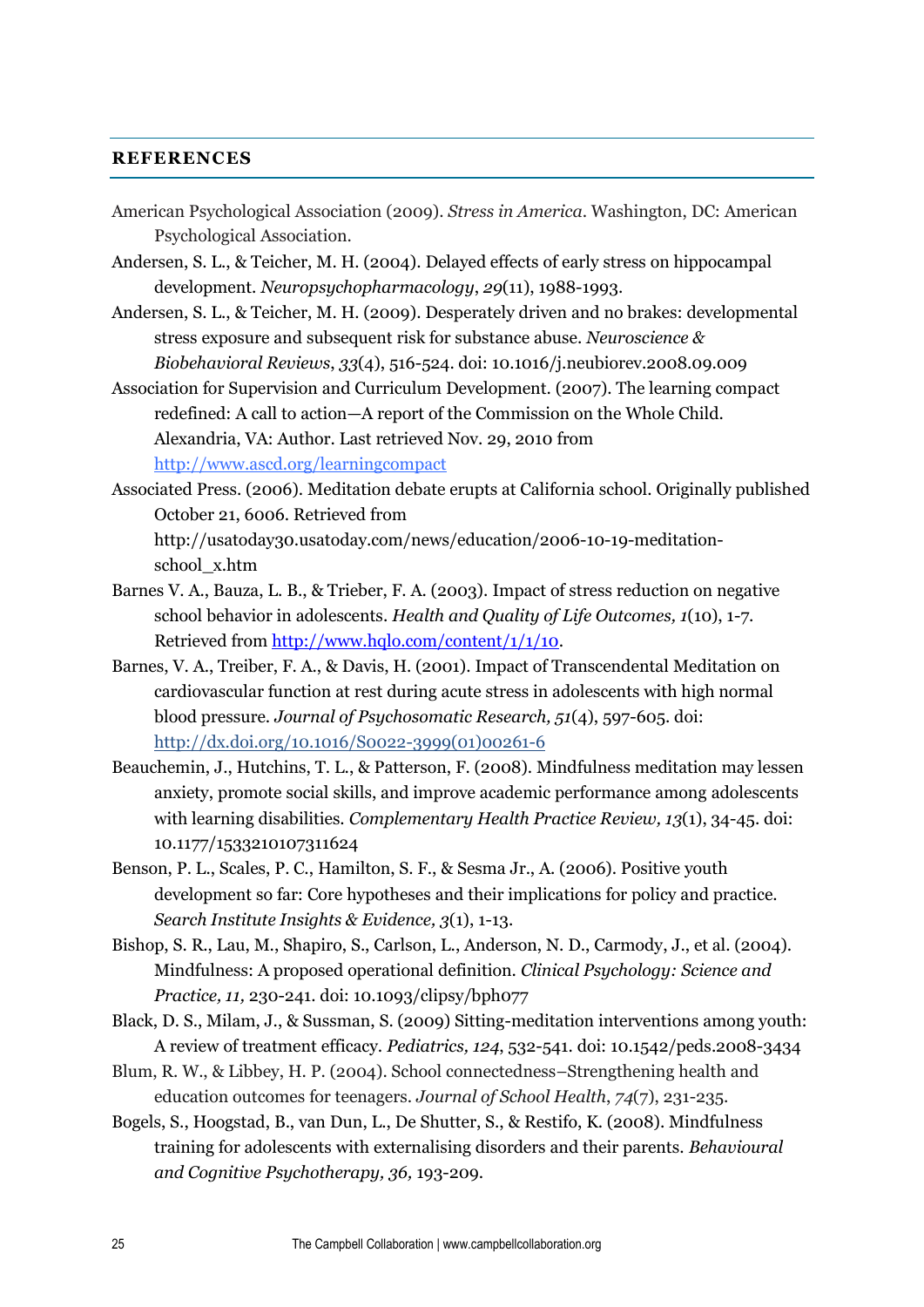#### **REFERENCES**

- American Psychological Association (2009). *Stress in America*. Washington, DC: American Psychological Association.
- Andersen, S. L., & Teicher, M. H. (2004). Delayed effects of early stress on hippocampal development. *Neuropsychopharmacology*, *29*(11), 1988-1993.
- Andersen, S. L., & Teicher, M. H. (2009). Desperately driven and no brakes: developmental stress exposure and subsequent risk for substance abuse. *Neuroscience & Biobehavioral Reviews*, *33*(4), 516-524. doi: [10.1016/j.neubiorev.2008.09.009](http://dx.doi.org.ezproxy.lib.utexas.edu/10.1016%2Fj.neubiorev.2008.09.009)
- Association for Supervision and Curriculum Development. (2007). The learning compact redefined: A call to action—A report of the Commission on the Whole Child. Alexandria, VA: Author. Last retrieved Nov. 29, 2010 from <http://www.ascd.org/learningcompact>
- Associated Press. (2006). Meditation debate erupts at California school. Originally published October 21, 6006. Retrieved from http://usatoday30.usatoday.com/news/education/2006-10-19-meditationschool\_x.htm
- Barnes V. A., Bauza, L. B., & Trieber, F. A. (2003). Impact of stress reduction on negative school behavior in adolescents. *Health and Quality of Life Outcomes, 1*(10), 1-7. Retrieved from [http://www.hqlo.com/content/1/1/10.](http://www.hqlo.com/content/1/1/10)
- Barnes, V. A., Treiber, F. A., & Davis, H. (2001). Impact of Transcendental Meditation on cardiovascular function at rest during acute stress in adolescents with high normal blood pressure. *Journal of Psychosomatic Research, 51*(4), 597-605. doi: http://dx.doi.org/10.1016/S0022-3999(01)00261-6
- Beauchemin, J., Hutchins, T. L., & Patterson, F. (2008). Mindfulness meditation may lessen anxiety, promote social skills, and improve academic performance among adolescents with learning disabilities. *Complementary Health Practice Review, 13*(1), 34-45. doi: 10.1177/1533210107311624
- Benson, P. L., Scales, P. C., Hamilton, S. F., & Sesma Jr., A. (2006). Positive youth development so far: Core hypotheses and their implications for policy and practice. *Search Institute Insights & Evidence, 3*(1), 1-13.
- Bishop, S. R., Lau, M., Shapiro, S., Carlson, L., Anderson, N. D., Carmody, J., et al. (2004). Mindfulness: A proposed operational definition. *Clinical Psychology: Science and Practice, 11,* 230-241. doi: 10.1093/clipsy/bph077
- Black, D. S., Milam, J., & Sussman, S. (2009) Sitting-meditation interventions among youth: A review of treatment efficacy. *Pediatrics, 124*, 532-541. doi: 10.1542/peds.2008-3434
- Blum, R. W., & Libbey, H. P. (2004). School connectedness–Strengthening health and education outcomes for teenagers. *Journal of School Health*, *74*(7), 231-235.
- Bogels, S., Hoogstad, B., van Dun, L., De Shutter, S., & Restifo, K. (2008). Mindfulness training for adolescents with externalising disorders and their parents. *Behavioural and Cognitive Psychotherapy, 36,* 193-209.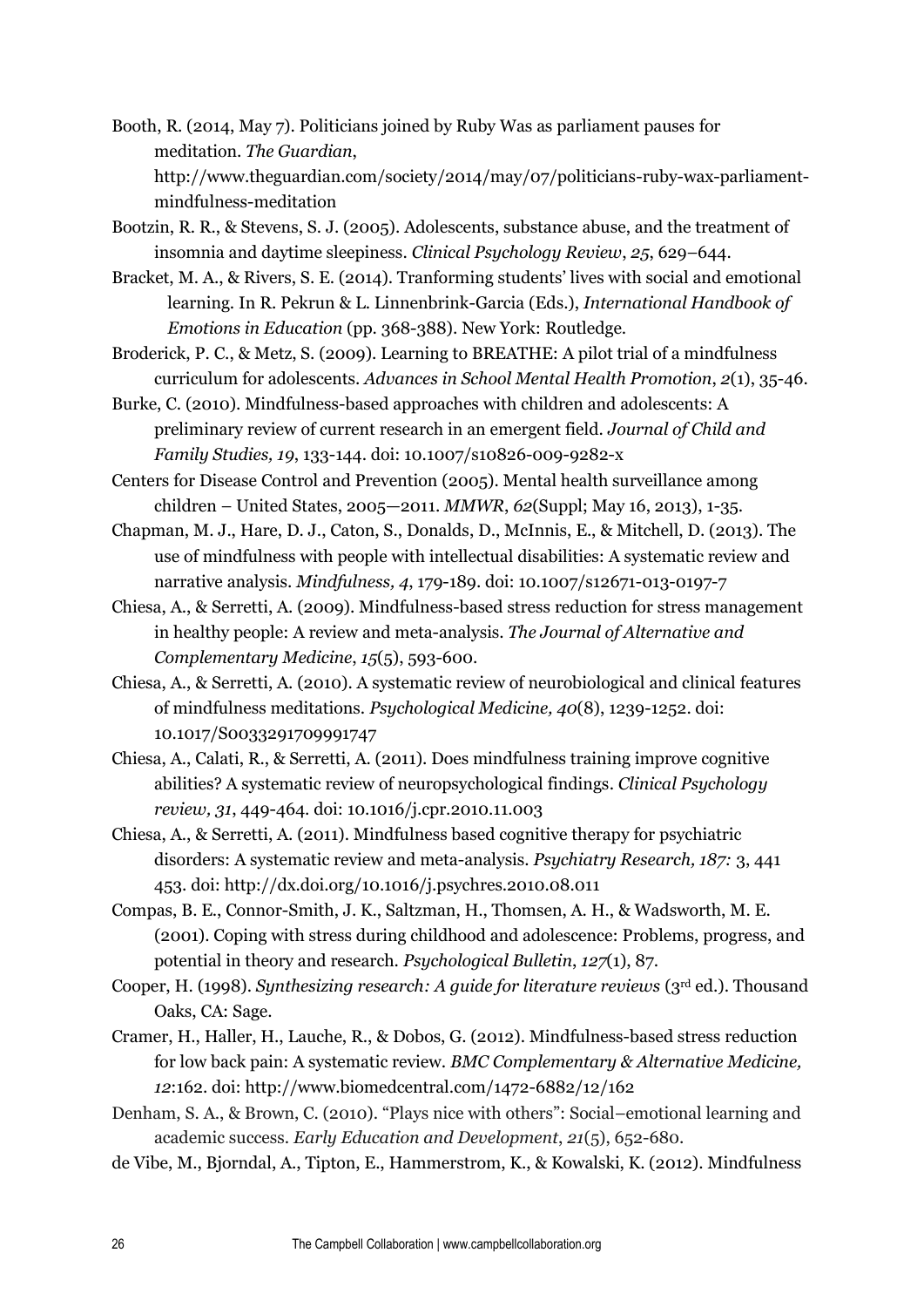Booth, R. (2014, May 7). Politicians joined by Ruby Was as parliament pauses for meditation. *The Guardian*, http://www.theguardian.com/society/2014/may/07/politicians-ruby-wax-parliamentmindfulness-meditation

- Bootzin, R. R., & Stevens, S. J. (2005). Adolescents, substance abuse, and the treatment of insomnia and daytime sleepiness. *Clinical Psychology Review*, *25*, 629–644.
- Bracket, M. A., & Rivers, S. E. (2014). Tranforming students' lives with social and emotional learning. In R. Pekrun & L. Linnenbrink-Garcia (Eds.), *International Handbook of Emotions in Education* (pp. 368-388). New York: Routledge.
- Broderick, P. C., & Metz, S. (2009). Learning to BREATHE: A pilot trial of a mindfulness curriculum for adolescents. *Advances in School Mental Health Promotion*, *2*(1), 35-46.
- Burke, C. (2010). Mindfulness-based approaches with children and adolescents: A preliminary review of current research in an emergent field. *Journal of Child and Family Studies, 19*, 133-144. doi: 10.1007/s10826-009-9282-x
- Centers for Disease Control and Prevention (2005). [Mental health surveillance among](http://www.cdc.gov/mmwr/preview/mmwrhtml/su6202a1.htm?s_cid=su6202a1_w)  children – [United States, 2005](http://www.cdc.gov/mmwr/preview/mmwrhtml/su6202a1.htm?s_cid=su6202a1_w)—2011. *MMWR*, *62*(Suppl; May 16, 2013), 1-35.
- Chapman, M. J., Hare, D. J., Caton, S., Donalds, D., McInnis, E., & Mitchell, D. (2013). The use of mindfulness with people with intellectual disabilities: A systematic review and narrative analysis. *Mindfulness, 4*, 179-189. doi: 10.1007/s12671-013-0197-7
- Chiesa, A., & Serretti, A. (2009). Mindfulness-based stress reduction for stress management in healthy people: A review and meta-analysis. *The Journal of Alternative and Complementary Medicine*, *15*(5), 593-600.
- Chiesa, A., & Serretti, A. (2010). A systematic review of neurobiological and clinical features of mindfulness meditations. *Psychological Medicine, 40*(8), 1239-1252. doi: 10.1017/S0033291709991747
- Chiesa, A., Calati, R., & Serretti, A. (2011). Does mindfulness training improve cognitive abilities? A systematic review of neuropsychological findings. *Clinical Psychology review, 31*, 449-464. doi: 10.1016/j.cpr.2010.11.003
- Chiesa, A., & Serretti, A. (2011). Mindfulness based cognitive therapy for psychiatric disorders: A systematic review and meta-analysis. *Psychiatry Research, 187:* 3, 441 453. doi[: http://dx.doi.org/10.1016/j.psychres.2010.08.011](http://dx.doi.org/10.1016/j.psychres.2010.08.011)
- Compas, B. E., Connor-Smith, J. K., Saltzman, H., Thomsen, A. H., & Wadsworth, M. E. (2001). Coping with stress during childhood and adolescence: Problems, progress, and potential in theory and research. *Psychological Bulletin*, *127*(1), 87.
- Cooper, H. (1998). *Synthesizing research: A guide for literature reviews* (3rd ed.). Thousand Oaks, CA: Sage.
- Cramer, H., Haller, H., Lauche, R., & Dobos, G. (2012). Mindfulness-based stress reduction for low back pain: A systematic review. *BMC Complementary & Alternative Medicine, 12*:162. doi:<http://www.biomedcentral.com/1472-6882/12/162>
- Denham, S. A., & Brown, C. (2010). "Plays nice with others": Social–emotional learning and academic success. *Early Education and Development*, *21*(5), 652-680.
- de Vibe, M., Bjorndal, A., Tipton, E., Hammerstrom, K., & Kowalski, K. (2012). Mindfulness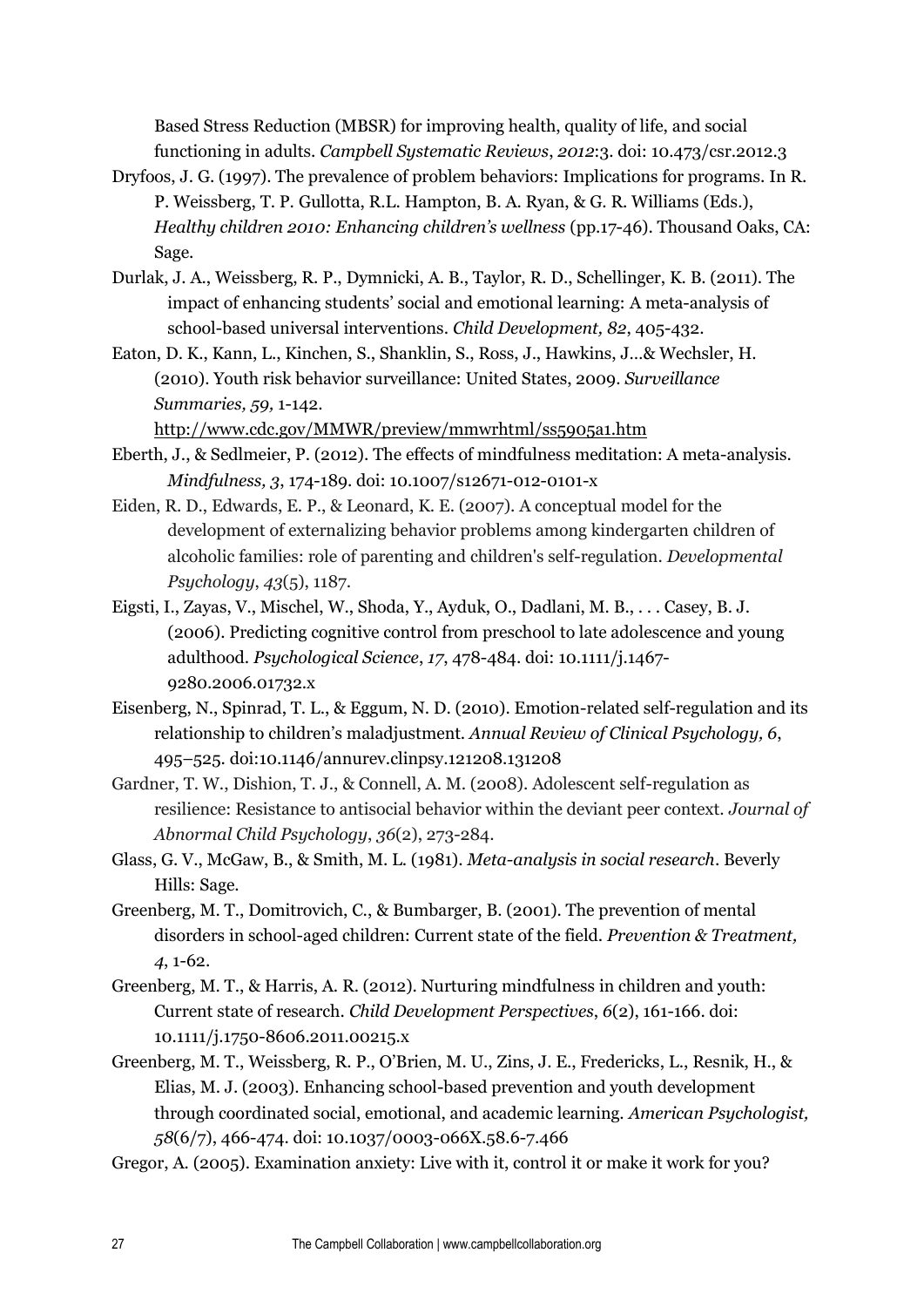Based Stress Reduction (MBSR) for improving health, quality of life, and social functioning in adults. *Campbell Systematic Reviews*, *2012*:3. doi: 10.473/csr.2012.3

- Dryfoos, J. G. (1997). The prevalence of problem behaviors: Implications for programs. In R. P. Weissberg, T. P. Gullotta, R.L. Hampton, B. A. Ryan, & G. R. Williams (Eds.), *Healthy children 2010: Enhancing children's wellness* (pp.17-46). Thousand Oaks, CA: Sage.
- Durlak, J. A., Weissberg, R. P., Dymnicki, A. B., Taylor, R. D., Schellinger, K. B. (2011). The impact of enhancing students' social and emotional learning: A meta-analysis of school-based universal interventions. *Child Development, 82*, 405-432.
- Eaton, D. K., Kann, L., Kinchen, S., Shanklin, S., Ross, J., Hawkins, J…& Wechsler, H. (2010). Youth risk behavior surveillance: United States, 2009. *Surveillance Summaries, 59,* 1-142.

<http://www.cdc.gov/MMWR/preview/mmwrhtml/ss5905a1.htm>

- Eberth, J., & Sedlmeier, P. (2012). The effects of mindfulness meditation: A meta-analysis. *Mindfulness, 3*, 174-189. doi: 10.1007/s12671-012-0101-x
- Eiden, R. D., Edwards, E. P., & Leonard, K. E. (2007). A conceptual model for the development of externalizing behavior problems among kindergarten children of alcoholic families: role of parenting and children's self-regulation. *Developmental Psychology*, *43*(5), 1187.
- Eigsti, I., Zayas, V., Mischel, W., Shoda, Y., Ayduk, O., Dadlani, M. B., . . . Casey, B. J. (2006). Predicting cognitive control from preschool to late adolescence and young adulthood. *Psychological Science*, *17*, 478-484. doi: 10.1111/j.1467- 9280.2006.01732.x
- Eisenberg, N., Spinrad, T. L., & Eggum, N. D. (2010). Emotion-related self-regulation and its relationship to children's maladjustment. *Annual Review of Clinical Psychology, 6*, 495–525. doi:10.1146/annurev.clinpsy.121208.131208
- Gardner, T. W., Dishion, T. J., & Connell, A. M. (2008). Adolescent self-regulation as resilience: Resistance to antisocial behavior within the deviant peer context. *Journal of Abnormal Child Psychology*, *36*(2), 273-284.
- Glass, G. V., McGaw, B., & Smith, M. L. (1981). *Meta-analysis in social research*. Beverly Hills: Sage.
- Greenberg, M. T., Domitrovich, C., & Bumbarger, B. (2001). The prevention of mental disorders in school-aged children: Current state of the field. *Prevention & Treatment, 4*, 1-62.
- Greenberg, M. T., & Harris, A. R. (2012). Nurturing mindfulness in children and youth: Current state of research. *Child Development Perspectives*, *6*(2), 161-166. doi: 10.1111/j.1750-8606.2011.00215.x
- Greenberg, M. T., Weissberg, R. P., O'Brien, M. U., Zins, J. E., Fredericks, L., Resnik, H., & Elias, M. J. (2003). Enhancing school-based prevention and youth development through coordinated social, emotional, and academic learning. *American Psychologist, 58*(6/7), 466-474. doi: 10.1037/0003-066X.58.6-7.466
- Gregor, A. (2005). Examination anxiety: Live with it, control it or make it work for you?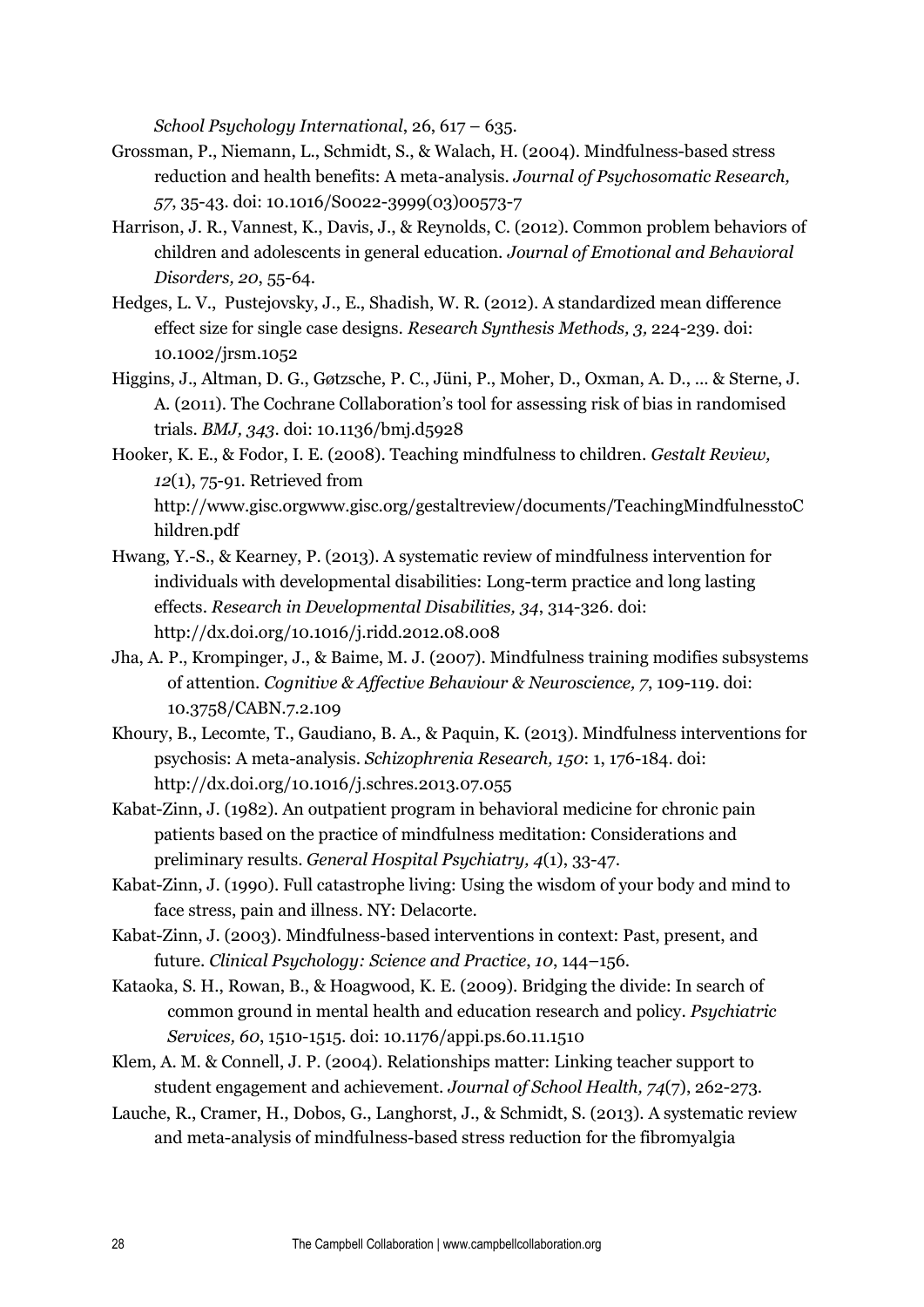*School Psychology International*, 26, 617 – 635.

- Grossman, P., Niemann, L., Schmidt, S., & Walach, H. (2004). Mindfulness-based stress reduction and health benefits: A meta-analysis. *Journal of Psychosomatic Research, 57*, 35-43. doi: 10.1016/S0022-3999(03)00573-7
- Harrison, J. R., Vannest, K., Davis, J., & Reynolds, C. (2012). Common problem behaviors of children and adolescents in general education. *Journal of Emotional and Behavioral Disorders, 20*, 55-64.
- Hedges, L. V., Pustejovsky, J., E., Shadish, W. R. (2012). A standardized mean difference effect size for single case designs. *Research Synthesis Methods, 3,* 224-239. doi: 10.1002/jrsm.1052
- Higgins, J., Altman, D. G., Gøtzsche, P. C., Jüni, P., Moher, D., Oxman, A. D., ... & Sterne, J. A. (2011). The Cochrane Collaboration's tool for assessing risk of bias in randomised trials. *BMJ, 343*. doi: [10.1136/bmj.d5928](http://dx.doi.org.ezproxy.lib.utexas.edu/10.1136%2Fbmj.d5928)
- Hooker, K. E., & Fodor, I. E. (2008). Teaching mindfulness to children. *Gestalt Review, 12*(1), 75-91. Retrieved from http://www.gisc.orgwww.gisc.org/gestaltreview/documents/TeachingMindfulnesstoC hildren.pdf
- Hwang, Y.-S., & Kearney, P. (2013). A systematic review of mindfulness intervention for individuals with developmental disabilities: Long-term practice and long lasting effects. *Research in Developmental Disabilities, 34*, 314-326. doi: <http://dx.doi.org/10.1016/j.ridd.2012.08.008>
- Jha, A. P., Krompinger, J., & Baime, M. J. (2007). Mindfulness training modifies subsystems of attention. *Cognitive & Affective Behaviour & Neuroscience, 7*, 109-119. doi: 10.3758/CABN.7.2.109
- Khoury, B., Lecomte, T., Gaudiano, B. A., & Paquin, K. (2013). Mindfulness interventions for psychosis: A meta-analysis. *Schizophrenia Research, 150*: 1, 176-184. doi: <http://dx.doi.org/10.1016/j.schres.2013.07.055>
- Kabat-Zinn, J. (1982). An outpatient program in behavioral medicine for chronic pain patients based on the practice of mindfulness meditation: Considerations and preliminary results. *General Hospital Psychiatry, 4*(1), 33-47.
- Kabat-Zinn, J. (1990). Full catastrophe living: Using the wisdom of your body and mind to face stress, pain and illness. NY: Delacorte.
- Kabat-Zinn, J. (2003). Mindfulness-based interventions in context: Past, present, and future. *Clinical Psychology: Science and Practice*, *10*, 144–156.
- Kataoka, S. H., Rowan, B., & Hoagwood, K. E. (2009). Bridging the divide: In search of common ground in mental health and education research and policy. *Psychiatric Services, 60*, 1510-1515. doi: 10.1176/appi.ps.60.11.1510
- Klem, A. M. & Connell, J. P. (2004). Relationships matter: Linking teacher support to student engagement and achievement. *Journal of School Health, 74*(7), 262-273.
- Lauche, R., Cramer, H., Dobos, G., Langhorst, J., & Schmidt, S. (2013). A systematic review and meta-analysis of mindfulness-based stress reduction for the fibromyalgia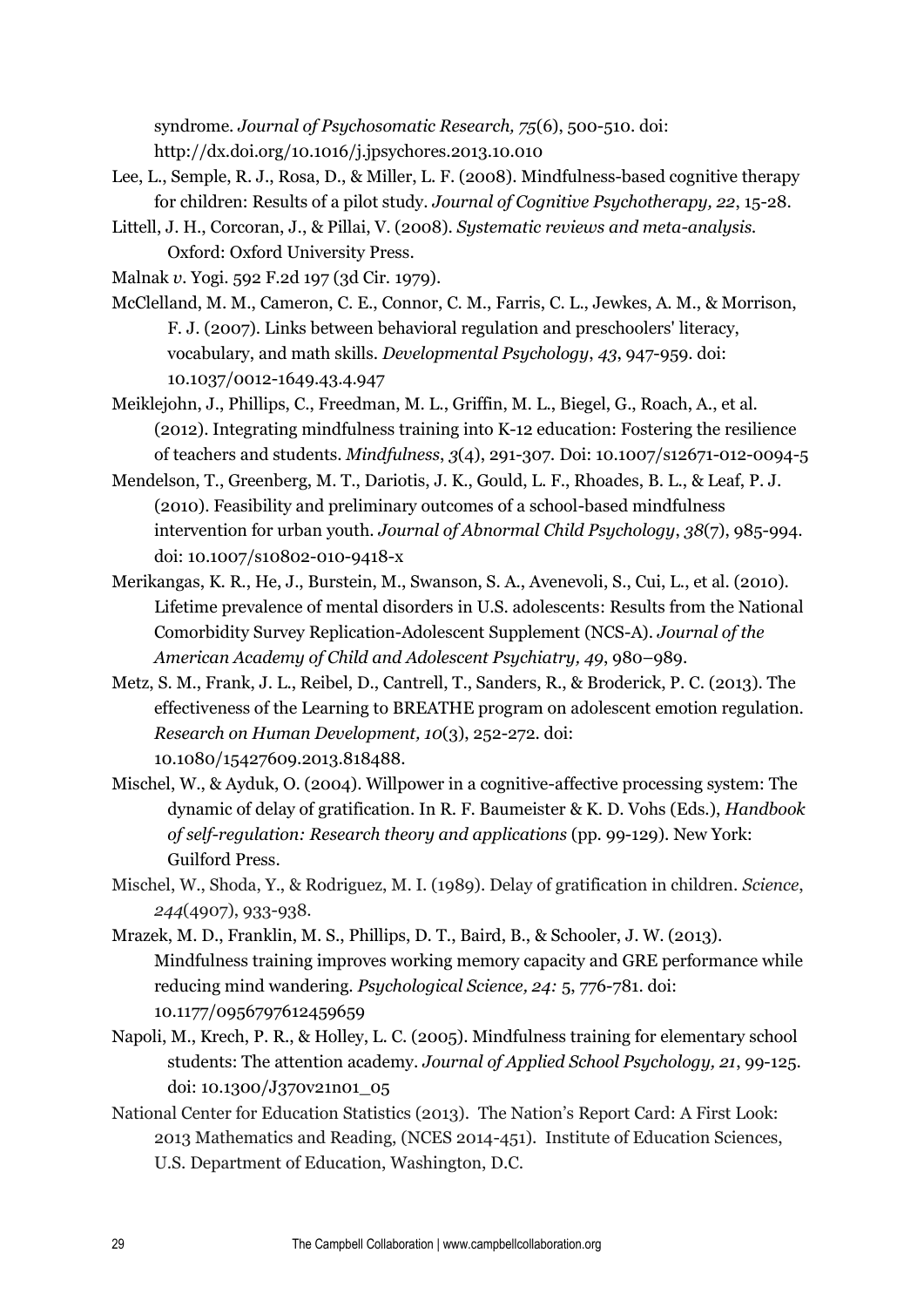syndrome. *Journal of Psychosomatic Research, 75*(6), 500-510. doi: <http://dx.doi.org/10.1016/j.jpsychores.2013.10.010>

- Lee, L., Semple, R. J., Rosa, D., & Miller, L. F. (2008). Mindfulness-based cognitive therapy for children: Results of a pilot study. *Journal of Cognitive Psychotherapy, 22*, 15-28.
- Littell, J. H., Corcoran, J., & Pillai, V. (2008). *Systematic reviews and meta-analysis.*  Oxford: Oxford University Press.

Malnak *v.* Yogi. 592 F.2d 197 (3d Cir. 1979).

- McClelland, M. M., Cameron, C. E., Connor, C. M., Farris, C. L., Jewkes, A. M., & Morrison, F. J. (2007). Links between behavioral regulation and preschoolers' literacy, vocabulary, and math skills. *Developmental Psychology*, *43*, 947-959. doi: 10.1037/0012-1649.43.4.947
- Meiklejohn, J., Phillips, C., Freedman, M. L., Griffin, M. L., Biegel, G., Roach, A., et al. (2012). Integrating mindfulness training into K-12 education: Fostering the resilience of teachers and students. *Mindfulness*, *3*(4), 291-307*.* Doi: 10.1007/s12671-012-0094-5
- Mendelson, T., Greenberg, M. T., Dariotis, J. K., Gould, L. F., Rhoades, B. L., & Leaf, P. J. (2010). Feasibility and preliminary outcomes of a school-based mindfulness intervention for urban youth. *Journal of Abnormal Child Psychology*, *38*(7), 985-994. doi: 10.1007/s10802-010-9418-x
- Merikangas, K. R., He, J., Burstein, M., Swanson, S. A., Avenevoli, S., Cui, L., et al. (2010). Lifetime prevalence of mental disorders in U.S. adolescents: Results from the National Comorbidity Survey Replication-Adolescent Supplement (NCS-A). *Journal of the American Academy of Child and Adolescent Psychiatry, 49*, 980–989.
- Metz, S. M., Frank, J. L., Reibel, D., Cantrell, T., Sanders, R., & Broderick, P. C. (2013). The effectiveness of the Learning to BREATHE program on adolescent emotion regulation. *Research on Human Development, 10*(3), 252-272. doi: 10.1080/15427609.2013.818488.
- Mischel, W., & Ayduk, O. (2004). Willpower in a cognitive-affective processing system: The dynamic of delay of gratification. In R. F. Baumeister & K. D. Vohs (Eds.), *Handbook of self-regulation: Research theory and applications* (pp. 99-129). New York: Guilford Press.
- Mischel, W., Shoda, Y., & Rodriguez, M. I. (1989). Delay of gratification in children. *Science*, *244*(4907), 933-938.
- Mrazek, M. D., Franklin, M. S., Phillips, D. T., Baird, B., & Schooler, J. W. (2013). Mindfulness training improves working memory capacity and GRE performance while reducing mind wandering. *Psychological Science, 24:* 5, 776-781. doi: 10.1177/0956797612459659
- Napoli, M., Krech, P. R., & Holley, L. C. (2005). Mindfulness training for elementary school students: The attention academy. *Journal of Applied School Psychology, 21*, 99-125. doi: 10.1300/J370v21n01\_05
- National Center for Education Statistics (2013). The Nation's Report Card: A First Look: 2013 Mathematics and Reading, (NCES 2014-451). Institute of Education Sciences, U.S. Department of Education, Washington, D.C.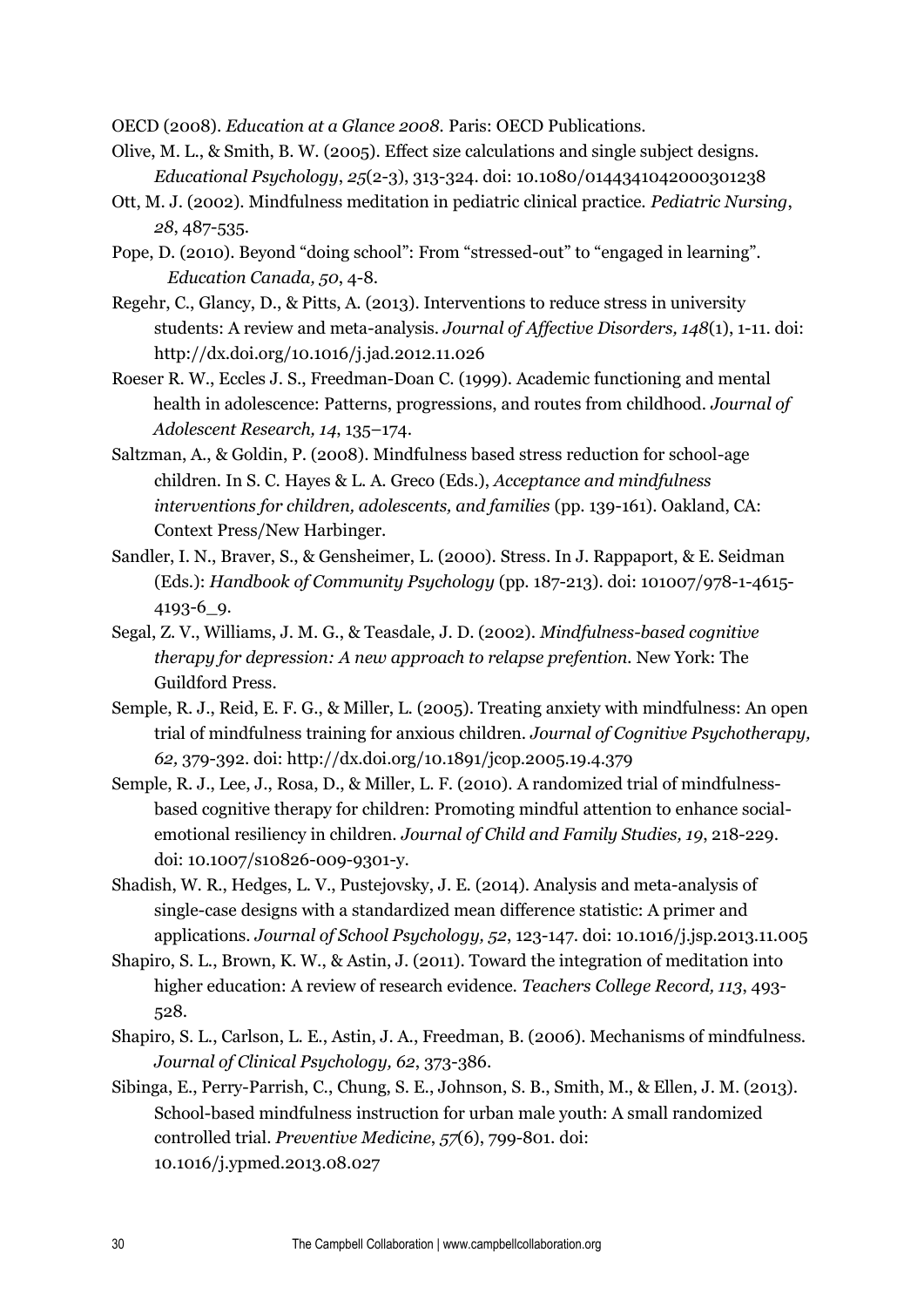OECD (2008). *Education at a Glance 2008.* Paris: OECD Publications.

- Olive, M. L., & Smith, B. W. (2005). Effect size calculations and single subject designs. *Educational Psychology*, *25*(2-3), 313-324. doi: 10.1080/0144341042000301238
- Ott, M. J. (2002). Mindfulness meditation in pediatric clinical practice. *Pediatric Nursing*, *28*, 487-535.
- Pope, D. (2010). Beyond "doing school": From "stressed-out" to "engaged in learning". *Education Canada, 50*, 4-8.
- Regehr, C., Glancy, D., & Pitts, A. (2013). Interventions to reduce stress in university students: A review and meta-analysis. *Journal of Affective Disorders, 148*(1), 1-11. doi: <http://dx.doi.org/10.1016/j.jad.2012.11.026>
- Roeser R. W., Eccles J. S., Freedman-Doan C. (1999). Academic functioning and mental health in adolescence: Patterns, progressions, and routes from childhood. *Journal of Adolescent Research, 14*, 135–174.
- Saltzman, A., & Goldin, P. (2008). Mindfulness based stress reduction for school-age children. In S. C. Hayes & L. A. Greco (Eds.), *Acceptance and mindfulness interventions for children, adolescents, and families* (pp. 139-161). Oakland, CA: Context Press/New Harbinger.
- Sandler, I. N., Braver, S., & Gensheimer, L. (2000). Stress. In J. Rappaport, & E. Seidman (Eds.): *Handbook of Community Psychology* (pp. 187-213). doi: 101007/978-1-4615- 4193-6\_9.
- Segal, Z. V., Williams, J. M. G., & Teasdale, J. D. (2002). *Mindfulness-based cognitive therapy for depression: A new approach to relapse prefention.* New York: The Guildford Press.
- Semple, R. J., Reid, E. F. G., & Miller, L. (2005). Treating anxiety with mindfulness: An open trial of mindfulness training for anxious children. *Journal of Cognitive Psychotherapy, 62,* 379-392. doi:<http://dx.doi.org/10.1891/jcop.2005.19.4.379>
- Semple, R. J., Lee, J., Rosa, D., & Miller, L. F. (2010). A randomized trial of mindfulnessbased cognitive therapy for children: Promoting mindful attention to enhance socialemotional resiliency in children. *Journal of Child and Family Studies, 19*, 218-229. doi: 10.1007/s10826-009-9301-y.
- Shadish, W. R., Hedges, L. V., Pustejovsky, J. E. (2014). Analysis and meta-analysis of single-case designs with a standardized mean difference statistic: A primer and applications. *Journal of School Psychology, 52*, 123-147. doi: 10.1016/j.jsp.2013.11.005
- Shapiro, S. L., Brown, K. W., & Astin, J. (2011). Toward the integration of meditation into higher education: A review of research evidence. *Teachers College Record, 113*, 493- 528.
- Shapiro, S. L., Carlson, L. E., Astin, J. A., Freedman, B. (2006). Mechanisms of mindfulness. *Journal of Clinical Psychology, 62*, 373-386.
- Sibinga, E., Perry-Parrish, C., Chung, S. E., Johnson, S. B., Smith, M., & Ellen, J. M. (2013). School-based mindfulness instruction for urban male youth: A small randomized controlled trial. *Preventive Medicine*, *57*(6), 799-801. doi: 10.1016/j.ypmed.2013.08.027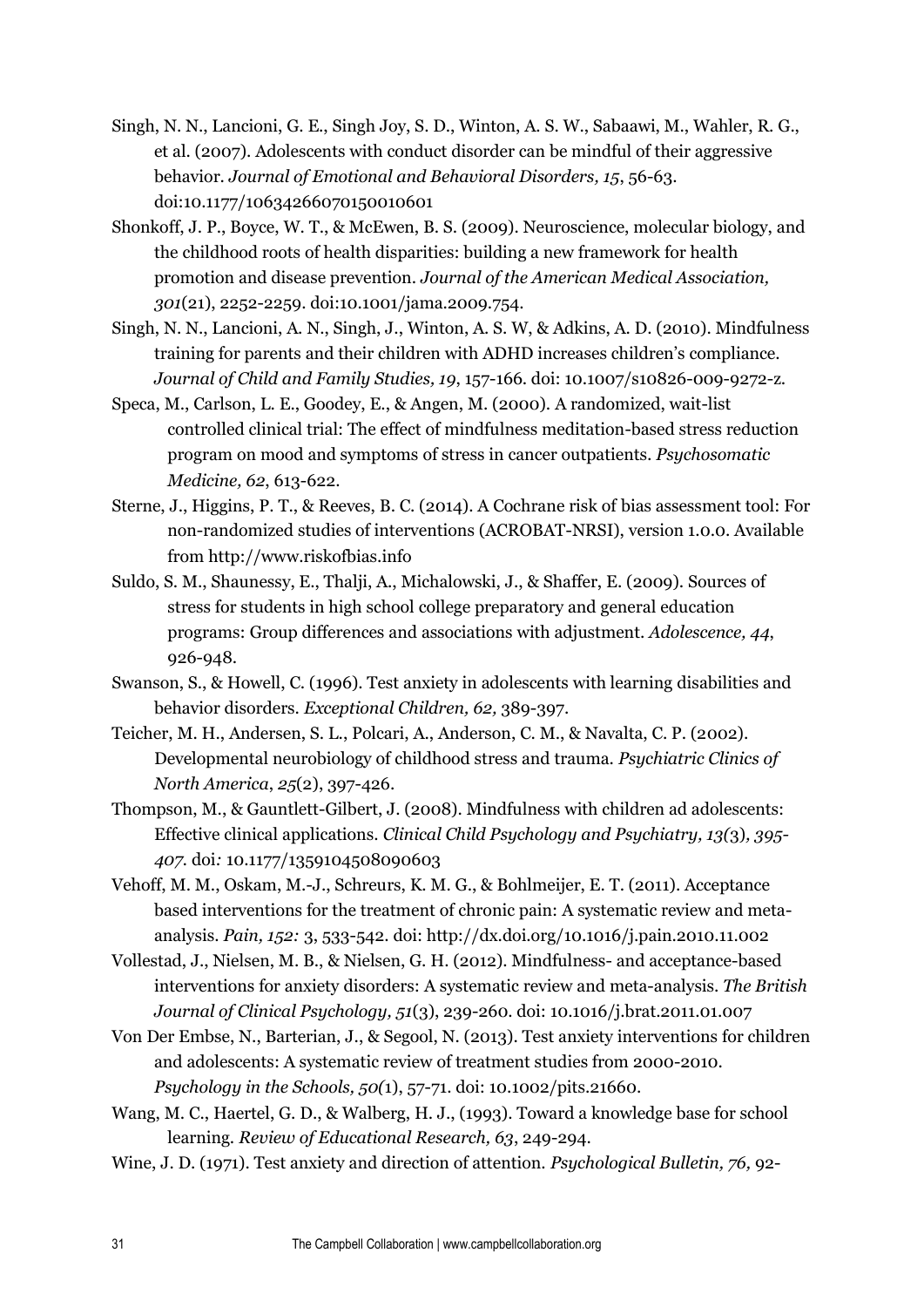- Singh, N. N., Lancioni, G. E., Singh Joy, S. D., Winton, A. S. W., Sabaawi, M., Wahler, R. G., et al. (2007). Adolescents with conduct disorder can be mindful of their aggressive behavior. *Journal of Emotional and Behavioral Disorders, 15*, 56-63. doi:10.1177/10634266070150010601
- Shonkoff, J. P., Boyce, W. T., & McEwen, B. S. (2009). Neuroscience, molecular biology, and the childhood roots of health disparities: building a new framework for health promotion and disease prevention. *Journal of the American Medical Association, 301*(21), 2252-2259. doi:10.1001/jama.2009.754.
- Singh, N. N., Lancioni, A. N., Singh, J., Winton, A. S. W, & Adkins, A. D. (2010). Mindfulness training for parents and their children with ADHD increases children's compliance. *Journal of Child and Family Studies, 19*, 157-166. doi: 10.1007/s10826-009-9272-z.
- Speca, M., Carlson, L. E., Goodey, E., & Angen, M. (2000). A randomized, wait-list controlled clinical trial: The effect of mindfulness meditation-based stress reduction program on mood and symptoms of stress in cancer outpatients*. Psychosomatic Medicine, 62*, 613-622.
- Sterne, J., Higgins, P. T., & Reeves, B. C. (2014). A Cochrane risk of bias assessment tool: For non-randomized studies of interventions (ACROBAT-NRSI), version 1.0.0. Available from http://www.riskofbias.info
- Suldo, S. M., Shaunessy, E., Thalji, A., Michalowski, J., & Shaffer, E. (2009). Sources of stress for students in high school college preparatory and general education programs: Group differences and associations with adjustment. *Adolescence, 44*, 926-948.
- Swanson, S., & Howell, C. (1996). Test anxiety in adolescents with learning disabilities and behavior disorders. *Exceptional Children, 62,* 389-397.
- Teicher, M. H., Andersen, S. L., Polcari, A., Anderson, C. M., & Navalta, C. P. (2002). Developmental neurobiology of childhood stress and trauma. *Psychiatric Clinics of North America*, *25*(2), 397-426.
- Thompson, M., & Gauntlett-Gilbert, J. (2008). Mindfulness with children ad adolescents: Effective clinical applications. *Clinical Child Psychology and Psychiatry, 13(*3)*, 395- 407.* doi*:* 10.1177/1359104508090603
- Vehoff, M. M., Oskam, M.-J., Schreurs, K. M. G., & Bohlmeijer, E. T. (2011). Acceptance based interventions for the treatment of chronic pain: A systematic review and metaanalysis. *Pain, 152:* 3, 533-542. doi:<http://dx.doi.org/10.1016/j.pain.2010.11.002>
- Vollestad, J., Nielsen, M. B., & Nielsen, G. H. (2012). Mindfulness- and acceptance-based interventions for anxiety disorders: A systematic review and meta-analysis. *The British Journal of Clinical Psychology, 51*(3), 239-260. doi: 10.1016/j.brat.2011.01.007
- Von Der Embse, N., Barterian, J., & Segool, N. (2013). Test anxiety interventions for children and adolescents: A systematic review of treatment studies from 2000-2010. *Psychology in the Schools, 50(*1), 57-71. doi: 10.1002/pits.21660.
- Wang, M. C., Haertel, G. D., & Walberg, H. J., (1993). Toward a knowledge base for school learning. *Review of Educational Research, 63*, 249-294.
- Wine, J. D. (1971). Test anxiety and direction of attention. *Psychological Bulletin, 76,* 92-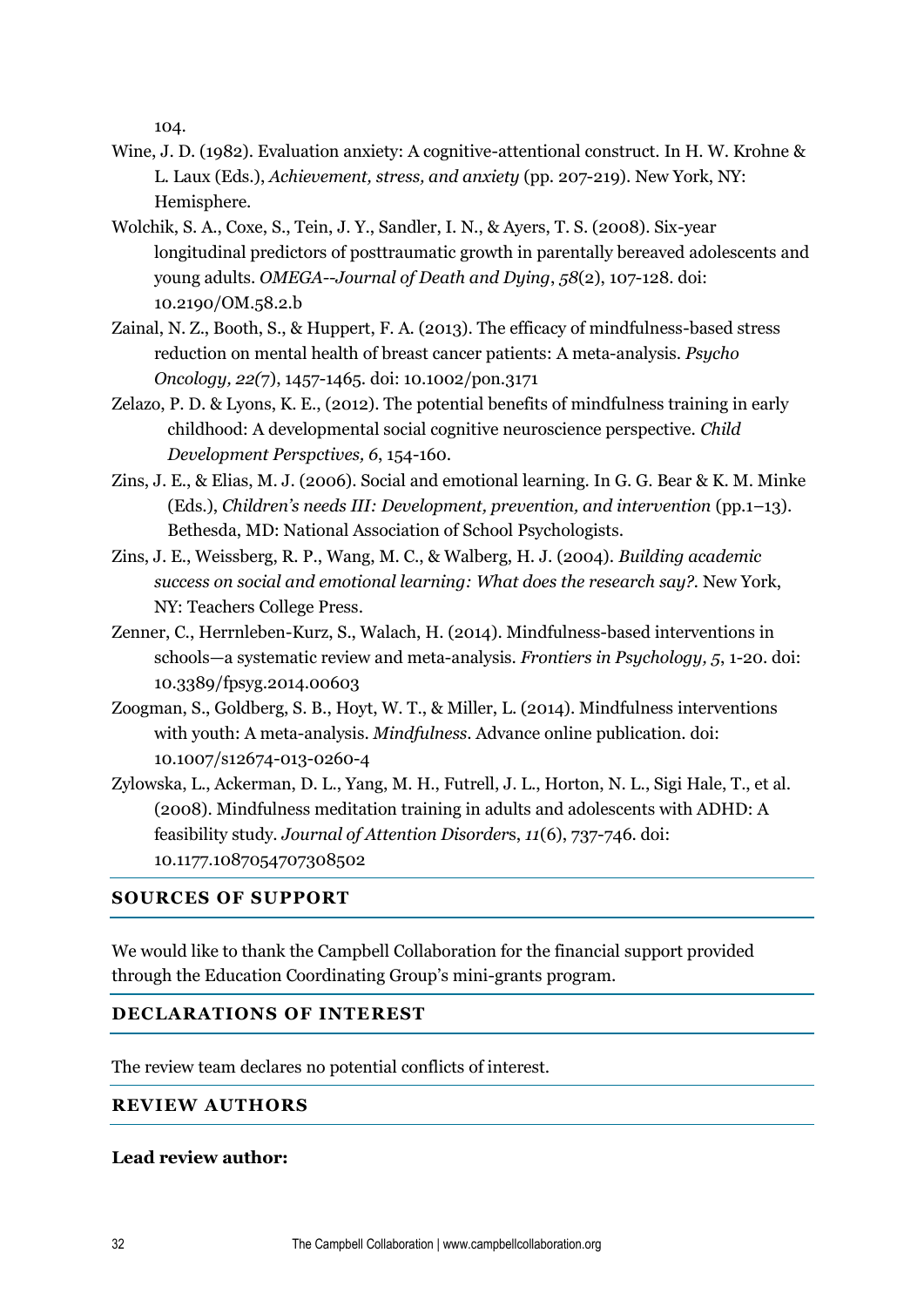104.

- Wine, J. D. (1982). Evaluation anxiety: A cognitive-attentional construct. In H. W. Krohne & L. Laux (Eds.), *Achievement, stress, and anxiety* (pp. 207-219). New York, NY: Hemisphere.
- Wolchik, S. A., Coxe, S., Tein, J. Y., Sandler, I. N., & Ayers, T. S. (2008). Six-year longitudinal predictors of posttraumatic growth in parentally bereaved adolescents and young adults. *OMEGA--Journal of Death and Dying*, *58*(2), 107-128. doi: [10.2190/OM.58.2.b](http://dx.doi.org.ezproxy.lib.utexas.edu/10.2190%2FOM.58.2.b)
- Zainal, N. Z., Booth, S., & Huppert, F. A. (2013). The efficacy of mindfulness-based stress reduction on mental health of breast cancer patients: A meta-analysis. *Psycho Oncology, 22(*7), 1457-1465. doi: 10.1002/pon.3171
- Zelazo, P. D. & Lyons, K. E., (2012). The potential benefits of mindfulness training in early childhood: A developmental social cognitive neuroscience perspective. *Child Development Perspctives, 6*, 154-160.
- Zins, J. E., & Elias, M. J. (2006). Social and emotional learning. In G. G. Bear & K. M. Minke (Eds.), *Children's needs III: Development, prevention, and intervention* (pp.1–13). Bethesda, MD: National Association of School Psychologists.
- Zins, J. E., Weissberg, R. P., Wang, M. C., & Walberg, H. J. (2004). *Building academic success on social and emotional learning: What does the research say?.* New York, NY: Teachers College Press.
- Zenner, C., Herrnleben-Kurz, S., Walach, H. (2014). Mindfulness-based interventions in schools—a systematic review and meta-analysis. *Frontiers in Psychology, 5*, 1-20. doi: 10.3389/fpsyg.2014.00603
- Zoogman, S., Goldberg, S. B., Hoyt, W. T., & Miller, L. (2014). Mindfulness interventions with youth: A meta-analysis. *Mindfulness*. Advance online publication. doi: 10.1007/s12674-013-0260-4
- Zylowska, L., Ackerman, D. L., Yang, M. H., Futrell, J. L., Horton, N. L., Sigi Hale, T., et al. (2008). Mindfulness meditation training in adults and adolescents with ADHD: A feasibility study. *Journal of Attention Disorder*s, *11*(6), 737-746. doi: 10.1177.1087054707308502

## **SOURCES OF SUPPORT**

We would like to thank the Campbell Collaboration for the financial support provided through the Education Coordinating Group's mini-grants program.

## **DECLARATIONS OF INTEREST**

The review team declares no potential conflicts of interest.

## **REVIEW AUTHORS**

## **Lead review author:**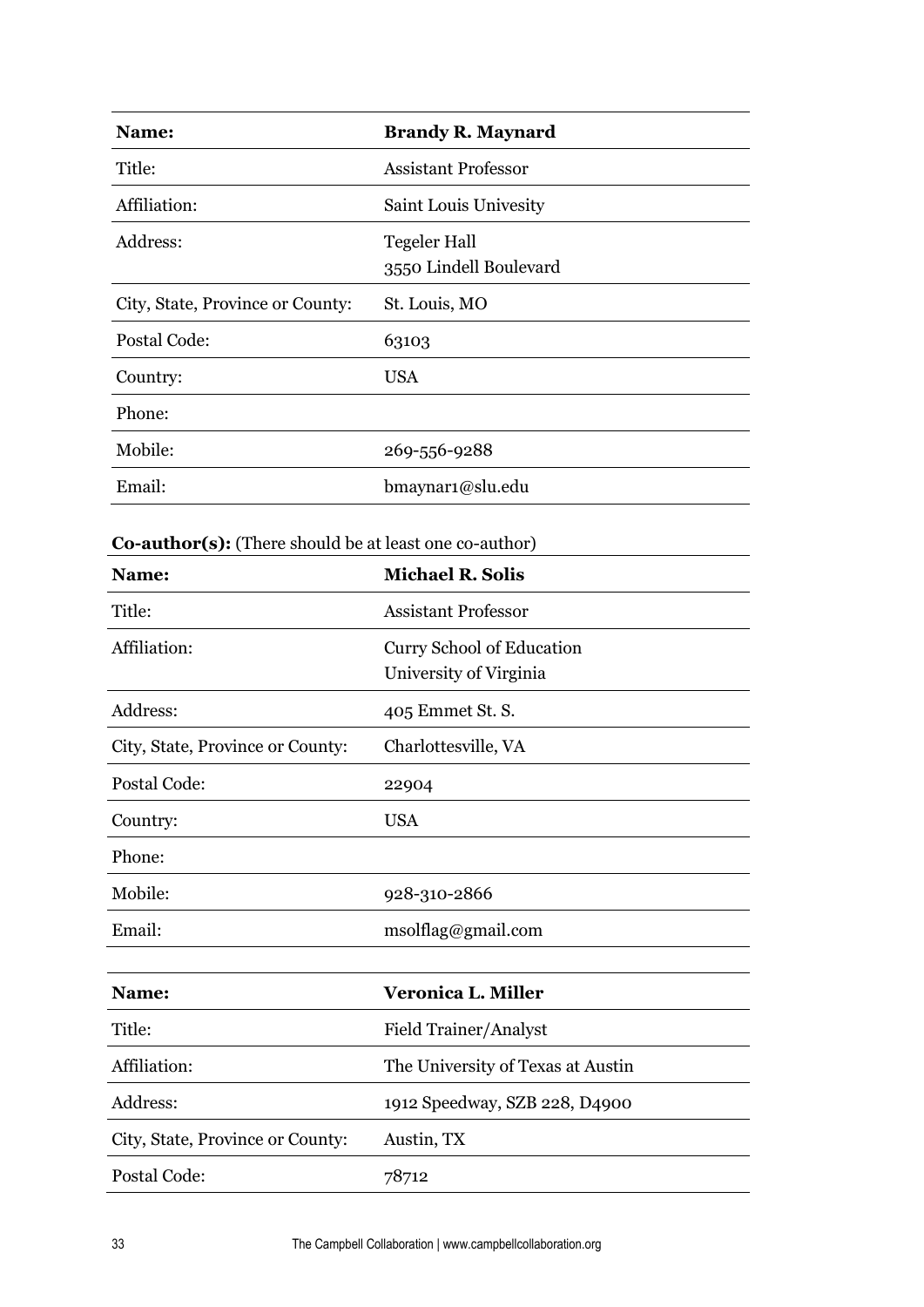| Name:                                                  | <b>Brandy R. Maynard</b>                            |
|--------------------------------------------------------|-----------------------------------------------------|
| Title:                                                 | <b>Assistant Professor</b>                          |
| Affiliation:                                           | Saint Louis Univesity                               |
| Address:                                               | <b>Tegeler Hall</b><br>3550 Lindell Boulevard       |
| City, State, Province or County:                       | St. Louis, MO                                       |
| Postal Code:                                           | 63103                                               |
| Country:                                               | <b>USA</b>                                          |
| Phone:                                                 |                                                     |
| Mobile:                                                | 269-556-9288                                        |
| Email:                                                 | bmaynar1@slu.edu                                    |
|                                                        |                                                     |
| Co-author(s): (There should be at least one co-author) |                                                     |
| Name:                                                  | <b>Michael R. Solis</b>                             |
| Title:                                                 | <b>Assistant Professor</b>                          |
| Affiliation:                                           | Curry School of Education<br>University of Virginia |
| Address:                                               | 405 Emmet St. S.                                    |
| City, State, Province or County:                       | Charlottesville, VA                                 |
| Postal Code:                                           | 22904                                               |
| Country:                                               | <b>USA</b>                                          |
| Phone:                                                 |                                                     |
| Mobile:                                                | 928-310-2866                                        |
| Email:                                                 | msolflag@gmail.com                                  |
|                                                        |                                                     |
| Name:                                                  | <b>Veronica L. Miller</b>                           |
| Title:                                                 | Field Trainer/Analyst                               |
| Affiliation:                                           | The University of Texas at Austin                   |
| Address:                                               | 1912 Speedway, SZB 228, D4900                       |
| City, State, Province or County:                       | Austin, TX                                          |
| Postal Code:                                           | 78712                                               |

 $\ddot{\phantom{a}}$ 

J.

 $\ddot{\phantom{a}}$ 

 $\overline{a}$ 

 $\mathbf{r}$ 

 $\overline{a}$ 

j.

 $\overline{a}$ 

J.

j.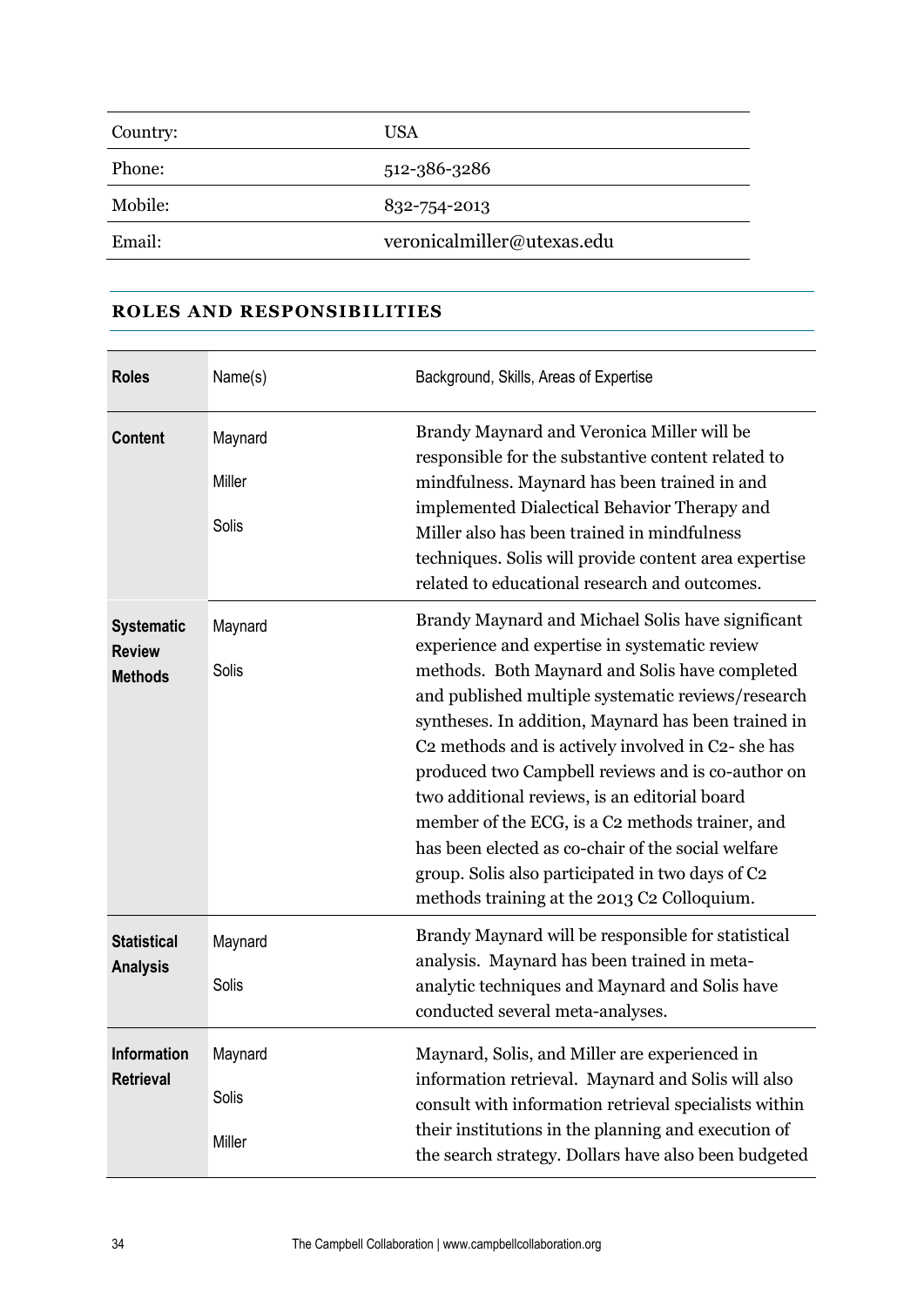| Country: | <b>USA</b>                 |
|----------|----------------------------|
| Phone:   | 512-386-3286               |
| Mobile:  | 832-754-2013               |
| Email:   | veronicalmiller@utexas.edu |

## **ROLES AND RESPONSIBILITIES**

| <b>Roles</b>                                         | Name(s)                    | Background, Skills, Areas of Expertise                                                                                                                                                                                                                                                                                                                                                                                                                                                                                                                                                                                                                             |  |  |  |  |  |
|------------------------------------------------------|----------------------------|--------------------------------------------------------------------------------------------------------------------------------------------------------------------------------------------------------------------------------------------------------------------------------------------------------------------------------------------------------------------------------------------------------------------------------------------------------------------------------------------------------------------------------------------------------------------------------------------------------------------------------------------------------------------|--|--|--|--|--|
| <b>Content</b>                                       | Maynard<br>Miller<br>Solis | Brandy Maynard and Veronica Miller will be<br>responsible for the substantive content related to<br>mindfulness. Maynard has been trained in and<br>implemented Dialectical Behavior Therapy and<br>Miller also has been trained in mindfulness<br>techniques. Solis will provide content area expertise<br>related to educational research and outcomes.                                                                                                                                                                                                                                                                                                          |  |  |  |  |  |
| <b>Systematic</b><br><b>Review</b><br><b>Methods</b> | Maynard<br>Solis           | Brandy Maynard and Michael Solis have significant<br>experience and expertise in systematic review<br>methods. Both Maynard and Solis have completed<br>and published multiple systematic reviews/research<br>syntheses. In addition, Maynard has been trained in<br>C <sub>2</sub> methods and is actively involved in C <sub>2</sub> - she has<br>produced two Campbell reviews and is co-author on<br>two additional reviews, is an editorial board<br>member of the ECG, is a C2 methods trainer, and<br>has been elected as co-chair of the social welfare<br>group. Solis also participated in two days of C2<br>methods training at the 2013 C2 Colloquium. |  |  |  |  |  |
| <b>Statistical</b><br><b>Analysis</b>                | Maynard<br>Solis           | Brandy Maynard will be responsible for statistical<br>analysis. Maynard has been trained in meta-<br>analytic techniques and Maynard and Solis have<br>conducted several meta-analyses.                                                                                                                                                                                                                                                                                                                                                                                                                                                                            |  |  |  |  |  |
| <b>Information</b><br><b>Retrieval</b>               | Maynard<br>Solis<br>Miller | Maynard, Solis, and Miller are experienced in<br>information retrieval. Maynard and Solis will also<br>consult with information retrieval specialists within<br>their institutions in the planning and execution of<br>the search strategy. Dollars have also been budgeted                                                                                                                                                                                                                                                                                                                                                                                        |  |  |  |  |  |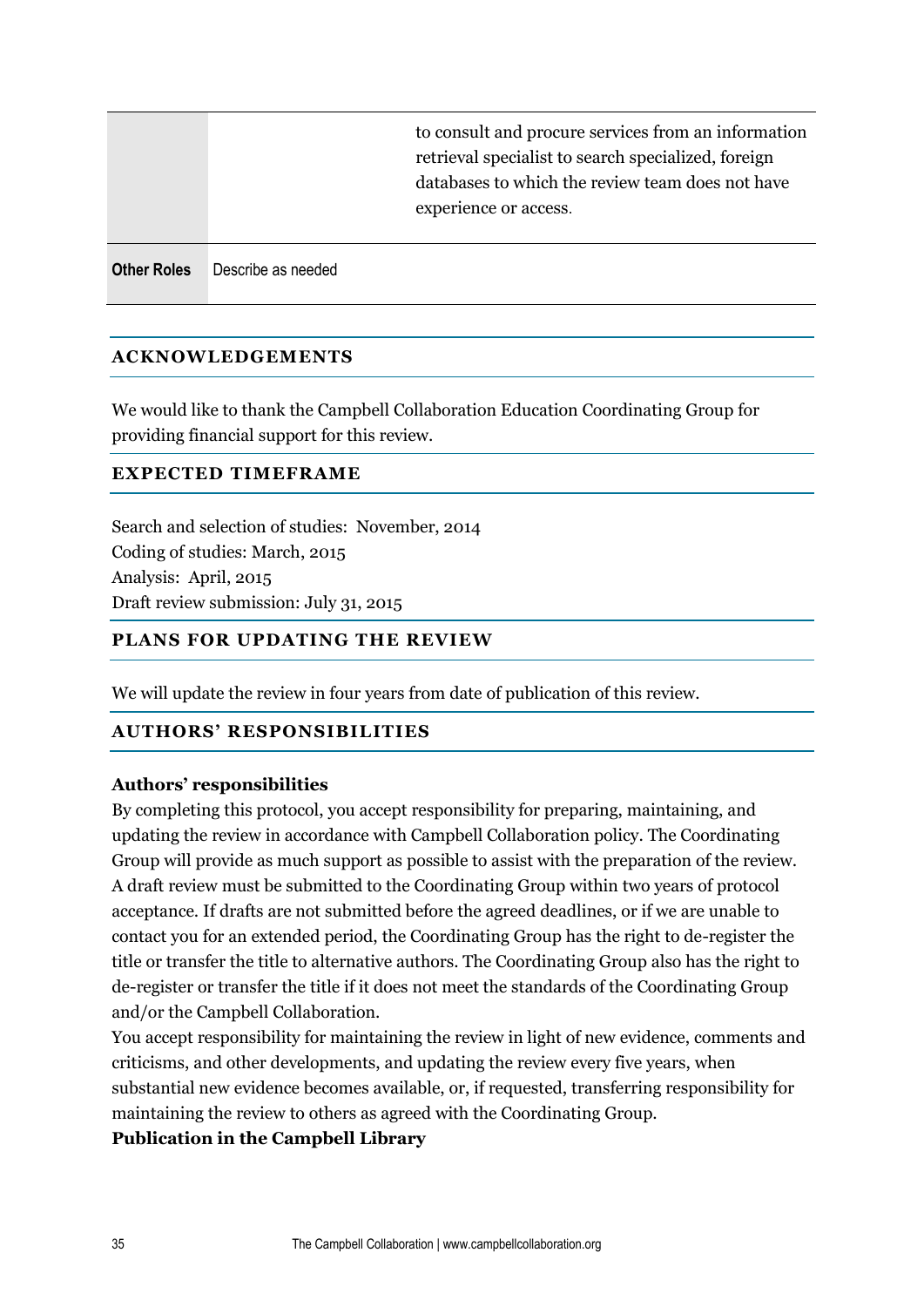|                    |                    | to consult and procure services from an information<br>retrieval specialist to search specialized, foreign<br>databases to which the review team does not have<br>experience or access. |
|--------------------|--------------------|-----------------------------------------------------------------------------------------------------------------------------------------------------------------------------------------|
| <b>Other Roles</b> | Describe as needed |                                                                                                                                                                                         |

## **ACKNOWLEDGEMENTS**

We would like to thank the Campbell Collaboration Education Coordinating Group for providing financial support for this review.

## **EXPECTED TIMEFRAME**

Search and selection of studies: November, 2014 Coding of studies: March, 2015 Analysis: April, 2015 Draft review submission: July 31, 2015

## **PLANS FOR UPDATING THE REVIEW**

We will update the review in four years from date of publication of this review.

## **AUTHORS' RESPONSIBILITIES**

## **Authors' responsibilities**

By completing this protocol, you accept responsibility for preparing, maintaining, and updating the review in accordance with Campbell Collaboration policy. The Coordinating Group will provide as much support as possible to assist with the preparation of the review. A draft review must be submitted to the Coordinating Group within two years of protocol acceptance. If drafts are not submitted before the agreed deadlines, or if we are unable to contact you for an extended period, the Coordinating Group has the right to de-register the title or transfer the title to alternative authors. The Coordinating Group also has the right to de-register or transfer the title if it does not meet the standards of the Coordinating Group and/or the Campbell Collaboration.

You accept responsibility for maintaining the review in light of new evidence, comments and criticisms, and other developments, and updating the review every five years, when substantial new evidence becomes available, or, if requested, transferring responsibility for maintaining the review to others as agreed with the Coordinating Group.

## **Publication in the Campbell Library**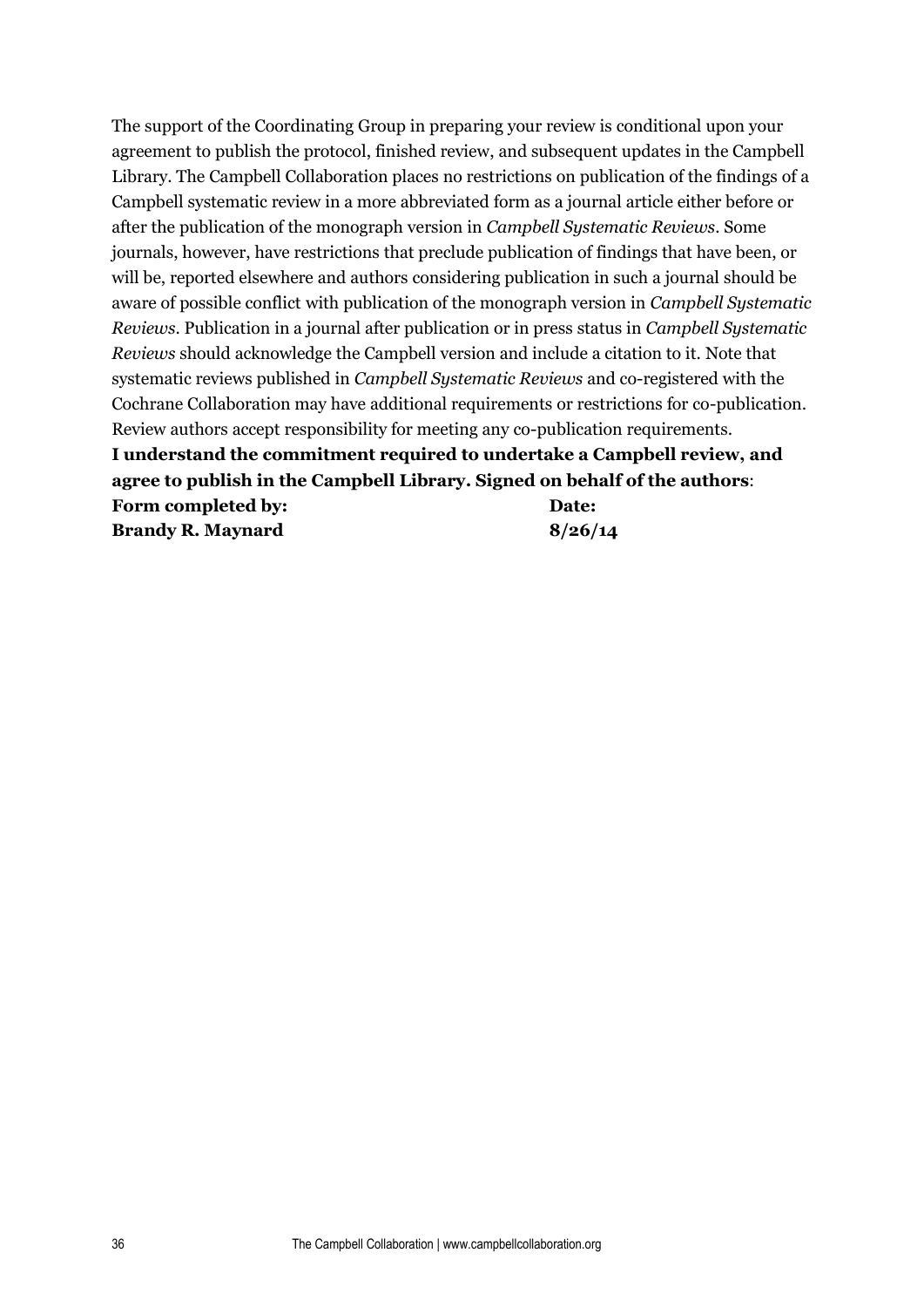The support of the Coordinating Group in preparing your review is conditional upon your agreement to publish the protocol, finished review, and subsequent updates in the Campbell Library. The Campbell Collaboration places no restrictions on publication of the findings of a Campbell systematic review in a more abbreviated form as a journal article either before or after the publication of the monograph version in *Campbell Systematic Reviews*. Some journals, however, have restrictions that preclude publication of findings that have been, or will be, reported elsewhere and authors considering publication in such a journal should be aware of possible conflict with publication of the monograph version in *Campbell Systematic Reviews*. Publication in a journal after publication or in press status in *Campbell Systematic Reviews* should acknowledge the Campbell version and include a citation to it. Note that systematic reviews published in *Campbell Systematic Reviews* and co-registered with the Cochrane Collaboration may have additional requirements or restrictions for co-publication. Review authors accept responsibility for meeting any co-publication requirements. **I understand the commitment required to undertake a Campbell review, and agree to publish in the Campbell Library. Signed on behalf of the authors**: **Form completed by: Brandy R. Maynard Date: 8/26/14**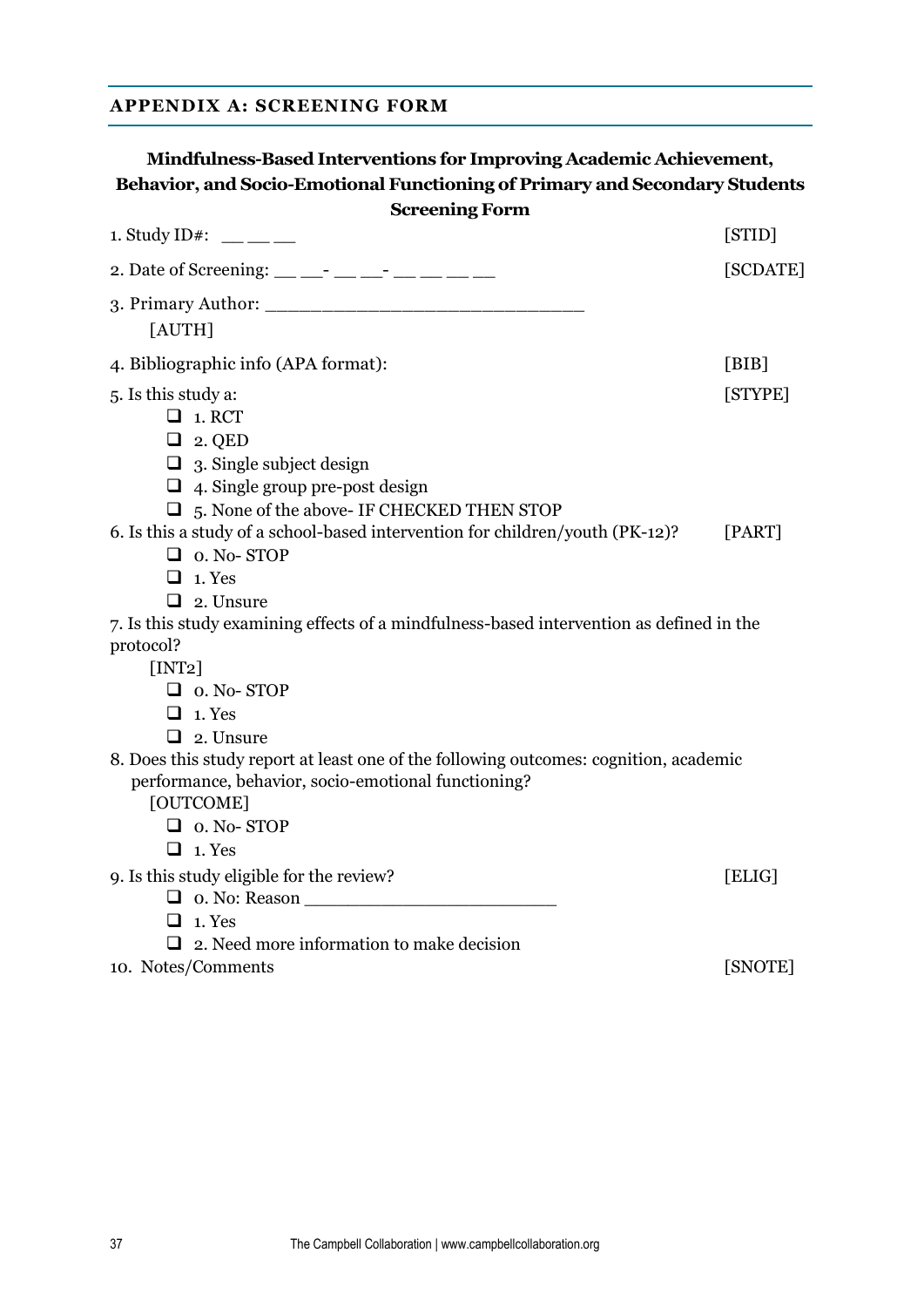## **APPENDIX A: SCREENING FORM**

## **Mindfulness-Based Interventions for Improving Academic Achievement, Behavior, and Socio-Emotional Functioning of Primary and Secondary Students Screening Form** 1. Study ID#: \_\_ \_\_ \_\_ [STID] 2. Date of Screening: \_\_ \_\_- \_\_ \_\_ \_\_ \_\_ \_\_ \_\_ \_\_ \_\_ \_\_ [SCDATE] 3. Primary Author: [AUTH] 4. Bibliographic info (APA format): [BIB] 5. Is this study a: [STYPE]  $\Box$  1. RCT  $\Box$  2. QED  $\Box$  3. Single subject design  $\Box$  4. Single group pre-post design 5. None of the above- IF CHECKED THEN STOP 6. Is this a study of a school-based intervention for children/youth (PK-12)? [PART]  $\Box$  0. No- STOP  $\Box$  1. Yes  $\Box$  2. Unsure 7. Is this study examining effects of a mindfulness-based intervention as defined in the protocol? [INT2] D 0. No- STOP  $\Box$  1. Yes  $\Box$  2. Unsure 8. Does this study report at least one of the following outcomes: cognition, academic performance, behavior, socio-emotional functioning? [OUTCOME]  $\Box$  0. No- STOP  $\Box$  1. Yes 9. Is this study eligible for the review? [ELIG] 0. No: Reason \_\_\_\_\_\_\_\_\_\_\_\_\_\_\_\_\_\_\_\_\_\_\_  $\Box$  1. Yes  $\Box$  2. Need more information to make decision 10. Notes/Comments [SNOTE]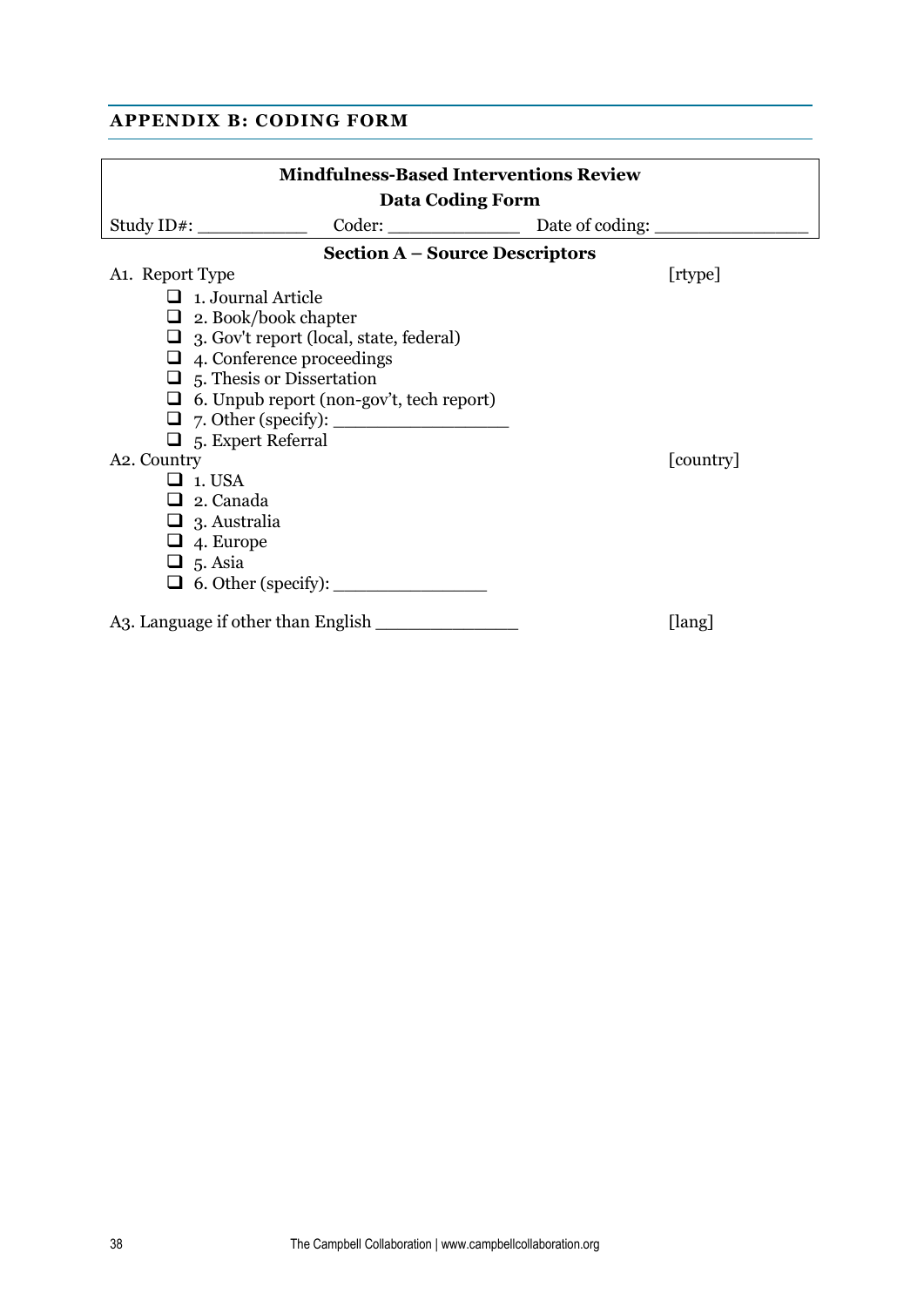## **APPENDIX B: CODING FORM**

|                                    | <b>Mindfulness-Based Interventions Review</b>   |           |
|------------------------------------|-------------------------------------------------|-----------|
|                                    | <b>Data Coding Form</b>                         |           |
| Study ID#: $\_\_$                  | Coder: Date of coding:                          |           |
|                                    | <b>Section A - Source Descriptors</b>           |           |
| A <sub>1</sub> . Report Type       |                                                 | [rtype]   |
| $\Box$ 1. Journal Article          |                                                 |           |
|                                    | $\Box$ 2. Book/book chapter                     |           |
|                                    | $\Box$ 3. Gov't report (local, state, federal)  |           |
|                                    | $\Box$ 4. Conference proceedings                |           |
|                                    | $\Box$ 5. Thesis or Dissertation                |           |
|                                    | $\Box$ 6. Unpub report (non-gov't, tech report) |           |
|                                    |                                                 |           |
| $\Box$ 5. Expert Referral          |                                                 |           |
| A <sub>2</sub> . Country           |                                                 | [country] |
| $\Box$ 1. USA                      |                                                 |           |
| $\Box$ 2. Canada                   |                                                 |           |
| $\Box$ 3. Australia                |                                                 |           |
| $\Box$ 4. Europe                   |                                                 |           |
| $\Box$ 5. Asia                     |                                                 |           |
|                                    |                                                 |           |
| A3. Language if other than English |                                                 | [lang]    |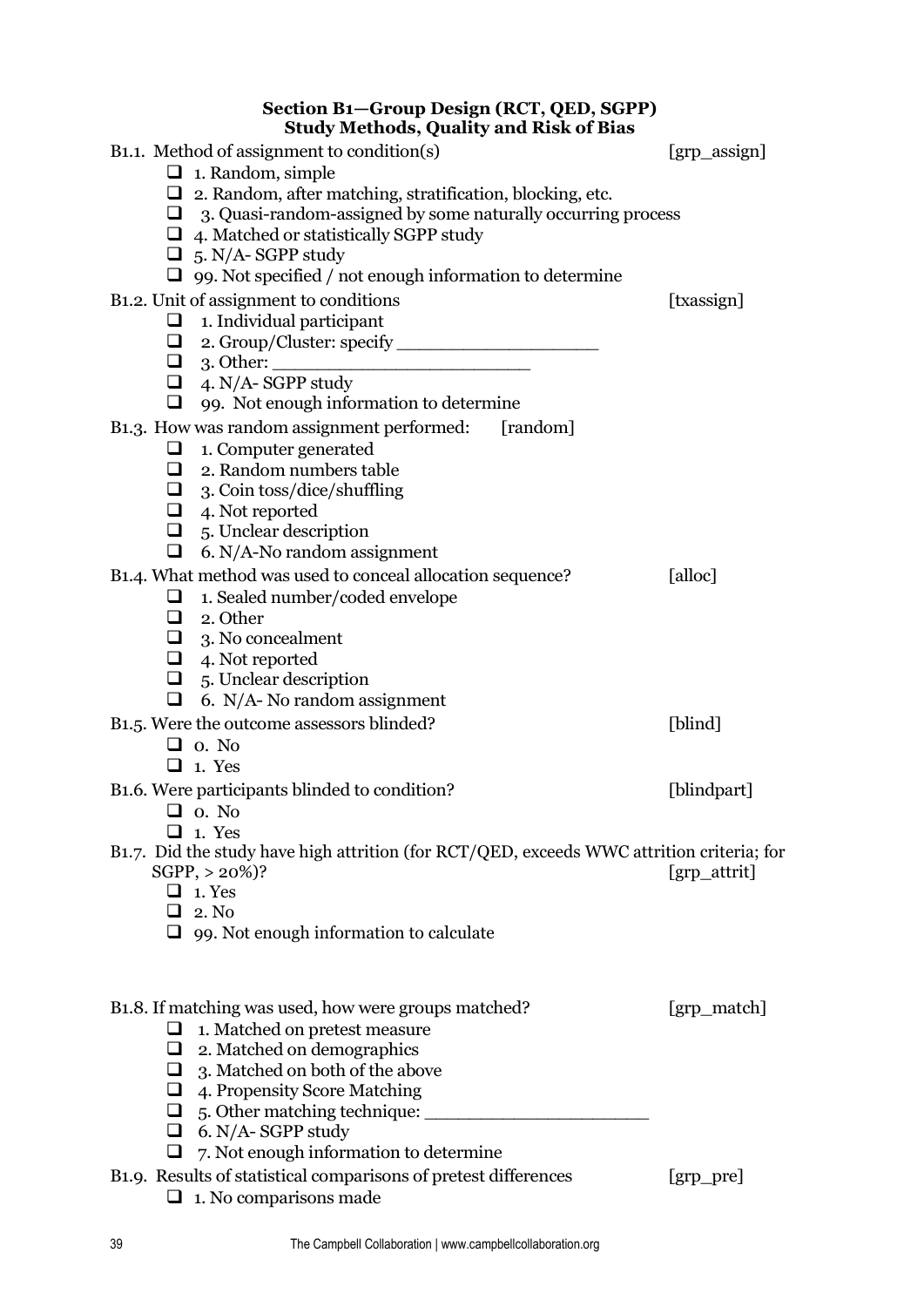## **Section B1—Group Design (RCT, QED, SGPP) Study Methods, Quality and Risk of Bias**

| Study Methods, Quality and Kisk of Blas                                                   |                      |
|-------------------------------------------------------------------------------------------|----------------------|
| B <sub>1.1</sub> . Method of assignment to condition(s)                                   | [grp_assign]         |
| $\Box$ 1. Random, simple                                                                  |                      |
| $\Box$ 2. Random, after matching, stratification, blocking, etc.                          |                      |
| $\Box$ 3. Quasi-random-assigned by some naturally occurring process                       |                      |
| $\Box$ 4. Matched or statistically SGPP study                                             |                      |
| $\Box$ 5. N/A-SGPP study                                                                  |                      |
| $\Box$ 99. Not specified / not enough information to determine                            |                      |
| B1.2. Unit of assignment to conditions                                                    | [txassign]           |
| $\Box$ 1. Individual participant                                                          |                      |
|                                                                                           |                      |
| $\Box$ 3. Other:                                                                          |                      |
| $\Box$ 4. N/A-SGPP study                                                                  |                      |
| Q<br>99. Not enough information to determine                                              |                      |
| B1.3. How was random assignment performed: [random]                                       |                      |
| 1. Computer generated<br>❏                                                                |                      |
| $\Box$ 2. Random numbers table                                                            |                      |
| $\Box$ 3. Coin toss/dice/shuffling                                                        |                      |
| $\Box$ 4. Not reported                                                                    |                      |
| 5. Unclear description<br>$\Box$                                                          |                      |
| 6. N/A-No random assignment<br>❏                                                          |                      |
| B1.4. What method was used to conceal allocation sequence?                                | [alloc]              |
| 1. Sealed number/coded envelope<br>u                                                      |                      |
| $\Box$ 2. Other                                                                           |                      |
| $\Box$ 3. No concealment                                                                  |                      |
| $\Box$ 4. Not reported                                                                    |                      |
| $\Box$<br>5. Unclear description<br>❏                                                     |                      |
| 6. N/A- No random assignment                                                              |                      |
| B <sub>1</sub> .5. Were the outcome assessors blinded?                                    | [blind]              |
| $\Box$ o. No                                                                              |                      |
| $\Box$ 1. Yes                                                                             |                      |
| B <sub>1</sub> .6. Were participants blinded to condition?                                | [blindpart]          |
| $\Box$ o. No                                                                              |                      |
| $\Box$ 1. Yes                                                                             |                      |
| B1.7. Did the study have high attrition (for RCT/QED, exceeds WWC attrition criteria; for |                      |
| SGPP, > 20%)?                                                                             | [grp_attrit]         |
| $\Box$ 1. Yes<br>$\Box$ 2. No                                                             |                      |
|                                                                                           |                      |
| $\Box$ 99. Not enough information to calculate                                            |                      |
|                                                                                           |                      |
|                                                                                           |                      |
| B <sub>1</sub> .8. If matching was used, how were groups matched?                         | [grp_match]          |
| 1. Matched on pretest measure<br>$\Box$                                                   |                      |
| $\Box$ 2. Matched on demographics                                                         |                      |
| $\Box$ 3. Matched on both of the above                                                    |                      |
| $\Box$ 4. Propensity Score Matching                                                       |                      |
|                                                                                           |                      |
| $\Box$ 6. N/A-SGPP study                                                                  |                      |
| 7. Not enough information to determine<br>⊔                                               |                      |
| B1.9. Results of statistical comparisons of pretest differences                           | $[$ grp $\_$ pre $]$ |
| $\Box$ 1. No comparisons made                                                             |                      |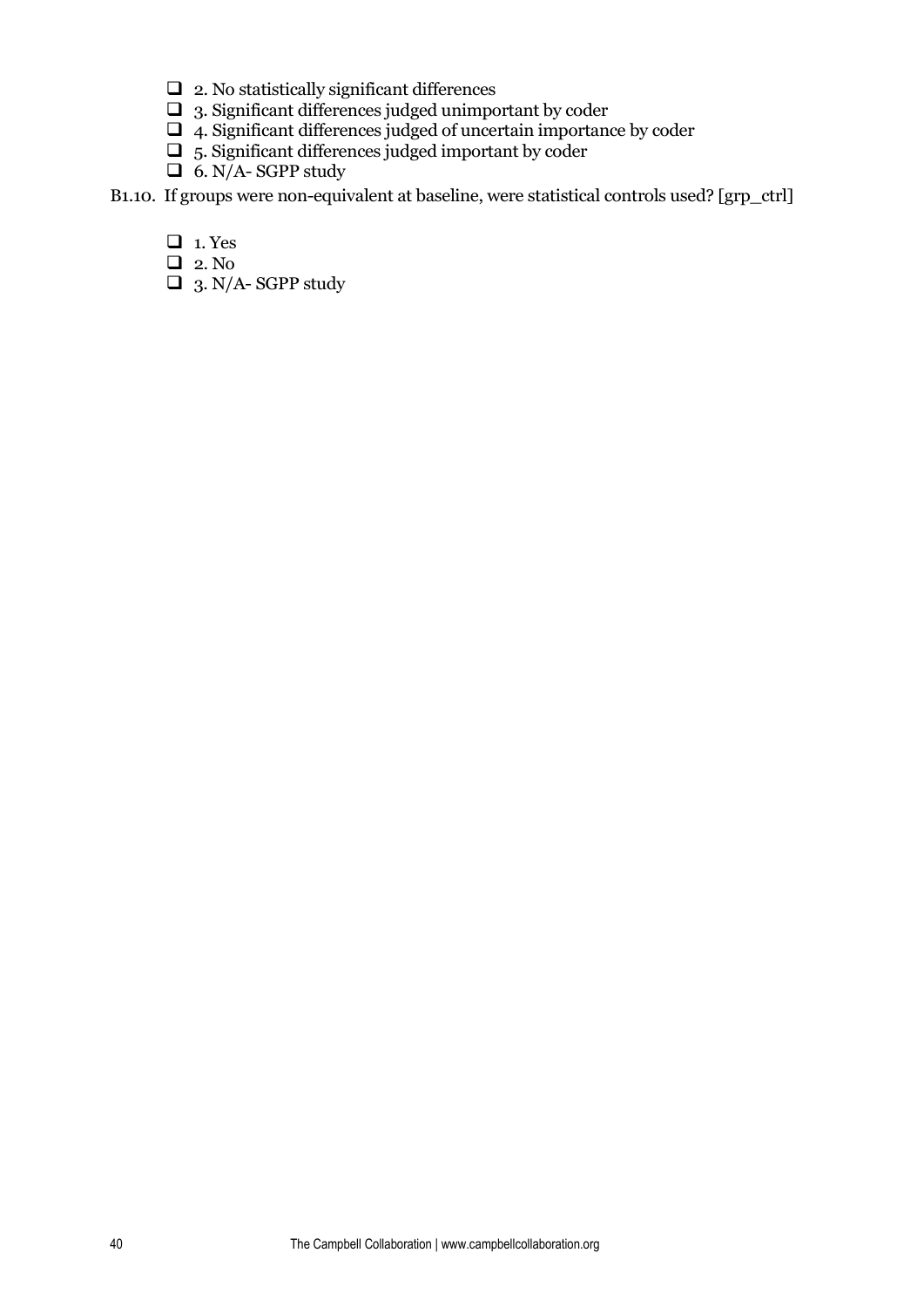- $\Box$  2. No statistically significant differences
- $\Box$  3. Significant differences judged unimportant by coder
- $\Box$  4. Significant differences judged of uncertain importance by coder
- $\Box$  5. Significant differences judged important by coder
- $\Box$  6. N/A-SGPP study

B1.10. If groups were non-equivalent at baseline, were statistical controls used? [grp\_ctrl]

- $\Box$  1. Yes
- **1** 2. No
- $\Box$  3. N/A-SGPP study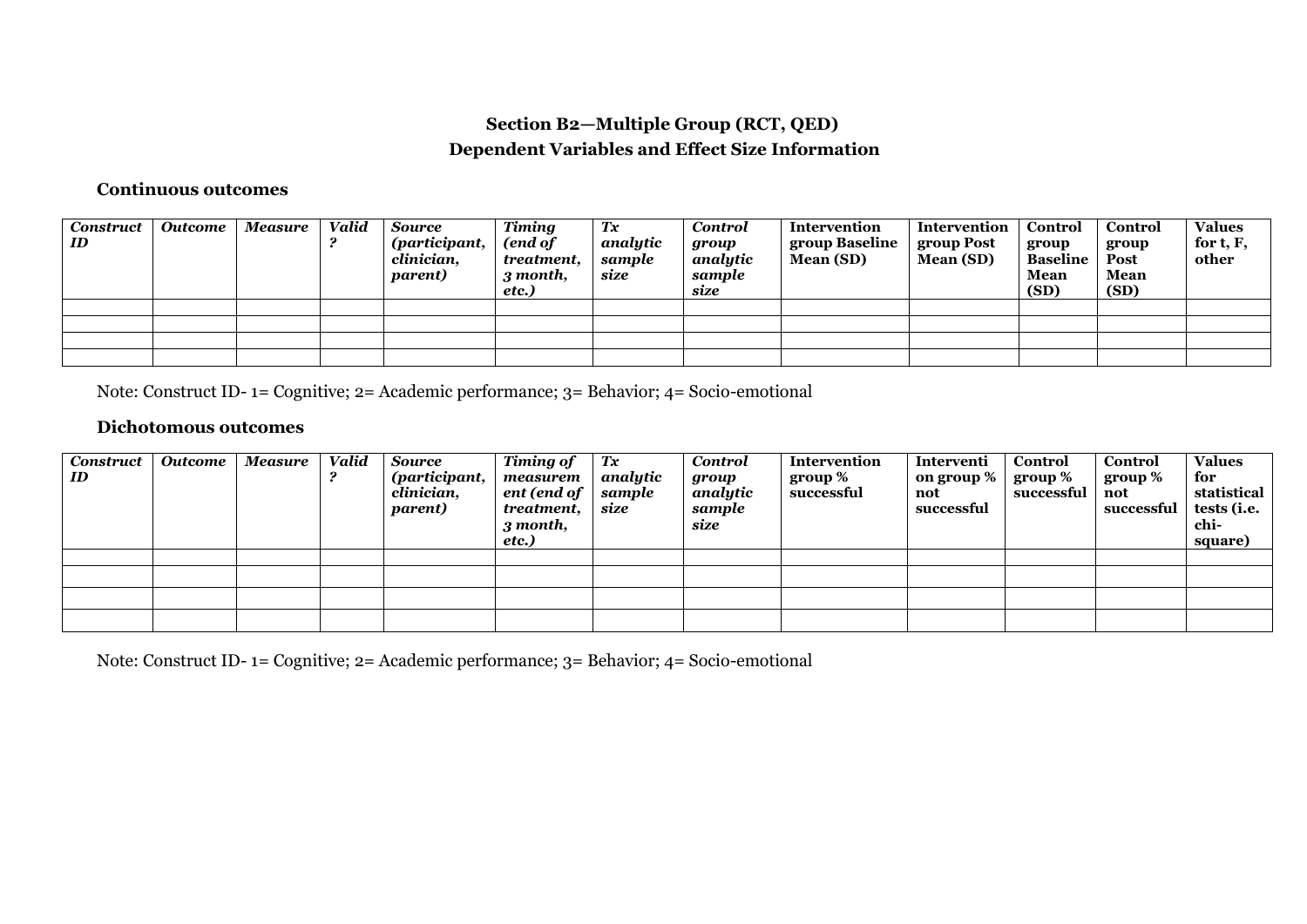## **Section B2—Multiple Group (RCT, QED) Dependent Variables and Effect Size Information**

## **Continuous outcomes**

| Construct<br>ID | <b>Outcome</b> | Measure | <b>Valid</b> | <b>Source</b><br>(participant,<br>clinician,<br><i>parent</i> ) | <b>Timing</b><br>(end of<br>treatment.<br>3 month,<br>etc.) | Тx<br>analytic<br>sample<br>size | <b>Control</b><br>group<br>analytic<br>sample<br>size | Intervention<br>group Baseline<br>Mean (SD) | Intervention<br>group Post<br>Mean (SD) | Control<br>group<br><b>Baseline</b><br>Mean<br>(SD) | Control<br>group<br>Post<br>Mean<br>(SD) | <b>Values</b><br>for t, F,<br>other |
|-----------------|----------------|---------|--------------|-----------------------------------------------------------------|-------------------------------------------------------------|----------------------------------|-------------------------------------------------------|---------------------------------------------|-----------------------------------------|-----------------------------------------------------|------------------------------------------|-------------------------------------|
|                 |                |         |              |                                                                 |                                                             |                                  |                                                       |                                             |                                         |                                                     |                                          |                                     |
|                 |                |         |              |                                                                 |                                                             |                                  |                                                       |                                             |                                         |                                                     |                                          |                                     |
|                 |                |         |              |                                                                 |                                                             |                                  |                                                       |                                             |                                         |                                                     |                                          |                                     |
|                 |                |         |              |                                                                 |                                                             |                                  |                                                       |                                             |                                         |                                                     |                                          |                                     |

Note: Construct ID- 1= Cognitive; 2= Academic performance; 3= Behavior; 4= Socio-emotional

## **Dichotomous outcomes**

| <b>Construct</b><br>ID | <b>Outcome</b> | Measure | <b>Valid</b> | <b>Source</b><br>(participant,<br>clinician,<br>parent) | <b>Timing of</b><br>measurem<br>ent (end of<br>treatment.<br>3 month,<br>etc.) | Tx<br>analytic<br>sample<br>size | <b>Control</b><br>group<br>analytic<br>sample<br>size | Intervention<br>group $\%$<br>successful | Interventi<br>on group %<br>not<br>successful | Control<br>group %<br>successful | Control<br>group %<br>not<br>successful   tests (i.e. | <b>Values</b><br>for<br>statistical<br>chi-<br>square) |
|------------------------|----------------|---------|--------------|---------------------------------------------------------|--------------------------------------------------------------------------------|----------------------------------|-------------------------------------------------------|------------------------------------------|-----------------------------------------------|----------------------------------|-------------------------------------------------------|--------------------------------------------------------|
|                        |                |         |              |                                                         |                                                                                |                                  |                                                       |                                          |                                               |                                  |                                                       |                                                        |
|                        |                |         |              |                                                         |                                                                                |                                  |                                                       |                                          |                                               |                                  |                                                       |                                                        |
|                        |                |         |              |                                                         |                                                                                |                                  |                                                       |                                          |                                               |                                  |                                                       |                                                        |
|                        |                |         |              |                                                         |                                                                                |                                  |                                                       |                                          |                                               |                                  |                                                       |                                                        |

Note: Construct ID- 1= Cognitive; 2= Academic performance; 3= Behavior; 4= Socio-emotional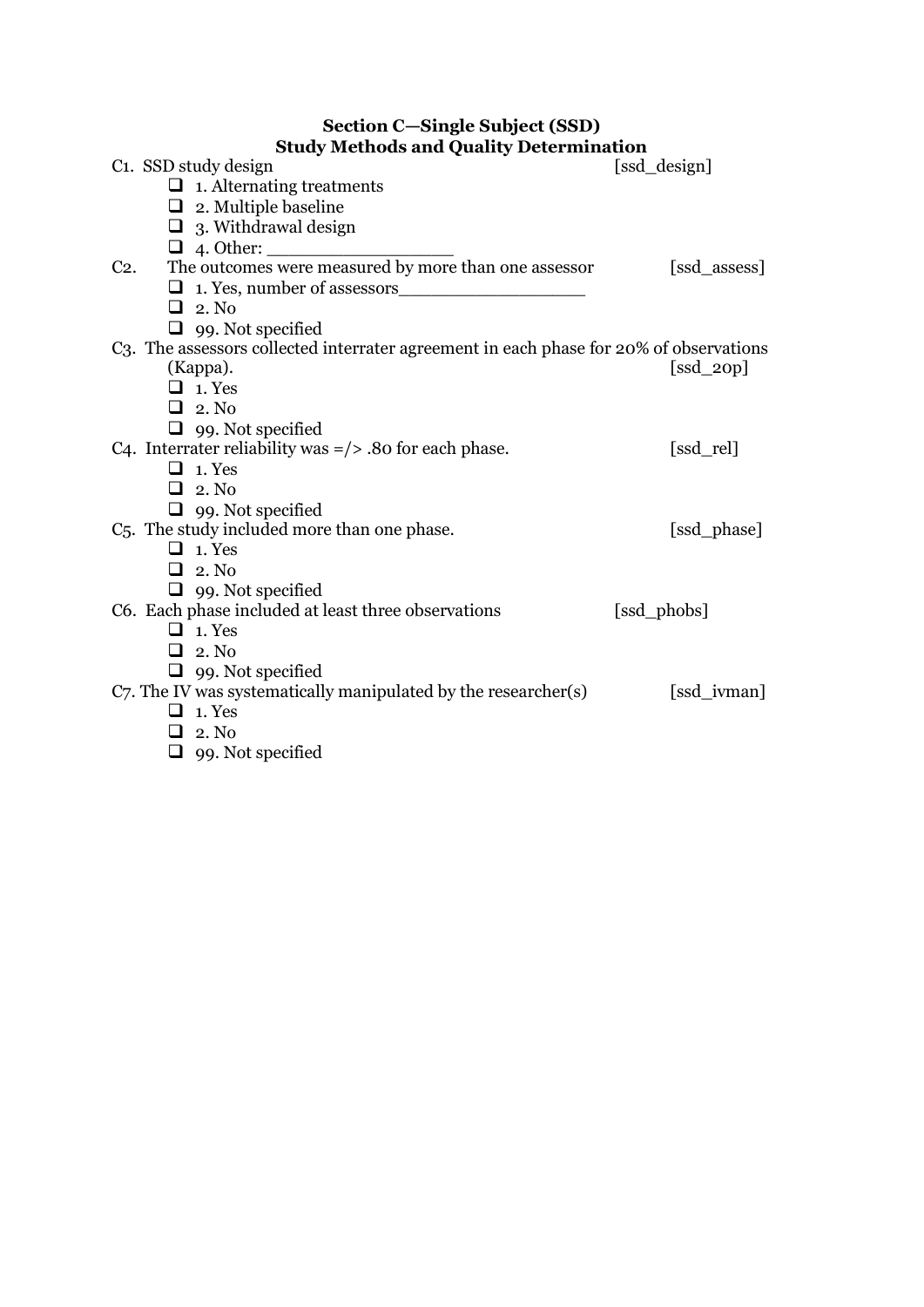## **Section C—Single Subject (SSD) Study Methods and Quality Determination**

|        | Study Methods and Quality Determination                                                |              |
|--------|----------------------------------------------------------------------------------------|--------------|
|        | C <sub>1</sub> . SSD study design                                                      | [ssd_design] |
|        | $\Box$ 1. Alternating treatments                                                       |              |
|        | $\Box$ 2. Multiple baseline                                                            |              |
|        | $\Box$ 3. Withdrawal design                                                            |              |
|        |                                                                                        |              |
| $C2$ . | The outcomes were measured by more than one assessor                                   | [ssd_assess] |
|        | 1. Yes, number of assessors                                                            |              |
|        | $\Box$ 2. No                                                                           |              |
|        | $\Box$ 99. Not specified                                                               |              |
|        | C3. The assessors collected interrater agreement in each phase for 20% of observations |              |
|        | (Kappa).                                                                               | $[ssd_2op]$  |
|        | $\Box$ 1. Yes                                                                          |              |
|        | $\Box$ 2. No                                                                           |              |
|        | $\Box$ 99. Not specified                                                               |              |
|        | C4. Interrater reliability was $=$ $/$ $>$ .80 for each phase.                         | [ssd_rel]    |
|        | $\Box$ 1. Yes                                                                          |              |
|        | $\Box$ 2. No                                                                           |              |
|        | $\Box$ 99. Not specified                                                               |              |
|        | C <sub>5</sub> . The study included more than one phase.                               | [ssd_phase]  |
|        | $\Box$ 1. Yes                                                                          |              |
|        | $\Box$ 2. No                                                                           |              |
|        | $\Box$ 99. Not specified                                                               |              |
|        | C6. Each phase included at least three observations                                    | [ssd_phobs]  |
|        | $\Box$ 1. Yes                                                                          |              |
|        | $\Box$ 2. No                                                                           |              |
|        | $\Box$ 99. Not specified                                                               |              |
|        | C7. The IV was systematically manipulated by the researcher(s)                         | [ssd_ivman]  |
|        | $\Box$ 1. Yes                                                                          |              |
|        | $\Box$ 2. No                                                                           |              |
|        | $\Box$ 99. Not specified                                                               |              |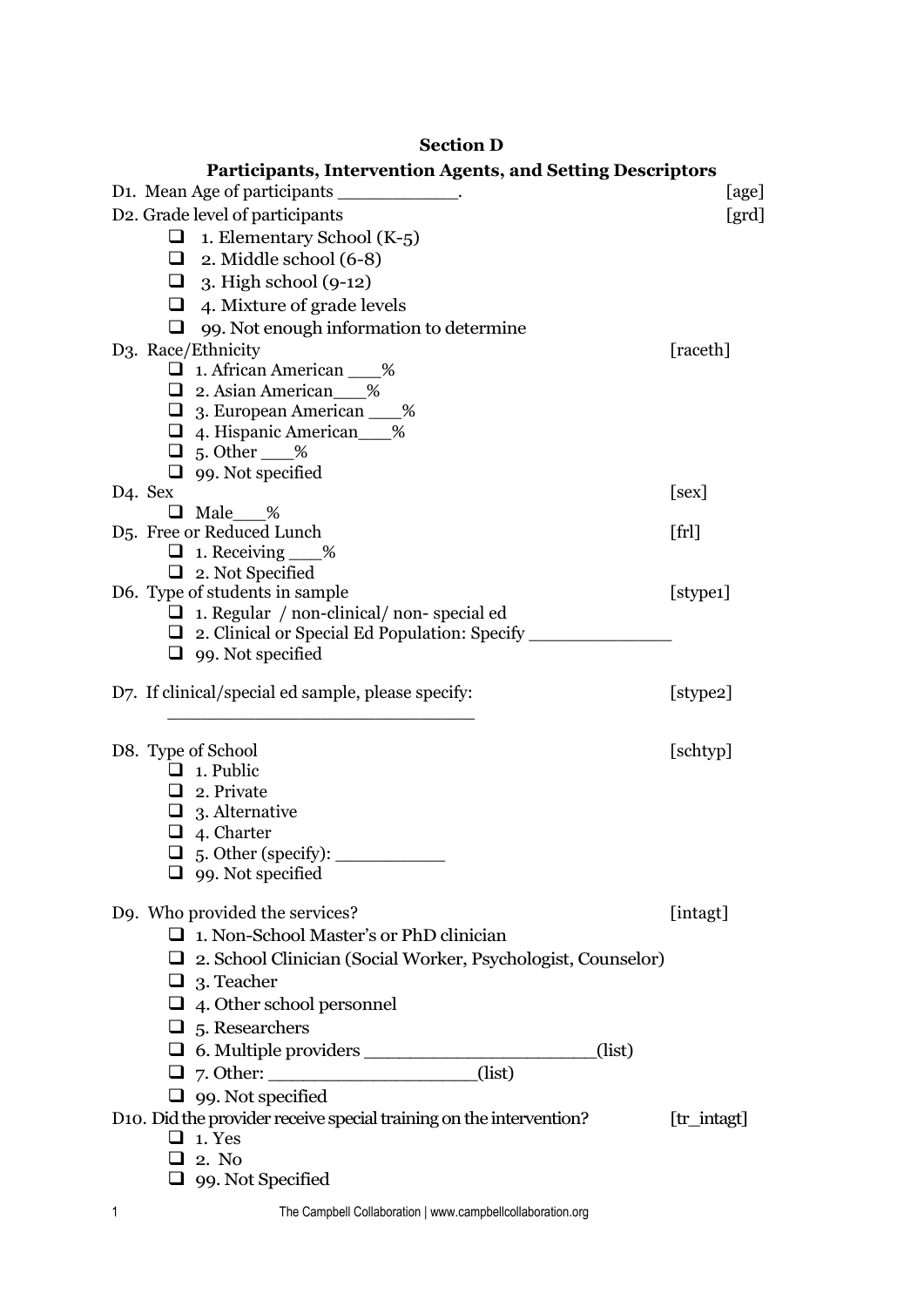## **Section D**

| <b>Participants, Intervention Agents, and Setting Descriptors</b>                             |             |
|-----------------------------------------------------------------------------------------------|-------------|
| D1. Mean Age of participants ____________.                                                    | [age]       |
| D2. Grade level of participants                                                               | [grd]       |
| 1. Elementary School (K-5)<br>⊔                                                               |             |
| $\Box$ 2. Middle school (6-8)                                                                 |             |
| $\Box$ 3. High school (9-12)                                                                  |             |
| $\Box$ 4. Mixture of grade levels                                                             |             |
| ❏<br>99. Not enough information to determine                                                  |             |
| D3. Race/Ethnicity                                                                            | [raceth]    |
| $\Box$ 1. African American $\_\_\%$                                                           |             |
| 2. Asian American___%                                                                         |             |
| □ 3. European American ___%                                                                   |             |
| 4. Hispanic American <sub>2%</sub>                                                            |             |
| $\Box$ 5. Other $\_\%$                                                                        |             |
| $\Box$ 99. Not specified                                                                      |             |
| D <sub>4</sub> . Sex                                                                          | [sex]       |
| $\Box$ Male %<br>D <sub>5</sub> . Free or Reduced Lunch                                       |             |
| $\Box$ 1. Receiving ___%                                                                      | [fr]        |
| $\Box$ 2. Not Specified                                                                       |             |
| D6. Type of students in sample                                                                | [stype1]    |
| $\Box$ 1. Regular / non-clinical/ non-special ed                                              |             |
| $\Box$ 2. Clinical or Special Ed Population: Specify ______                                   |             |
| $\Box$ 99. Not specified                                                                      |             |
| D7. If clinical/special ed sample, please specify:                                            | [stype2]    |
| D8. Type of School                                                                            | [schtyp]    |
| $\Box$ 1. Public                                                                              |             |
| $\Box$ 2. Private                                                                             |             |
| $\Box$ 3. Alternative                                                                         |             |
| $\Box$ 4. Charter                                                                             |             |
| $\Box$ 5. Other (specify): $\_\_\_\_\_\_\_\_\_\_\_\_\_\_\_\_\_\_\_\_\_\_\_\_\_\_\_\_\_\_\_\_$ |             |
| $\Box$ 99. Not specified                                                                      |             |
| D9. Who provided the services?                                                                | [intagt]    |
| $\Box$ 1. Non-School Master's or PhD clinician                                                |             |
| $\Box$ 2. School Clinician (Social Worker, Psychologist, Counselor)                           |             |
| $\Box$ 3. Teacher                                                                             |             |
| $\Box$ 4. Other school personnel                                                              |             |
| $\Box$ 5. Researchers                                                                         |             |
| (list)                                                                                        |             |
| (list)                                                                                        |             |
| $\Box$ 99. Not specified                                                                      |             |
| D10. Did the provider receive special training on the intervention?                           | [tr_intagt] |
| $\Box$ 1. Yes                                                                                 |             |
| $\Box$ 2. No                                                                                  |             |
| $\Box$ 99. Not Specified                                                                      |             |
|                                                                                               |             |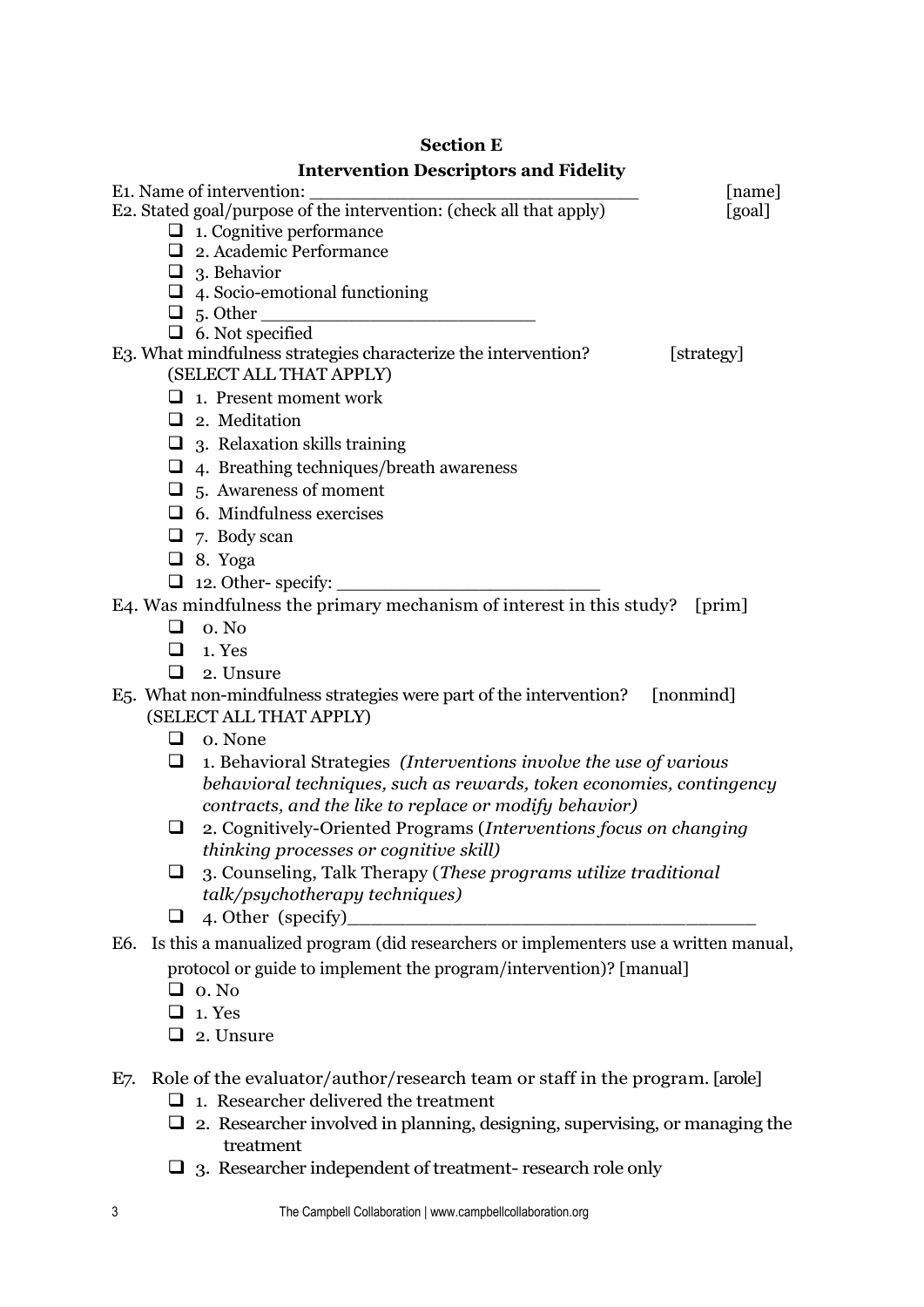## **Section E Intervention Descriptors and Fidelity**

| E <sub>1</sub> . Name of intervention:                                                     | [name]     |
|--------------------------------------------------------------------------------------------|------------|
| E2. Stated goal/purpose of the intervention: (check all that apply)                        | [goal]     |
| $\Box$ 1. Cognitive performance                                                            |            |
| $\Box$ 2. Academic Performance                                                             |            |
| $\Box$ 3. Behavior                                                                         |            |
| $\Box$ 4. Socio-emotional functioning                                                      |            |
| $\Box$ 5. Other                                                                            |            |
| $\Box$ 6. Not specified                                                                    |            |
| E3. What mindfulness strategies characterize the intervention?<br>(SELECT ALL THAT APPLY)  | [strategy] |
|                                                                                            |            |
| $\Box$ 1. Present moment work                                                              |            |
| $\Box$ 2. Meditation                                                                       |            |
| $\Box$ 3. Relaxation skills training                                                       |            |
| $\Box$ 4. Breathing techniques/breath awareness                                            |            |
| $\Box$ 5. Awareness of moment                                                              |            |
| $\Box$ 6. Mindfulness exercises                                                            |            |
| $\Box$ 7. Body scan                                                                        |            |
| $\Box$ 8. Yoga                                                                             |            |
| $\Box$ 12. Other-specify:                                                                  |            |
| E4. Was mindfulness the primary mechanism of interest in this study?                       | [prim]     |
| $\Box$ 0. No                                                                               |            |
| $\Box$ 1. Yes                                                                              |            |
| ◻<br>2. Unsure                                                                             |            |
| E5. What non-mindfulness strategies were part of the intervention?                         | [nonmind]  |
| (SELECT ALL THAT APPLY)                                                                    |            |
| $\Box$ o. None                                                                             |            |
| 1. Behavioral Strategies (Interventions involve the use of various<br>⊔                    |            |
| behavioral techniques, such as rewards, token economies, contingency                       |            |
| contracts, and the like to replace or modify behavior)                                     |            |
| 2. Cognitively-Oriented Programs (Interventions focus on changing<br>⊔                     |            |
| thinking processes or cognitive skill)                                                     |            |
| 3. Counseling, Talk Therapy (These programs utilize traditional                            |            |
| talk/psychotherapy techniques)                                                             |            |
| 4. Other (specify)<br>⊔                                                                    |            |
| Is this a manualized program (did researchers or implementers use a written manual,<br>E6. |            |
| protocol or guide to implement the program/intervention)? [manual]                         |            |
| $\Box$ o. No                                                                               |            |
| 1. Yes                                                                                     |            |
| 2. Unsure                                                                                  |            |
|                                                                                            |            |

- E7. Role of the evaluator/author/research team or staff in the program. [arole]
	- $\Box$  1. Researcher delivered the treatment
	- $\Box$  2. Researcher involved in planning, designing, supervising, or managing the treatment
	- 3. Researcher independent of treatment- research role only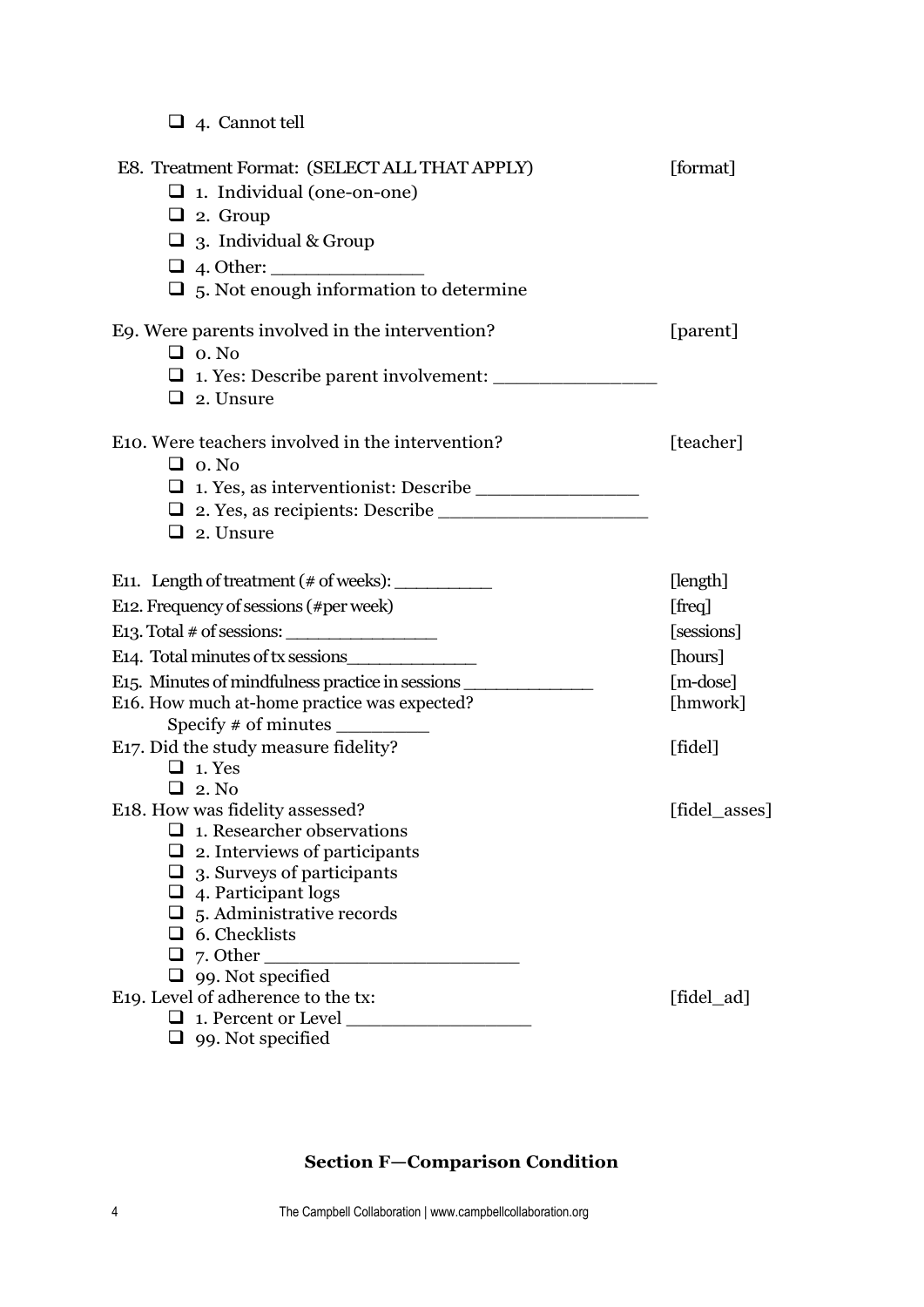4. Cannot tell

| E8. Treatment Format: (SELECT ALL THAT APPLY)<br>$\Box$ 1. Individual (one-on-one)<br>$\Box$ 2. Group<br>$\Box$ 3. Individual & Group<br>$\Box$ 5. Not enough information to determine                                                                         | [format]                                        |
|----------------------------------------------------------------------------------------------------------------------------------------------------------------------------------------------------------------------------------------------------------------|-------------------------------------------------|
| Eq. Were parents involved in the intervention?<br>$\Box$ o. No<br>$\Box$ 2. Unsure                                                                                                                                                                             | [parent]                                        |
| E <sub>10</sub> . Were teachers involved in the intervention?<br>$\Box$ o. No<br>$\Box$ 2. Unsure                                                                                                                                                              | [teacher]                                       |
| E11. Length of treatment $(\# \text{ of weeks})$ :<br>E12. Frequency of sessions (#per week)                                                                                                                                                                   | [length]<br>[freq]                              |
| E13. Total $\#$ of sessions:<br>E <sub>14</sub> . Total minutes of tx sessions<br>E15. Minutes of mindfulness practice in sessions<br>E16. How much at-home practice was expected?                                                                             | [sessions]<br>[hours]<br>$[m-dose]$<br>[hmwork] |
| E17. Did the study measure fidelity?<br>$\Box$ 1. Yes<br>$\Box$ 2. No                                                                                                                                                                                          | [fidel]                                         |
| E18. How was fidelity assessed?<br>$\Box$ 1. Researcher observations<br>$\Box$ 2. Interviews of participants<br>$\Box$ 3. Surveys of participants<br>$\Box$ 4. Participant logs<br>$\Box$ 5. Administrative records<br>$\Box$ 6. Checklists<br>$\Box$ 7. Other | [fidel_asses]                                   |
| $\Box$ 99. Not specified<br>E19. Level of adherence to the tx:<br>$\Box$ 1. Percent or Level<br>$\Box$ 99. Not specified                                                                                                                                       | [fidel_ad]                                      |

## **Section F—Comparison Condition**